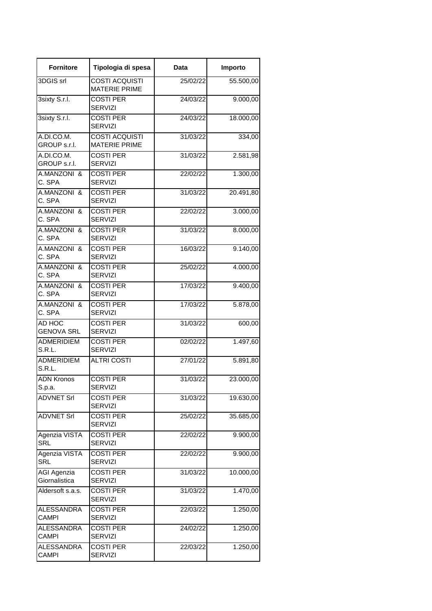| <b>Fornitore</b>                  | Tipologia di spesa                            | Data     | Importo                |
|-----------------------------------|-----------------------------------------------|----------|------------------------|
| 3DGIS srl                         | <b>COSTI ACQUISTI</b><br><b>MATERIE PRIME</b> | 25/02/22 | 55.500,00              |
| 3sixty S.r.l.                     | <b>COSTI PER</b><br><b>SERVIZI</b>            | 24/03/22 | 9.000,00               |
| 3sixty S.r.l.                     | <b>COSTI PER</b><br><b>SERVIZI</b>            | 24/03/22 | 18.000,00              |
| A.DI.CO.M.<br>GROUP s.r.l.        | <b>COSTI ACQUISTI</b><br><b>MATERIE PRIME</b> | 31/03/22 | 334,00                 |
| A.DI.CO.M.<br>GROUP s.r.l.        | <b>COSTI PER</b><br><b>SERVIZI</b>            | 31/03/22 | 2.581,98               |
| A.MANZONI &<br>C. SPA             | <b>COSTI PER</b><br><b>SERVIZI</b>            | 22/02/22 | 1.300,00               |
| A.MANZONI &<br>C. SPA             | <b>COSTI PER</b><br><b>SERVIZI</b>            | 31/03/22 | 20.491,80              |
| A.MANZONI &<br>C. SPA             | <b>COSTI PER</b><br><b>SERVIZI</b>            | 22/02/22 | 3.000,00               |
| A.MANZONI &<br>C. SPA             | <b>COSTI PER</b><br><b>SERVIZI</b>            | 31/03/22 | 8.000,00               |
| A.MANZONI &<br>C. SPA             | <b>COSTI PER</b><br><b>SERVIZI</b>            | 16/03/22 | 9.140,00               |
| A.MANZONI &<br>C. SPA             | <b>COSTI PER</b><br><b>SERVIZI</b>            | 25/02/22 | 4.000,00               |
| A.MANZONI &<br>C. SPA             | <b>COSTI PER</b><br><b>SERVIZI</b>            | 17/03/22 | 9.400,00               |
| A.MANZONI &<br>C. SPA             | <b>COSTI PER</b><br><b>SERVIZI</b>            | 17/03/22 | 5.878,00               |
| AD HOC<br><b>GENOVA SRL</b>       | <b>COSTI PER</b><br><b>SERVIZI</b>            | 31/03/22 | 600,00                 |
| <b>ADMERIDIEM</b><br>S.R.L.       | <b>COSTI PER</b><br><b>SERVIZI</b>            | 02/02/22 | 1.497,60               |
| <b>ADMERIDIEM</b><br>S.R.L.       | <b>ALTRI COSTI</b>                            | 27/01/22 | 5.891,80               |
| <b>ADN Kronos</b><br>S.p.a.       | <b>COSTI PER</b><br><b>SERVIZI</b>            | 31/03/22 | 23.000,00              |
| <b>ADVNET Srl</b>                 | <b>COSTI PER</b><br><b>SERVIZI</b>            | 31/03/22 | 19.630,00              |
| <b>ADVNET Srl</b>                 | <b>COSTI PER</b><br><b>SERVIZI</b>            | 25/02/22 | 35.685,00              |
| Agenzia VISTA<br>SRL              | <b>COSTI PER</b><br><b>SERVIZI</b>            | 22/02/22 | 9.900,00               |
| Agenzia VISTA<br>SRL              | <b>COSTI PER</b><br><b>SERVIZI</b>            | 22/02/22 | 9.900,00               |
| AGI Agenzia<br>Giornalistica      | <b>COSTI PER</b><br><b>SERVIZI</b>            | 31/03/22 | 10.000,00              |
| Aldersoft s.a.s.                  | <b>COSTI PER</b><br><b>SERVIZI</b>            | 31/03/22 | 1.470,00               |
| <b>ALESSANDRA</b><br><b>CAMPI</b> | <b>COSTI PER</b><br><b>SERVIZI</b>            | 22/03/22 | 1.250,00               |
| <b>ALESSANDRA</b><br><b>CAMPI</b> | <b>COSTI PER</b><br><b>SERVIZI</b>            | 24/02/22 | 1.250,00               |
| ALESSANDRA<br>CAMPI               | <b>COSTI PER</b><br><b>SERVIZI</b>            | 22/03/22 | $\overline{1}$ .250,00 |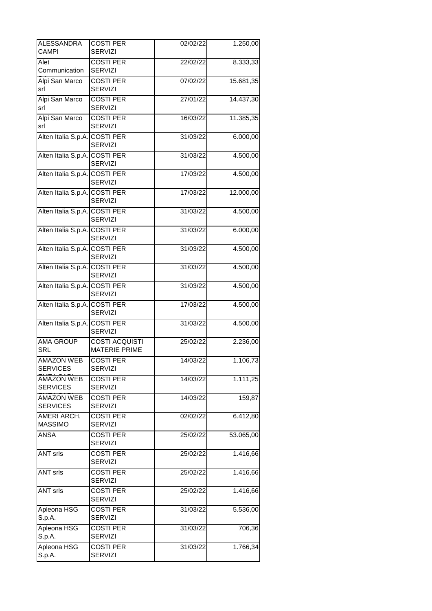| <b>ALESSANDRA</b><br>CAMPI           | <b>COSTI PER</b><br><b>SERVIZI</b>            | 02/02/22 | 1.250,00  |
|--------------------------------------|-----------------------------------------------|----------|-----------|
| Alet<br>Communication                | <b>COSTI PER</b><br><b>SERVIZI</b>            | 22/02/22 | 8.333,33  |
| Alpi San Marco<br>srl                | <b>COSTI PER</b><br><b>SERVIZI</b>            | 07/02/22 | 15.681,35 |
| Alpi San Marco<br>srl                | <b>COSTI PER</b><br><b>SERVIZI</b>            | 27/01/22 | 14.437,30 |
| Alpi San Marco<br>srl                | <b>COSTI PER</b><br><b>SERVIZI</b>            | 16/03/22 | 11.385,35 |
| Alten Italia S.p.A.                  | <b>COSTI PER</b><br><b>SERVIZI</b>            | 31/03/22 | 6.000,00  |
| Alten Italia S.p.A. COSTI PER        | <b>SERVIZI</b>                                | 31/03/22 | 4.500,00  |
| Alten Italia S.p.A. COSTI PER        | <b>SERVIZI</b>                                | 17/03/22 | 4.500,00  |
| Alten Italia S.p.A. COSTI PER        | <b>SERVIZI</b>                                | 17/03/22 | 12.000,00 |
| Alten Italia S.p.A. COSTI PER        | <b>SERVIZI</b>                                | 31/03/22 | 4.500,00  |
| Alten Italia S.p.A. COSTI PER        | <b>SERVIZI</b>                                | 31/03/22 | 6.000,00  |
| Alten Italia S.p.A. COSTI PER        | <b>SERVIZI</b>                                | 31/03/22 | 4.500,00  |
| Alten Italia S.p.A. COSTI PER        | SERVIZI                                       | 31/03/22 | 4.500,00  |
| Alten Italia S.p.A. COSTI PER        | <b>SERVIZI</b>                                | 31/03/22 | 4.500,00  |
| Alten Italia S.p.A. COSTI PER        | <b>SERVIZI</b>                                | 17/03/22 | 4.500,00  |
| Alten Italia S.p.A. COSTI PER        | <b>SERVIZI</b>                                | 31/03/22 | 4.500,00  |
| <b>AMA GROUP</b><br><b>SRL</b>       | <b>COSTI ACQUISTI</b><br><b>MATERIE PRIME</b> | 25/02/22 | 2.236,00  |
| <b>AMAZON WEB</b><br><b>SERVICES</b> | <b>COSTI PER</b><br><b>SERVIZI</b>            | 14/03/22 | 1.106,73  |
| <b>AMAZON WEB</b><br><b>SERVICES</b> | <b>COSTI PER</b><br><b>SERVIZI</b>            | 14/03/22 | 1.111,25  |
| <b>AMAZON WEB</b><br><b>SERVICES</b> | <b>COSTI PER</b><br><b>SERVIZI</b>            | 14/03/22 | 159,87    |
| AMERI ARCH.<br><b>MASSIMO</b>        | <b>COSTI PER</b><br><b>SERVIZI</b>            | 02/02/22 | 6.412,80  |
| ANSA                                 | <b>COSTI PER</b><br><b>SERVIZI</b>            | 25/02/22 | 53.065,00 |
| <b>ANT srls</b>                      | <b>COSTI PER</b><br><b>SERVIZI</b>            | 25/02/22 | 1.416,66  |
| <b>ANT srls</b>                      | <b>COSTI PER</b><br><b>SERVIZI</b>            | 25/02/22 | 1.416,66  |
| <b>ANT srls</b>                      | <b>COSTI PER</b><br><b>SERVIZI</b>            | 25/02/22 | 1.416,66  |
| Apleona HSG<br>S.p.A.                | <b>COSTI PER</b><br><b>SERVIZI</b>            | 31/03/22 | 5.536,00  |
| Apleona HSG<br>S.p.A.                | <b>COSTI PER</b><br><b>SERVIZI</b>            | 31/03/22 | 706,36    |
| Apleona HSG<br>S.p.A.                | <b>COSTI PER</b><br><b>SERVIZI</b>            | 31/03/22 | 1.766,34  |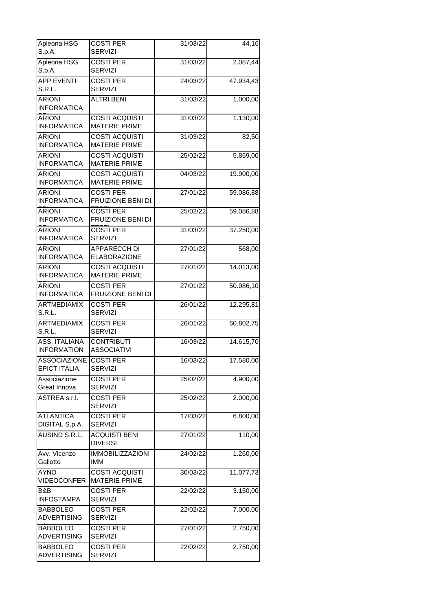| Apleona HSG<br>S.p.A.                      | <b>COSTI PER</b><br><b>SERVIZI</b>            | 31/03/22 | 44,16     |
|--------------------------------------------|-----------------------------------------------|----------|-----------|
| Apleona HSG                                | <b>COSTI PER</b>                              | 31/03/22 | 2.087,44  |
| S.p.A.                                     | <b>SERVIZI</b>                                |          |           |
| <b>APP EVENTI</b><br>S.R.L.                | <b>COSTI PER</b><br><b>SERVIZI</b>            | 24/03/22 | 47.934,43 |
| <b>ARIONI</b><br><b>INFORMATICA</b>        | <b>ALTRI BENI</b>                             | 31/03/22 | 1.000,00  |
| <b>ARIONI</b>                              | <b>COSTI ACQUISTI</b><br><b>MATERIE PRIME</b> | 31/03/22 | 1.130,00  |
| <b>INFORMATICA</b>                         |                                               |          |           |
| <b>ARIONI</b><br><b>INFORMATICA</b>        | <b>COSTI ACQUISTI</b><br><b>MATERIE PRIME</b> | 31/03/22 | 82,50     |
| <b>ARIONI</b><br><b>INFORMATICA</b>        | <b>COSTI ACQUISTI</b><br><b>MATERIE PRIME</b> | 25/02/22 | 5.859,00  |
| <b>ARIONI</b><br><b>INFORMATICA</b>        | <b>COSTI ACQUISTI</b><br><b>MATERIE PRIME</b> | 04/03/22 | 19.900,00 |
| <b>ARIONI</b>                              | <b>COSTI PER</b>                              | 27/01/22 | 59.086,88 |
| <b>INFORMATICA</b>                         | FRUIZIONE BENI DI                             |          |           |
| <b>ARIONI</b><br><b>INFORMATICA</b>        | <b>COSTI PER</b><br>FRUIZIONE BENI DI         | 25/02/22 | 59.086,88 |
| <b>ARIONI</b>                              | <b>COSTI PER</b>                              | 31/03/22 | 37.250,00 |
| <b>INFORMATICA</b>                         | <b>SERVIZI</b>                                |          |           |
| <b>ARIONI</b><br><b>INFORMATICA</b>        | APPARECCH DI<br><b>ELABORAZIONE</b>           | 27/01/22 | 568,00    |
| <b>ARIONI</b><br><b>INFORMATICA</b>        | <b>COSTI ACQUISTI</b><br><b>MATERIE PRIME</b> | 27/01/22 | 14.013,00 |
| <b>ARIONI</b><br><b>INFORMATICA</b>        | <b>COSTI PER</b><br>FRUIZIONE BENI DI         | 27/01/22 | 50.086,10 |
| <b>ARTMEDIAMIX</b>                         | <b>COSTI PER</b>                              | 26/01/22 | 12.295,81 |
| S.R.L.                                     | <b>SERVIZI</b>                                |          |           |
| <b>ARTMEDIAMIX</b><br>S.R.L.               | <b>COSTI PER</b><br><b>SERVIZI</b>            | 26/01/22 | 60.802,75 |
| <b>ASS. ITALIANA</b><br><b>INFORMATION</b> | <b>CONTRIBUTI</b><br><b>ASSOCIATIVI</b>       | 16/03/22 | 14.615,70 |
| <b>ASSOCIAZIONE</b>                        | <b>COSTI PER</b>                              | 16/03/22 | 17.580,00 |
| <b>EPICT ITALIA</b>                        | <b>SERVIZI</b>                                |          |           |
| Associazione<br>Great Innova               | <b>COSTI PER</b><br><b>SERVIZI</b>            | 25/02/22 | 4.900,00  |
| ASTREA s.r.l.                              | <b>COSTI PER</b><br><b>SERVIZI</b>            | 25/02/22 | 2.000,00  |
| <b>ATLANTICA</b><br>DIGITAL S.p.A.         | <b>COSTI PER</b><br><b>SERVIZI</b>            | 17/03/22 | 6.800,00  |
| AUSIND S.R.L.                              | <b>ACQUISTI BENI</b><br><b>DIVERSI</b>        | 27/01/22 | 110,00    |
| Avv. Vicenzo<br>Gallotto                   | <b>IMMOBILIZZAZIONI</b><br><b>IMM</b>         | 24/02/22 | 1.260,00  |
| <b>AYNO</b>                                | <b>COSTI ACQUISTI</b>                         | 30/03/22 | 11.077,73 |
| <b>VIDEOCONFER</b>                         | <b>MATERIE PRIME</b>                          |          |           |
| B&B<br><b>INFOSTAMPA</b>                   | <b>COSTI PER</b><br><b>SERVIZI</b>            | 22/02/22 | 3.150,00  |
| BABBOLEO<br><b>ADVERTISING</b>             | <b>COSTI PER</b><br><b>SERVIZI</b>            | 22/02/22 | 7.000,00  |
| <b>BABBOLEO</b><br><b>ADVERTISING</b>      | <b>COSTI PER</b><br><b>SERVIZI</b>            | 27/01/22 | 2.750,00  |
| <b>BABBOLEO</b><br><b>ADVERTISING</b>      | <b>COSTI PER</b><br><b>SERVIZI</b>            | 22/02/22 | 2.750,00  |
|                                            |                                               |          |           |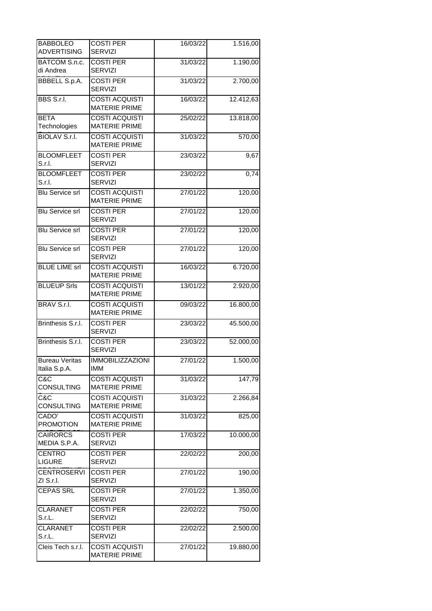| <b>BABBOLEO</b><br><b>ADVERTISING</b>  | <b>COSTI PER</b><br><b>SERVIZI</b>            | 16/03/22 | 1.516,00            |
|----------------------------------------|-----------------------------------------------|----------|---------------------|
| BATCOM S.n.c.<br>di Andrea             | <b>COSTI PER</b><br><b>SERVIZI</b>            | 31/03/22 | 1.190,00            |
| <b>BBBELL S.p.A.</b>                   | <b>COSTI PER</b><br><b>SERVIZI</b>            | 31/03/22 | 2.700,00            |
| BBS S.r.I.                             | <b>COSTI ACQUISTI</b><br><b>MATERIE PRIME</b> | 16/03/22 | 12.412,63           |
| <b>BETA</b><br>Technologies            | <b>COSTI ACQUISTI</b><br><b>MATERIE PRIME</b> | 25/02/22 | 13.818,00           |
| <b>BIOLAV S.r.l.</b>                   | <b>COSTI ACQUISTI</b><br><b>MATERIE PRIME</b> | 31/03/22 | $\overline{570,00}$ |
| <b>BLOOMFLEET</b><br>S.r.I.            | <b>COSTI PER</b><br><b>SERVIZI</b>            | 23/03/22 | 9,67                |
| <b>BLOOMFLEET</b><br>S.r.l.            | <b>COSTI PER</b><br><b>SERVIZI</b>            | 23/02/22 | 0,74                |
| <b>Blu Service srl</b>                 | <b>COSTI ACQUISTI</b><br><b>MATERIE PRIME</b> | 27/01/22 | 120,00              |
| <b>Blu Service srl</b>                 | <b>COSTI PER</b><br><b>SERVIZI</b>            | 27/01/22 | $\overline{120,00}$ |
| <b>Blu Service srl</b>                 | <b>COSTI PER</b><br><b>SERVIZI</b>            | 27/01/22 | 120,00              |
| <b>Blu Service srl</b>                 | <b>COSTI PER</b><br><b>SERVIZI</b>            | 27/01/22 | 120,00              |
| <b>BLUE LIME srl</b>                   | <b>COSTI ACQUISTI</b><br><b>MATERIE PRIME</b> | 16/03/22 | 6.720,00            |
| <b>BLUEUP Srls</b>                     | <b>COSTI ACQUISTI</b><br><b>MATERIE PRIME</b> | 13/01/22 | 2.920,00            |
| BRAV S.r.I.                            | <b>COSTI ACQUISTI</b><br><b>MATERIE PRIME</b> | 09/03/22 | 16.800,00           |
| Brinthesis S.r.l.                      | <b>COSTI PER</b><br><b>SERVIZI</b>            | 23/03/22 | 45.500,00           |
| Brinthesis S.r.l.                      | <b>COSTI PER</b><br><b>SERVIZI</b>            | 23/03/22 | 52.000,00           |
| <b>Bureau Veritas</b><br>Italia S.p.A. | <b>IMMOBILIZZAZIONI</b><br><b>IMM</b>         | 27/01/22 | 1.500,00            |
| C&C<br><b>CONSULTING</b>               | <b>COSTI ACQUISTI</b><br><b>MATERIE PRIME</b> | 31/03/22 | 147,79              |
| C&C<br><b>CONSULTING</b>               | <b>COSTI ACQUISTI</b><br><b>MATERIE PRIME</b> | 31/03/22 | 2.266,84            |
| CADO'<br><b>PROMOTION</b>              | <b>COSTI ACQUISTI</b><br><b>MATERIE PRIME</b> | 31/03/22 | 825,00              |
| <b>CAIRORCS</b><br>MEDIA S.P.A.        | <b>COSTI PER</b><br><b>SERVIZI</b>            | 17/03/22 | 10.000,00           |
| <b>CENTRO</b><br><b>LIGURE</b>         | <b>COSTI PER</b><br><b>SERVIZI</b>            | 22/02/22 | 200,00              |
| <b>CENTROSERVI</b><br>ZI S.r.I.        | <b>COSTI PER</b><br><b>SERVIZI</b>            | 27/01/22 | 190,00              |
| <b>CEPAS SRL</b>                       | <b>COSTI PER</b><br><b>SERVIZI</b>            | 27/01/22 | 1.350,00            |
| <b>CLARANET</b><br>S.r.L.              | <b>COSTI PER</b><br><b>SERVIZI</b>            | 22/02/22 | 750,00              |
| <b>CLARANET</b><br>S.r.L.              | <b>COSTI PER</b><br><b>SERVIZI</b>            | 22/02/22 | 2.500,00            |
| Cleis Tech s.r.l.                      | <b>COSTI ACQUISTI</b><br><b>MATERIE PRIME</b> | 27/01/22 | 19.880,00           |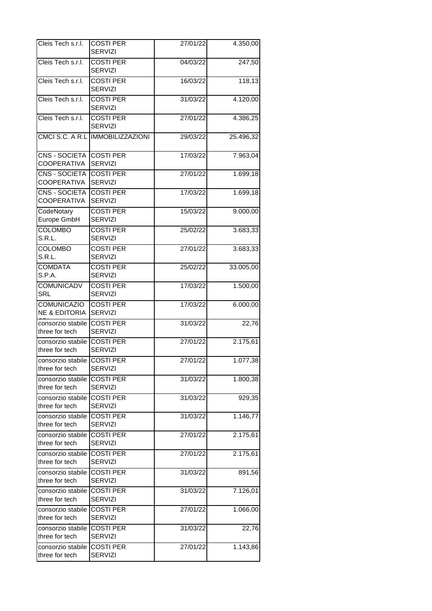| Cleis Tech s.r.l.                              | <b>COSTI PER</b><br><b>SERVIZI</b> | 27/01/22 | 4.350,00            |
|------------------------------------------------|------------------------------------|----------|---------------------|
| Cleis Tech s.r.l.                              | <b>COSTI PER</b><br>SERVIZI        | 04/03/22 | $\overline{247,50}$ |
| Cleis Tech s.r.l.                              | <b>COSTI PER</b><br><b>SERVIZI</b> | 16/03/22 | 118,13              |
| Cleis Tech s.r.l.                              | <b>COSTI PER</b><br><b>SERVIZI</b> | 31/03/22 | 4.120,00            |
| Cleis Tech s.r.l.                              | <b>COSTI PER</b><br><b>SERVIZI</b> | 27/01/22 | 4.386,25            |
| CMCI S.C. A R.L                                | <b>IMMOBILIZZAZIONI</b>            | 29/03/22 | 25.496,32           |
| CNS - SOCIETA<br><b>COOPERATIVA</b>            | <b>COSTI PER</b><br><b>SERVIZI</b> | 17/03/22 | 7.963,04            |
| CNS - SOCIETA<br>COOPERATIVA                   | <b>COSTI PER</b><br><b>SERVIZI</b> | 27/01/22 | 1.699,18            |
| CNS - SOCIETA<br>COOPERATIVA                   | <b>COSTI PER</b><br>SERVIZI        | 17/03/22 | 1.699,18            |
| CodeNotary<br>Europe GmbH                      | <b>COSTI PER</b><br><b>SERVIZI</b> | 15/03/22 | 9.000,00            |
| <b>COLOMBO</b><br>S.R.L.                       | <b>COSTI PER</b><br><b>SERVIZI</b> | 25/02/22 | 3.683,33            |
| <b>COLOMBO</b><br>S.R.L.                       | <b>COSTI PER</b><br><b>SERVIZI</b> | 27/01/22 | 3.683,33            |
| <b>COMDATA</b><br>S.P.A.                       | <b>COSTI PER</b><br><b>SERVIZI</b> | 25/02/22 | 33.005,00           |
| <b>COMUNICADV</b><br><b>SRL</b>                | <b>COSTI PER</b><br><b>SERVIZI</b> | 17/03/22 | 1.500,00            |
| <b>COMUNICAZIO</b><br><b>NE &amp; EDITORIA</b> | <b>COSTI PER</b><br><b>SERVIZI</b> | 17/03/22 | 6.000,00            |
| consorzio stabile I<br>three for tech          | <b>COSTI PER</b><br><b>SERVIZI</b> | 31/03/22 | 22,76               |
| consorzio stabile l<br>three for tech          | <b>COSTI PER</b><br><b>SERVIZI</b> | 27/01/22 | 2.175,61            |
| consorzio stabile COSTI PER<br>three for tech  | <b>SERVIZI</b>                     | 27/01/22 | 1.077,38            |
| consorzio stabile<br>three for tech            | <b>COSTI PER</b><br><b>SERVIZI</b> | 31/03/22 | 1.800,38            |
| consorzio stabile l<br>three for tech          | <b>COSTI PER</b><br><b>SERVIZI</b> | 31/03/22 | 929,35              |
| consorzio stabile<br>three for tech            | <b>COSTI PER</b><br><b>SERVIZI</b> | 31/03/22 | 1.146,77            |
| consorzio stabile<br>three for tech            | <b>COSTI PER</b><br><b>SERVIZI</b> | 27/01/22 | 2.175,61            |
| consorzio stabile<br>three for tech            | <b>COSTI PER</b><br><b>SERVIZI</b> | 27/01/22 | 2.175,61            |
| consorzio stabile<br>three for tech            | <b>COSTI PER</b><br><b>SERVIZI</b> | 31/03/22 | 891,56              |
| consorzio stabile<br>three for tech            | <b>COSTI PER</b><br><b>SERVIZI</b> | 31/03/22 | 7.126,01            |
| consorzio stabile<br>three for tech            | <b>COSTI PER</b><br><b>SERVIZI</b> | 27/01/22 | 1.066,00            |
| consorzio stabile l<br>three for tech          | <b>COSTI PER</b><br><b>SERVIZI</b> | 31/03/22 | 22,76               |
| consorzio stabile l<br>three for tech          | <b>COSTI PER</b><br><b>SERVIZI</b> | 27/01/22 | 1.143,86            |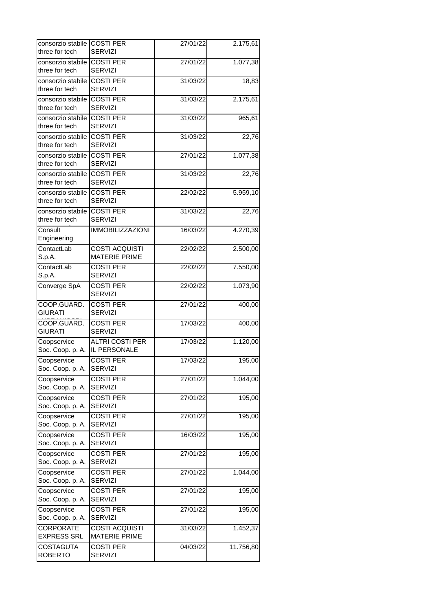| consorzio stabile COSTI PER                   |                                               | 27/01/22 | 2.175,61  |
|-----------------------------------------------|-----------------------------------------------|----------|-----------|
| three for tech                                | <b>SERVIZI</b>                                |          |           |
| consorzio stabile COSTI PER<br>three for tech | SERVIZI                                       | 27/01/22 | 1.077,38  |
| consorzio stabile<br>three for tech           | <b>COSTI PER</b><br><b>SERVIZI</b>            | 31/03/22 | 18,83     |
| consorzio stabile<br>three for tech           | <b>COSTI PER</b><br><b>SERVIZI</b>            | 31/03/22 | 2.175,61  |
| consorzio stabile                             | <b>COSTI PER</b>                              | 31/03/22 | 965,61    |
| three for tech                                | <b>SERVIZI</b>                                |          |           |
| consorzio stabile COSTI PER<br>three for tech | <b>SERVIZI</b>                                | 31/03/22 | 22,76     |
| consorzio stabile<br>three for tech           | <b>COSTI PER</b><br><b>SERVIZI</b>            | 27/01/22 | 1.077,38  |
| consorzio stabile<br>three for tech           | <b>COSTI PER</b><br><b>SERVIZI</b>            | 31/03/22 | 22,76     |
| consorzio stabile COSTI PER<br>three for tech | <b>SERVIZI</b>                                | 22/02/22 | 5.959,10  |
| consorzio stabile<br>three for tech           | <b>COSTI PER</b><br><b>SERVIZI</b>            | 31/03/22 | 22,76     |
| Consult                                       | <b>IMMOBILIZZAZIONI</b>                       | 16/03/22 | 4.270,39  |
| Engineering                                   |                                               |          |           |
| ContactLab<br>S.p.A.                          | <b>COSTI ACQUISTI</b><br><b>MATERIE PRIME</b> | 22/02/22 | 2.500,00  |
| ContactLab<br>S.p.A.                          | <b>COSTI PER</b><br><b>SERVIZI</b>            | 22/02/22 | 7.550,00  |
| Converge SpA                                  | <b>COSTI PER</b><br><b>SERVIZI</b>            | 22/02/22 | 1.073,90  |
| COOP.GUARD.<br><b>GIURATI</b>                 | <b>COSTI PER</b><br><b>SERVIZI</b>            | 27/01/22 | 400,00    |
| COOP.GUARD.<br><b>GIURATI</b>                 | <b>COSTI PER</b><br><b>SERVIZI</b>            | 17/03/22 | 400,00    |
| Coopservice<br>Soc. Coop. p. A.               | <b>ALTRI COSTI PER</b><br>IL PERSONALE        | 17/03/22 | 1.120,00  |
| Coopservice<br>Soc. Coop. p. A.               | <b>COSTI PER</b><br><b>SERVIZI</b>            | 17/03/22 | 195,00    |
| Coopservice<br>Soc. Coop. p. A.               | <b>COSTI PER</b><br><b>SERVIZI</b>            | 27/01/22 | 1.044,00  |
| Coopservice<br>Soc. Coop. p. A.               | <b>COSTI PER</b><br><b>SERVIZI</b>            | 27/01/22 | 195,00    |
| Coopservice<br>Soc. Coop. p. A.               | <b>COSTI PER</b><br><b>SERVIZI</b>            | 27/01/22 | 195,00    |
| Coopservice<br>Soc. Coop. p. A.               | COSTI PER<br><b>SERVIZI</b>                   | 16/03/22 | 195,00    |
| Coopservice<br>Soc. Coop. p. A.               | <b>COSTI PER</b><br><b>SERVIZI</b>            | 27/01/22 | 195,00    |
| Coopservice                                   | <b>COSTI PER</b><br><b>SERVIZI</b>            | 27/01/22 | 1.044,00  |
| Soc. Coop. p. A.<br>Coopservice               | <b>COSTI PER</b>                              | 27/01/22 | 195,00    |
| Soc. Coop. p. A.                              | <b>SERVIZI</b>                                |          |           |
| Coopservice<br>Soc. Coop. p. A.               | <b>COSTI PER</b><br><b>SERVIZI</b>            | 27/01/22 | 195,00    |
| <b>CORPORATE</b><br><b>EXPRESS SRL</b>        | <b>COSTI ACQUISTI</b><br><b>MATERIE PRIME</b> | 31/03/22 | 1.452,37  |
| <b>COSTAGUTA</b><br><b>ROBERTO</b>            | <b>COSTI PER</b><br><b>SERVIZI</b>            | 04/03/22 | 11.756,80 |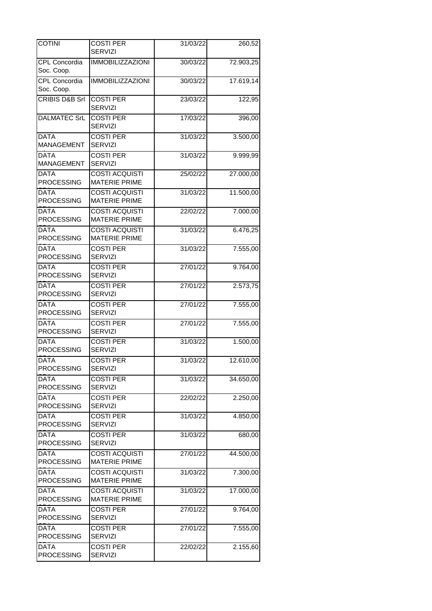| <b>COTINI</b>                      | <b>COSTI PER</b><br><b>SERVIZI</b>            | 31/03/22 | 260,52    |
|------------------------------------|-----------------------------------------------|----------|-----------|
| <b>CPL Concordia</b><br>Soc. Coop. | <b>IMMOBILIZZAZIONI</b>                       | 30/03/22 | 72.903,25 |
| <b>CPL Concordia</b><br>Soc. Coop. | <b>IMMOBILIZZAZIONI</b>                       | 30/03/22 | 17.619,14 |
| CRIBIS D&B Srl                     | <b>COSTI PER</b><br>SERVIZI                   | 23/03/22 | 122,95    |
| <b>DALMATEC SrL</b>                | <b>COSTI PER</b><br>SERVIZI                   | 17/03/22 | 396,00    |
| <b>DATA</b><br><b>MANAGEMENT</b>   | <b>COSTI PER</b><br><b>SERVIZI</b>            | 31/03/22 | 3.500,00  |
| <b>DATA</b><br><b>MANAGEMENT</b>   | <b>COSTI PER</b><br><b>SERVIZI</b>            | 31/03/22 | 9.999,99  |
| <b>DATA</b><br><b>PROCESSING</b>   | <b>COSTI ACQUISTI</b><br><b>MATERIE PRIME</b> | 25/02/22 | 27.000,00 |
| <b>DATA</b><br><b>PROCESSING</b>   | <b>COSTI ACQUISTI</b><br><b>MATERIE PRIME</b> | 31/03/22 | 11.500,00 |
| <b>DATA</b><br><b>PROCESSING</b>   | <b>COSTI ACQUISTI</b><br><b>MATERIE PRIME</b> | 22/02/22 | 7.000,00  |
| <b>DATA</b><br><b>PROCESSING</b>   | <b>COSTI ACQUISTI</b><br><b>MATERIE PRIME</b> | 31/03/22 | 6.476,25  |
| <b>DATA</b><br><b>PROCESSING</b>   | <b>COSTI PER</b><br><b>SERVIZI</b>            | 31/03/22 | 7.555,00  |
| <b>DATA</b><br><b>PROCESSING</b>   | <b>COSTI PER</b><br><b>SERVIZI</b>            | 27/01/22 | 9.764,00  |
| <b>DATA</b><br><b>PROCESSING</b>   | <b>COSTI PER</b><br><b>SERVIZI</b>            | 27/01/22 | 2.573,75  |
| <b>DATA</b><br><b>PROCESSING</b>   | <b>COSTI PER</b><br><b>SERVIZI</b>            | 27/01/22 | 7.555,00  |
| <b>DATA</b><br>PROCESSING          | <b>COSTI PER</b><br><b>SERVIZI</b>            | 27/01/22 | 7.555,00  |
| <b>DATA</b><br><b>PROCESSING</b>   | <b>COSTI PER</b><br><b>SERVIZI</b>            | 31/03/22 | 1.500,00  |
| <b>DATA</b><br><b>PROCESSING</b>   | <b>COSTI PER</b><br><b>SERVIZI</b>            | 31/03/22 | 12.610,00 |
| <b>DATA</b><br><b>PROCESSING</b>   | <b>COSTI PER</b><br><b>SERVIZI</b>            | 31/03/22 | 34.650,00 |
| <b>DATA</b><br><b>PROCESSING</b>   | <b>COSTI PER</b><br><b>SERVIZI</b>            | 22/02/22 | 2.250,00  |
| DATA<br><b>PROCESSING</b>          | <b>COSTI PER</b><br><b>SERVIZI</b>            | 31/03/22 | 4.850,00  |
| <b>DATA</b><br><b>PROCESSING</b>   | <b>COSTI PER</b><br><b>SERVIZI</b>            | 31/03/22 | 680,00    |
| <b>DATA</b><br><b>PROCESSING</b>   | <b>COSTI ACQUISTI</b><br><b>MATERIE PRIME</b> | 27/01/22 | 44.500,00 |
| <b>DATA</b><br><b>PROCESSING</b>   | <b>COSTI ACQUISTI</b><br><b>MATERIE PRIME</b> | 31/03/22 | 7.300,00  |
| DATA<br><b>PROCESSING</b>          | <b>COSTI ACQUISTI</b><br><b>MATERIE PRIME</b> | 31/03/22 | 17.000,00 |
| <b>DATA</b><br><b>PROCESSING</b>   | <b>COSTI PER</b><br><b>SERVIZI</b>            | 27/01/22 | 9.764,00  |
| <b>DATA</b><br><b>PROCESSING</b>   | <b>COSTI PER</b><br><b>SERVIZI</b>            | 27/01/22 | 7.555,00  |
| DATA<br><b>PROCESSING</b>          | <b>COSTI PER</b><br><b>SERVIZI</b>            | 22/02/22 | 2.155,60  |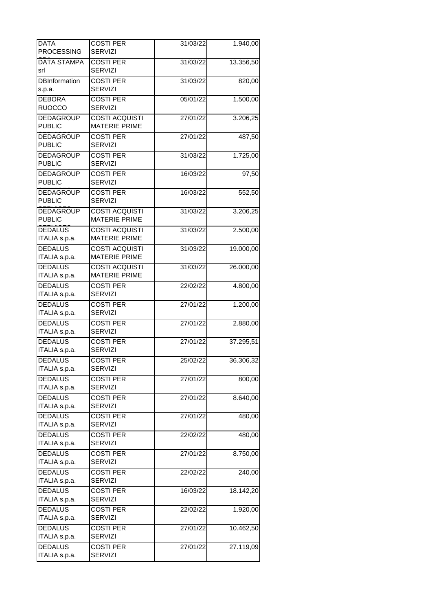| <b>DATA</b>          | <b>COSTI PER</b>                              | 31/03/22 | 1.940,00  |
|----------------------|-----------------------------------------------|----------|-----------|
| <b>PROCESSING</b>    | <b>SERVIZI</b>                                |          |           |
| <b>DATA STAMPA</b>   | <b>COSTI PER</b>                              | 31/03/22 | 13.356,50 |
| srl                  | <b>SERVIZI</b>                                |          |           |
| <b>DBInformation</b> | <b>COSTI PER</b>                              | 31/03/22 | 820,00    |
| s.p.a.               | <b>SERVIZI</b>                                |          |           |
| <b>DEBORA</b>        | <b>COSTI PER</b>                              | 05/01/22 | 1.500,00  |
| <b>RUOCCO</b>        | <b>SERVIZI</b>                                |          |           |
| <b>DEDAGROUP</b>     | <b>COSTI ACQUISTI</b>                         | 27/01/22 | 3.206,25  |
| <b>PUBLIC</b>        | <b>MATERIE PRIME</b>                          |          |           |
| <b>DEDAGROUP</b>     | <b>COSTI PER</b>                              | 27/01/22 | 487,50    |
| <b>PUBLIC</b>        | <b>SERVIZI</b>                                |          |           |
| <b>DEDAGROUP</b>     | <b>COSTI PER</b>                              | 31/03/22 | 1.725,00  |
| <b>PUBLIC</b>        | <b>SERVIZI</b>                                |          |           |
| <b>DEDAGROUP</b>     | <b>COSTI PER</b>                              | 16/03/22 | 97,50     |
| <b>PUBLIC</b>        | <b>SERVIZI</b>                                |          |           |
| <b>DEDAGROUP</b>     | <b>COSTI PER</b>                              | 16/03/22 | 552,50    |
| <b>PUBLIC</b>        | <b>SERVIZI</b>                                |          |           |
| <b>DEDAGROUP</b>     | <b>COSTI ACQUISTI</b>                         | 31/03/22 | 3.206,25  |
| <b>PUBLIC</b>        | <b>MATERIE PRIME</b>                          |          |           |
| <b>DEDALUS</b>       | <b>COSTI ACQUISTI</b>                         | 31/03/22 | 2.500,00  |
| ITALIA s.p.a.        | <b>MATERIE PRIME</b>                          |          |           |
| <b>DEDALUS</b>       |                                               |          |           |
| ITALIA s.p.a.        | <b>COSTI ACQUISTI</b><br><b>MATERIE PRIME</b> | 31/03/22 | 19.000,00 |
|                      |                                               |          |           |
| <b>DEDALUS</b>       | <b>COSTI ACQUISTI</b>                         | 31/03/22 | 26.000,00 |
| ITALIA s.p.a.        | <b>MATERIE PRIME</b>                          |          |           |
| <b>DEDALUS</b>       | <b>COSTI PER</b>                              | 22/02/22 | 4.800,00  |
| ITALIA s.p.a.        | SERVIZI                                       |          |           |
| <b>DEDALUS</b>       | <b>COSTI PER</b>                              | 27/01/22 | 1.200,00  |
| ITALIA s.p.a.        | <b>SERVIZI</b>                                |          |           |
| <b>DEDALUS</b>       | <b>COSTI PER</b>                              | 27/01/22 | 2.880,00  |
| ITALIA s.p.a.        | <b>SERVIZI</b>                                |          |           |
| <b>DEDALUS</b>       | <b>COSTI PER</b>                              | 27/01/22 | 37.295,51 |
| ITALIA s.p.a.        | <b>SERVIZI</b>                                |          |           |
| <b>DEDALUS</b>       | <b>COSTI PER</b>                              | 25/02/22 | 36.306,32 |
| ITALIA s.p.a.        | <b>SERVIZI</b>                                |          |           |
| <b>DEDALUS</b>       | <b>COSTI PER</b>                              | 27/01/22 | 800,00    |
| ITALIA s.p.a.        | <b>SERVIZI</b>                                |          |           |
| <b>DEDALUS</b>       | <b>COSTI PER</b>                              | 27/01/22 | 8.640,00  |
| ITALIA s.p.a.        | <b>SERVIZI</b>                                |          |           |
| <b>DEDALUS</b>       | <b>COSTI PER</b>                              | 27/01/22 | 480,00    |
| ITALIA s.p.a.        | <b>SERVIZI</b>                                |          |           |
| <b>DEDALUS</b>       | <b>COSTI PER</b>                              | 22/02/22 | 480,00    |
| ITALIA s.p.a.        | <b>SERVIZI</b>                                |          |           |
| <b>DEDALUS</b>       | <b>COSTI PER</b>                              | 27/01/22 | 8.750,00  |
| ITALIA s.p.a.        | <b>SERVIZI</b>                                |          |           |
| <b>DEDALUS</b>       | <b>COSTI PER</b>                              | 22/02/22 | 240,00    |
| ITALIA s.p.a.        | <b>SERVIZI</b>                                |          |           |
| <b>DEDALUS</b>       | <b>COSTI PER</b>                              | 16/03/22 | 18.142,20 |
| ITALIA s.p.a.        | <b>SERVIZI</b>                                |          |           |
| <b>DEDALUS</b>       | <b>COSTI PER</b>                              | 22/02/22 | 1.920,00  |
| ITALIA s.p.a.        | <b>SERVIZI</b>                                |          |           |
| <b>DEDALUS</b>       | <b>COSTI PER</b>                              | 27/01/22 | 10.462,50 |
| ITALIA s.p.a.        | <b>SERVIZI</b>                                |          |           |
| <b>DEDALUS</b>       | <b>COSTI PER</b>                              | 27/01/22 | 27.119,09 |
| ITALIA s.p.a.        | <b>SERVIZI</b>                                |          |           |
|                      |                                               |          |           |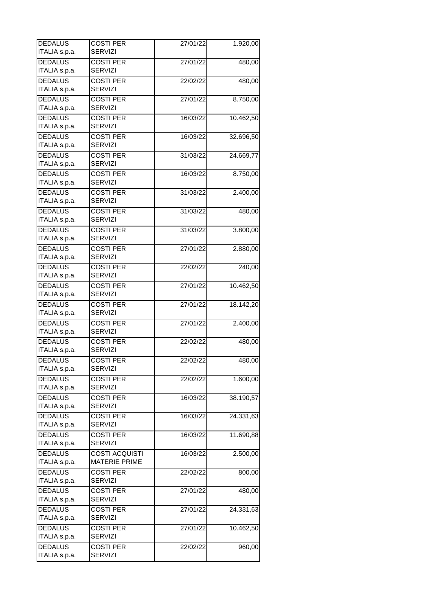| <b>DEDALUS</b> | <b>COSTI PER</b>      | 27/01/22 | 1.920,00  |
|----------------|-----------------------|----------|-----------|
| ITALIA s.p.a.  | <b>SERVIZI</b>        |          |           |
| <b>DEDALUS</b> | <b>COSTI PER</b>      | 27/01/22 | 480,00    |
| ITALIA s.p.a.  | <b>SERVIZI</b>        |          |           |
| <b>DEDALUS</b> | <b>COSTI PER</b>      | 22/02/22 | 480,00    |
| ITALIA s.p.a.  | <b>SERVIZI</b>        |          |           |
| <b>DEDALUS</b> | <b>COSTI PER</b>      | 27/01/22 | 8.750,00  |
| ITALIA s.p.a.  | <b>SERVIZI</b>        |          |           |
| <b>DEDALUS</b> | <b>COSTI PER</b>      | 16/03/22 | 10.462,50 |
| ITALIA s.p.a.  | <b>SERVIZI</b>        |          |           |
| <b>DEDALUS</b> | <b>COSTI PER</b>      | 16/03/22 | 32.696,50 |
| ITALIA s.p.a.  | SERVIZI               |          |           |
| <b>DEDALUS</b> | <b>COSTI PER</b>      | 31/03/22 | 24.669,77 |
| ITALIA s.p.a.  | <b>SERVIZI</b>        |          |           |
| <b>DEDALUS</b> | <b>COSTI PER</b>      | 16/03/22 | 8.750,00  |
| ITALIA s.p.a.  | <b>SERVIZI</b>        |          |           |
| <b>DEDALUS</b> | <b>COSTI PER</b>      | 31/03/22 | 2.400,00  |
| ITALIA s.p.a.  | <b>SERVIZI</b>        |          |           |
| <b>DEDALUS</b> | <b>COSTI PER</b>      |          |           |
| ITALIA s.p.a.  | <b>SERVIZI</b>        | 31/03/22 | 480,00    |
|                |                       |          |           |
| <b>DEDALUS</b> | <b>COSTI PER</b>      | 31/03/22 | 3.800,00  |
| ITALIA s.p.a.  | SERVIZI               |          |           |
| <b>DEDALUS</b> | <b>COSTI PER</b>      | 27/01/22 | 2.880,00  |
| ITALIA s.p.a.  | <b>SERVIZI</b>        |          |           |
| <b>DEDALUS</b> | <b>COSTI PER</b>      | 22/02/22 | 240,00    |
| ITALIA s.p.a.  | <b>SERVIZI</b>        |          |           |
| <b>DEDALUS</b> | <b>COSTI PER</b>      | 27/01/22 | 10.462,50 |
| ITALIA s.p.a.  | <b>SERVIZI</b>        |          |           |
| <b>DEDALUS</b> | <b>COSTI PER</b>      | 27/01/22 | 18.142,20 |
| ITALIA s.p.a.  | <b>SERVIZI</b>        |          |           |
| <b>DEDALUS</b> | <b>COSTI PER</b>      | 27/01/22 | 2.400,00  |
| ITALIA s.p.a.  | <b>SERVIZI</b>        |          |           |
| <b>DEDALUS</b> | <b>COSTI PER</b>      | 22/02/22 | 480,00    |
| ITALIA s.p.a.  | <b>SERVIZI</b>        |          |           |
| <b>DEDALUS</b> | <b>COSTI PER</b>      | 22/02/22 | 480,00    |
| ITALIA s.p.a.  | <b>SERVIZI</b>        |          |           |
| <b>DEDALUS</b> | <b>COSTI PER</b>      | 22/02/22 | 1.600,00  |
| ITALIA s.p.a.  | <b>SERVIZI</b>        |          |           |
| <b>DEDALUS</b> | <b>COSTI PER</b>      | 16/03/22 | 38.190,57 |
| ITALIA s.p.a.  | <b>SERVIZI</b>        |          |           |
| <b>DEDALUS</b> | <b>COSTI PER</b>      | 16/03/22 | 24.331,63 |
| ITALIA s.p.a.  | <b>SERVIZI</b>        |          |           |
| <b>DEDALUS</b> | <b>COSTI PER</b>      | 16/03/22 | 11.690,88 |
| ITALIA s.p.a.  | <b>SERVIZI</b>        |          |           |
| <b>DEDALUS</b> | <b>COSTI ACQUISTI</b> | 16/03/22 | 2.500,00  |
| ITALIA s.p.a.  | <b>MATERIE PRIME</b>  |          |           |
| <b>DEDALUS</b> | <b>COSTI PER</b>      | 22/02/22 | 800,00    |
| ITALIA s.p.a.  | <b>SERVIZI</b>        |          |           |
| <b>DEDALUS</b> | <b>COSTI PER</b>      | 27/01/22 | 480,00    |
| ITALIA s.p.a.  | <b>SERVIZI</b>        |          |           |
| <b>DEDALUS</b> | <b>COSTI PER</b>      |          |           |
| ITALIA s.p.a.  | <b>SERVIZI</b>        | 27/01/22 | 24.331,63 |
|                |                       |          |           |
| <b>DEDALUS</b> | <b>COSTI PER</b>      | 27/01/22 | 10.462,50 |
| ITALIA s.p.a.  | <b>SERVIZI</b>        |          |           |
| <b>DEDALUS</b> | <b>COSTI PER</b>      | 22/02/22 | 960,00    |
| ITALIA s.p.a.  | <b>SERVIZI</b>        |          |           |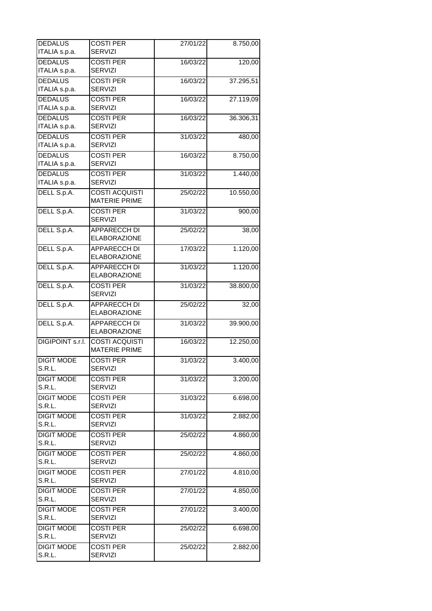| <b>DEDALUS</b>                  | <b>COSTI PER</b><br><b>SERVIZI</b>         | 27/01/22 | 8.750,00  |
|---------------------------------|--------------------------------------------|----------|-----------|
| ITALIA s.p.a.<br><b>DEDALUS</b> | <b>COSTI PER</b>                           |          |           |
| ITALIA s.p.a.                   | <b>SERVIZI</b>                             | 16/03/22 | 120,00    |
| <b>DEDALUS</b>                  | <b>COSTI PER</b>                           | 16/03/22 | 37.295,51 |
| ITALIA s.p.a.                   | <b>SERVIZI</b>                             |          |           |
| <b>DEDALUS</b>                  | <b>COSTI PER</b>                           | 16/03/22 | 27.119,09 |
| ITALIA s.p.a.                   | <b>SERVIZI</b>                             |          |           |
| <b>DEDALUS</b>                  | <b>COSTI PER</b>                           | 16/03/22 | 36.306,31 |
| ITALIA s.p.a.                   | <b>SERVIZI</b>                             |          |           |
| <b>DEDALUS</b>                  | <b>COSTI PER</b>                           | 31/03/22 | 480,00    |
| ITALIA s.p.a.                   | <b>SERVIZI</b>                             |          |           |
| <b>DEDALUS</b>                  | <b>COSTI PER</b>                           | 16/03/22 | 8.750,00  |
| ITALIA s.p.a.                   | SERVIZI                                    |          |           |
| <b>DEDALUS</b>                  | <b>COSTI PER</b>                           | 31/03/22 | 1.440,00  |
| ITALIA s.p.a.                   | <b>SERVIZI</b>                             |          |           |
| DELL S.p.A.                     | <b>COSTI ACQUISTI</b>                      | 25/02/22 | 10.550,00 |
|                                 | <b>MATERIE PRIME</b>                       |          |           |
| DELL S.p.A.                     | <b>COSTI PER</b>                           | 31/03/22 | 900,00    |
|                                 | <b>SERVIZI</b>                             |          |           |
| DELL S.p.A.                     | <b>APPARECCH DI</b>                        | 25/02/22 | 38,00     |
|                                 | <b>ELABORAZIONE</b>                        |          |           |
| DELL S.p.A.                     | <b>APPARECCH DI</b>                        | 17/03/22 | 1.120,00  |
|                                 | <b>ELABORAZIONE</b>                        |          |           |
| DELL S.p.A.                     | <b>APPARECCH DI</b><br><b>ELABORAZIONE</b> | 31/03/22 | 1.120,00  |
| DELL S.p.A.                     | <b>COSTI PER</b>                           | 31/03/22 | 38.800,00 |
|                                 | <b>SERVIZI</b>                             |          |           |
| DELL S.p.A.                     | <b>APPARECCH DI</b>                        | 25/02/22 | 32,00     |
|                                 | <b>ELABORAZIONE</b>                        |          |           |
| DELL S.p.A.                     | <b>APPARECCH DI</b>                        | 31/03/22 | 39.900,00 |
|                                 | <b>ELABORAZIONE</b>                        |          |           |
| <b>DIGIPOINT s.r.l.</b>         | <b>COSTI ACQUISTI</b>                      | 16/03/22 | 12.250,00 |
|                                 | <b>MATERIE PRIME</b>                       |          |           |
| <b>DIGIT MODE</b>               | <b>COSTI PER</b>                           | 31/03/22 | 3.400,00  |
| S.R.L.                          | <b>SERVIZI</b>                             |          |           |
| <b>DIGIT MODE</b>               | <b>COSTI PER</b>                           | 31/03/22 | 3.200,00  |
| S.R.L.                          | <b>SERVIZI</b>                             |          |           |
| <b>DIGIT MODE</b>               | <b>COSTI PER</b>                           | 31/03/22 | 6.698,00  |
| S.R.L.                          | <b>SERVIZI</b>                             |          |           |
| <b>DIGIT MODE</b>               | <b>COSTI PER</b>                           | 31/03/22 | 2.882,00  |
| S.R.L.                          | <b>SERVIZI</b>                             |          |           |
| <b>DIGIT MODE</b>               | <b>COSTI PER</b>                           | 25/02/22 | 4.860,00  |
| S.R.L.                          | <b>SERVIZI</b>                             |          |           |
| <b>DIGIT MODE</b>               | <b>COSTI PER</b>                           | 25/02/22 | 4.860,00  |
| S.R.L.                          | <b>SERVIZI</b>                             |          |           |
| <b>DIGIT MODE</b>               | <b>COSTI PER</b>                           | 27/01/22 | 4.810,00  |
| S.R.L.                          | <b>SERVIZI</b>                             |          |           |
| <b>DIGIT MODE</b><br>S.R.L.     | <b>COSTI PER</b><br><b>SERVIZI</b>         | 27/01/22 | 4.850,00  |
| <b>DIGIT MODE</b>               | <b>COSTI PER</b>                           | 27/01/22 | 3.400,00  |
| S.R.L.                          | <b>SERVIZI</b>                             |          |           |
| <b>DIGIT MODE</b>               | <b>COSTI PER</b>                           | 25/02/22 | 6.698,00  |
| S.R.L.                          | <b>SERVIZI</b>                             |          |           |
| <b>DIGIT MODE</b>               | <b>COSTI PER</b>                           | 25/02/22 | 2.882,00  |
| S.R.L.                          | <b>SERVIZI</b>                             |          |           |
|                                 |                                            |          |           |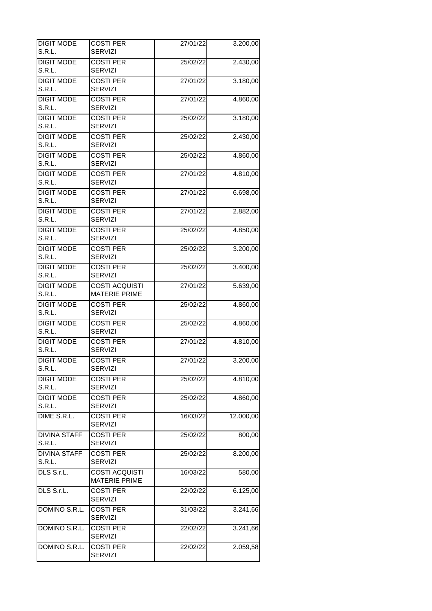| <b>DIGIT MODE</b>           | <b>COSTI PER</b>                   | 27/01/22 | 3.200,00  |
|-----------------------------|------------------------------------|----------|-----------|
| S.R.L.                      | <b>SERVIZI</b>                     |          |           |
| <b>DIGIT MODE</b>           | <b>COSTI PER</b>                   | 25/02/22 | 2.430,00  |
| S.R.L.                      | <b>SERVIZI</b>                     |          |           |
| <b>DIGIT MODE</b>           | <b>COSTI PER</b>                   | 27/01/22 | 3.180,00  |
| S.R.L.                      | <b>SERVIZI</b>                     |          |           |
| <b>DIGIT MODE</b>           | <b>COSTI PER</b>                   | 27/01/22 | 4.860,00  |
| S.R.L.                      | <b>SERVIZI</b>                     |          |           |
| <b>DIGIT MODE</b>           | <b>COSTI PER</b>                   | 25/02/22 | 3.180,00  |
| S.R.L.                      | <b>SERVIZI</b>                     |          |           |
| <b>DIGIT MODE</b>           | <b>COSTI PER</b>                   | 25/02/22 | 2.430,00  |
| S.R.L.                      | <b>SERVIZI</b>                     |          |           |
| <b>DIGIT MODE</b>           | <b>COSTI PER</b>                   | 25/02/22 | 4.860,00  |
| S.R.L.                      | <b>SERVIZI</b>                     |          |           |
| <b>DIGIT MODE</b>           | <b>COSTI PER</b>                   | 27/01/22 | 4.810,00  |
| S.R.L.                      | <b>SERVIZI</b>                     |          |           |
| <b>DIGIT MODE</b>           | <b>COSTI PER</b>                   | 27/01/22 | 6.698,00  |
| S.R.L.                      | <b>SERVIZI</b>                     |          |           |
| <b>DIGIT MODE</b>           | <b>COSTI PER</b>                   | 27/01/22 | 2.882,00  |
| S.R.L.                      | <b>SERVIZI</b>                     |          |           |
| <b>DIGIT MODE</b>           | <b>COSTI PER</b>                   | 25/02/22 | 4.850,00  |
| S.R.L.                      | <b>SERVIZI</b>                     |          |           |
| <b>DIGIT MODE</b>           | <b>COSTI PER</b>                   |          | 3.200,00  |
| S.R.L.                      | <b>SERVIZI</b>                     | 25/02/22 |           |
|                             |                                    |          |           |
| <b>DIGIT MODE</b><br>S.R.L. | <b>COSTI PER</b><br><b>SERVIZI</b> | 25/02/22 | 3.400,00  |
|                             |                                    |          |           |
| <b>DIGIT MODE</b>           | <b>COSTI ACQUISTI</b>              | 27/01/22 | 5.639,00  |
| S.R.L.                      | <b>MATERIE PRIME</b>               |          |           |
| <b>DIGIT MODE</b>           | <b>COSTI PER</b>                   | 25/02/22 | 4.860,00  |
| S.R.L.                      | <b>SERVIZI</b>                     |          |           |
| <b>DIGIT MODE</b>           | <b>COSTI PER</b>                   | 25/02/22 | 4.860,00  |
| S.R.L.                      | <b>SERVIZI</b>                     |          |           |
| <b>DIGIT MODE</b>           | <b>COSTI PER</b>                   | 27/01/22 | 4.810,00  |
| S.R.L.                      | <b>SERVIZI</b>                     |          |           |
| <b>DIGIT MODE</b>           | <b>COSTI PER</b>                   | 27/01/22 | 3.200,00  |
| S.R.L.                      | <b>SERVIZI</b>                     |          |           |
| <b>DIGIT MODE</b>           | <b>COSTI PER</b>                   | 25/02/22 | 4.810,00  |
| S.R.L.                      | <b>SERVIZI</b>                     |          |           |
| <b>DIGIT MODE</b>           | <b>COSTI PER</b>                   | 25/02/22 | 4.860,00  |
| S.R.L.                      | <b>SERVIZI</b>                     |          |           |
| DIME S.R.L.                 | <b>COSTI PER</b>                   | 16/03/22 | 12,000,00 |
|                             | <b>SERVIZI</b>                     |          |           |
| <b>DIVINA STAFF</b>         | <b>COSTI PER</b>                   | 25/02/22 | 800,00    |
| S.R.L.                      | <b>SERVIZI</b>                     |          |           |
| <b>DIVINA STAFF</b>         | <b>COSTI PER</b>                   | 25/02/22 | 8.200,00  |
| S.R.L.                      | <b>SERVIZI</b>                     |          |           |
| DLS S.r.L.                  | <b>COSTI ACQUISTI</b>              | 16/03/22 | 580,00    |
|                             | <b>MATERIE PRIME</b>               |          |           |
| DLS S.r.L.                  | <b>COSTI PER</b>                   | 22/02/22 | 6.125,00  |
|                             | <b>SERVIZI</b>                     |          |           |
| DOMINO S.R.L.               | <b>COSTI PER</b>                   | 31/03/22 | 3.241,66  |
|                             | <b>SERVIZI</b>                     |          |           |
| DOMINO S.R.L.               | <b>COSTI PER</b>                   | 22/02/22 | 3.241,66  |
|                             | <b>SERVIZI</b>                     |          |           |
|                             |                                    |          |           |
| DOMINO S.R.L.               | <b>COSTI PER</b>                   | 22/02/22 | 2.059,58  |
|                             | <b>SERVIZI</b>                     |          |           |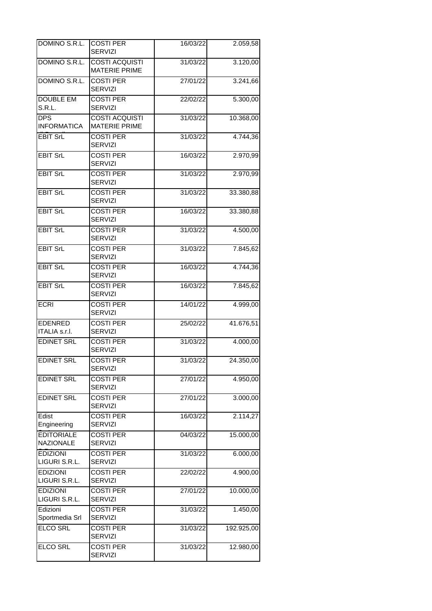| DOMINO S.R.L.                         | <b>COSTI PER</b><br><b>SERVIZI</b>            | 16/03/22 | 2.059,58   |
|---------------------------------------|-----------------------------------------------|----------|------------|
| DOMINO S.R.L.                         | <b>COSTI ACQUISTI</b><br><b>MATERIE PRIME</b> | 31/03/22 | 3.120,00   |
| DOMINO S.R.L.                         | <b>COSTI PER</b><br><b>SERVIZI</b>            | 27/01/22 | 3.241,66   |
| <b>DOUBLE EM</b><br>S.R.L.            | <b>COSTI PER</b><br><b>SERVIZI</b>            | 22/02/22 | 5.300,00   |
| <b>DPS</b><br><b>INFORMATICA</b>      | <b>COSTI ACQUISTI</b><br><b>MATERIE PRIME</b> | 31/03/22 | 10.368,00  |
| <b>EBIT SrL</b>                       | <b>COSTI PER</b><br><b>SERVIZI</b>            | 31/03/22 | 4.744,36   |
| <b>EBIT SrL</b>                       | <b>COSTI PER</b><br><b>SERVIZI</b>            | 16/03/22 | 2.970,99   |
| <b>EBIT SrL</b>                       | <b>COSTI PER</b><br><b>SERVIZI</b>            | 31/03/22 | 2.970,99   |
| <b>EBIT SrL</b>                       | <b>COSTI PER</b><br><b>SERVIZI</b>            | 31/03/22 | 33.380,88  |
| <b>EBIT SrL</b>                       | <b>COSTI PER</b><br><b>SERVIZI</b>            | 16/03/22 | 33.380,88  |
| <b>EBIT SrL</b>                       | <b>COSTI PER</b><br><b>SERVIZI</b>            | 31/03/22 | 4.500,00   |
| <b>EBIT SrL</b>                       | <b>COSTI PER</b><br><b>SERVIZI</b>            | 31/03/22 | 7.845,62   |
| <b>EBIT SrL</b>                       | <b>COSTI PER</b><br><b>SERVIZI</b>            | 16/03/22 | 4.744,36   |
| <b>EBIT SrL</b>                       | <b>COSTI PER</b><br><b>SERVIZI</b>            | 16/03/22 | 7.845,62   |
| <b>ECRI</b>                           | <b>COSTI PER</b><br><b>SERVIZI</b>            | 14/01/22 | 4.999,00   |
| <b>EDENRED</b><br>ITALIA s.r.l.       | <b>COSTI PER</b><br><b>SERVIZI</b>            | 25/02/22 | 41.676,51  |
| <b>EDINET SRL</b>                     | <b>COSTI PER</b><br><b>SERVIZI</b>            | 31/03/22 | 4.000,00   |
| <b>EDINET SRL</b>                     | <b>COSTI PER</b><br><b>SERVIZI</b>            | 31/03/22 | 24.350,00  |
| <b>EDINET SRL</b>                     | <b>COSTI PER</b><br><b>SERVIZI</b>            | 27/01/22 | 4.950,00   |
| <b>EDINET SRL</b>                     | <b>COSTI PER</b><br><b>SERVIZI</b>            | 27/01/22 | 3.000,00   |
| Edist<br>Engineering                  | <b>COSTI PER</b><br><b>SERVIZI</b>            | 16/03/22 | 2.114,27   |
| <b>EDITORIALE</b><br><b>NAZIONALE</b> | <b>COSTI PER</b><br><b>SERVIZI</b>            | 04/03/22 | 15.000,00  |
| <b>EDIZIONI</b><br>LIGURI S.R.L.      | <b>COSTI PER</b><br><b>SERVIZI</b>            | 31/03/22 | 6.000,00   |
| <b>EDIZIONI</b><br>LIGURI S.R.L.      | <b>COSTI PER</b><br><b>SERVIZI</b>            | 22/02/22 | 4.900,00   |
| <b>EDIZIONI</b><br>LIGURI S.R.L.      | <b>COSTI PER</b><br><b>SERVIZI</b>            | 27/01/22 | 10.000,00  |
| Edizioni<br>Sportmedia Srl            | <b>COSTI PER</b><br><b>SERVIZI</b>            | 31/03/22 | 1.450,00   |
| <b>ELCO SRL</b>                       | <b>COSTI PER</b><br><b>SERVIZI</b>            | 31/03/22 | 192.925,00 |
| <b>ELCO SRL</b>                       | <b>COSTI PER</b><br><b>SERVIZI</b>            | 31/03/22 | 12.980,00  |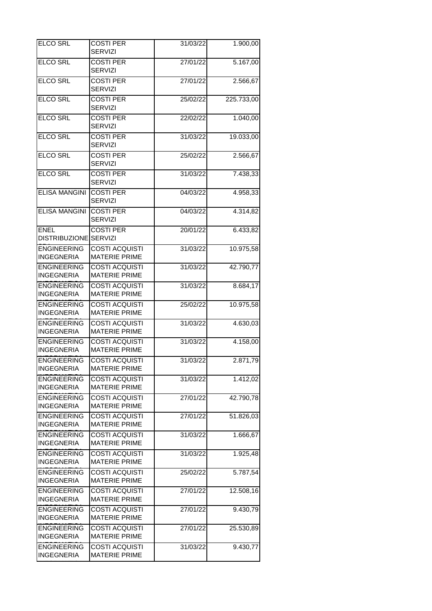| <b>ELCO SRL</b>                         | <b>COSTI PER</b><br><b>SERVIZI</b>            | 31/03/22 | 1.900,00   |
|-----------------------------------------|-----------------------------------------------|----------|------------|
| <b>ELCO SRL</b>                         | <b>COSTI PER</b><br><b>SERVIZI</b>            | 27/01/22 | 5.167,00   |
| <b>ELCO SRL</b>                         | <b>COSTI PER</b><br><b>SERVIZI</b>            | 27/01/22 | 2.566,67   |
| <b>ELCO SRL</b>                         | <b>COSTI PER</b><br><b>SERVIZI</b>            | 25/02/22 | 225.733,00 |
| <b>ELCO SRL</b>                         | <b>COSTI PER</b><br><b>SERVIZI</b>            | 22/02/22 | 1.040,00   |
| <b>ELCO SRL</b>                         | <b>COSTI PER</b><br><b>SERVIZI</b>            | 31/03/22 | 19.033,00  |
| <b>ELCO SRL</b>                         | <b>COSTI PER</b><br><b>SERVIZI</b>            | 25/02/22 | 2.566,67   |
| <b>ELCO SRL</b>                         | <b>COSTI PER</b><br><b>SERVIZI</b>            | 31/03/22 | 7.438,33   |
| <b>ELISA MANGINI</b>                    | <b>COSTI PER</b><br><b>SERVIZI</b>            | 04/03/22 | 4.958,33   |
| <b>ELISA MANGINI</b>                    | <b>COSTI PER</b><br><b>SERVIZI</b>            | 04/03/22 | 4.314,82   |
| <b>ENEL</b><br>DISTRIBUZIONE            | <b>COSTI PER</b><br><b>SERVIZI</b>            | 20/01/22 | 6.433,82   |
| <b>ENGINEERING</b><br><b>INGEGNERIA</b> | <b>COSTI ACQUISTI</b><br><b>MATERIE PRIME</b> | 31/03/22 | 10.975,58  |
| <b>ENGINEERING</b><br><b>INGEGNERIA</b> | <b>COSTI ACQUISTI</b><br><b>MATERIE PRIME</b> | 31/03/22 | 42.790,77  |
| <b>ENGINEERING</b><br><b>INGEGNERIA</b> | <b>COSTI ACQUISTI</b><br><b>MATERIE PRIME</b> | 31/03/22 | 8.684,17   |
| <b>ENGINEERING</b><br><b>INGEGNERIA</b> | <b>COSTI ACQUISTI</b><br><b>MATERIE PRIME</b> | 25/02/22 | 10.975,58  |
| <b>ENGINEERING</b><br><b>INGEGNERIA</b> | <b>COSTI ACQUISTI</b><br><b>MATERIE PRIME</b> | 31/03/22 | 4.630,03   |
| <b>ENGINEERING</b><br><b>INGEGNERIA</b> | <b>COSTI ACQUISTI</b><br><b>MATERIE PRIME</b> | 31/03/22 | 4.158,00   |
| <b>ENGINEERING</b><br><b>INGEGNERIA</b> | <b>COSTI ACQUISTI</b><br><b>MATERIE PRIME</b> | 31/03/22 | 2.871,79   |
| <b>ENGINEERING</b><br><b>INGEGNERIA</b> | <b>COSTI ACQUISTI</b><br><b>MATERIE PRIME</b> | 31/03/22 | 1.412,02   |
| <b>ENGINEERING</b><br><b>INGEGNERIA</b> | <b>COSTI ACQUISTI</b><br><b>MATERIE PRIME</b> | 27/01/22 | 42.790,78  |
| <b>ENGINEERING</b><br><b>INGEGNERIA</b> | <b>COSTI ACQUISTI</b><br><b>MATERIE PRIME</b> | 27/01/22 | 51.826,03  |
| <b>ENGINEERING</b><br><b>INGEGNERIA</b> | <b>COSTI ACQUISTI</b><br><b>MATERIE PRIME</b> | 31/03/22 | 1.666,67   |
| <b>ENGINEERING</b><br><b>INGEGNERIA</b> | <b>COSTI ACQUISTI</b><br><b>MATERIE PRIME</b> | 31/03/22 | 1.925,48   |
| <b>ENGINEERING</b><br><b>INGEGNERIA</b> | <b>COSTI ACQUISTI</b><br><b>MATERIE PRIME</b> | 25/02/22 | 5.787,54   |
| <b>ENGINEERING</b><br><b>INGEGNERIA</b> | <b>COSTI ACQUISTI</b><br><b>MATERIE PRIME</b> | 27/01/22 | 12.508,16  |
| <b>ENGINEERING</b><br><b>INGEGNERIA</b> | <b>COSTI ACQUISTI</b><br><b>MATERIE PRIME</b> | 27/01/22 | 9.430,79   |
| <b>ENGINEERING</b><br><b>INGEGNERIA</b> | <b>COSTI ACQUISTI</b><br><b>MATERIE PRIME</b> | 27/01/22 | 25.530,89  |
| <b>ENGINEERING</b><br><b>INGEGNERIA</b> | <b>COSTI ACQUISTI</b><br><b>MATERIE PRIME</b> | 31/03/22 | 9.430,77   |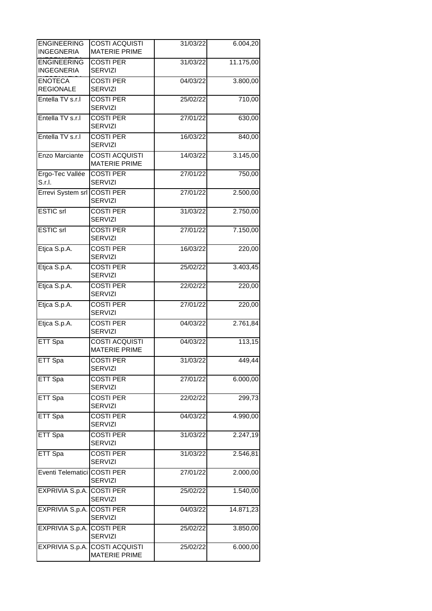| <b>ENGINEERING</b><br><b>INGEGNERIA</b> | <b>COSTI ACQUISTI</b><br><b>MATERIE PRIME</b>          | 31/03/22 | 6.004,20  |
|-----------------------------------------|--------------------------------------------------------|----------|-----------|
| <b>ENGINEERING</b><br><b>INGEGNERIA</b> | <b>COSTI PER</b><br><b>SERVIZI</b>                     | 31/03/22 | 11.175,00 |
| <b>ENOTECA</b><br><b>REGIONALE</b>      | <b>COSTI PER</b><br><b>SERVIZI</b>                     | 04/03/22 | 3.800,00  |
| Entella TV s.r.l                        | <b>COSTI PER</b><br><b>SERVIZI</b>                     | 25/02/22 | 710,00    |
| Entella TV s.r.l                        | <b>COSTI PER</b><br>SERVIZI                            | 27/01/22 | 630,00    |
| Entella TV s.r.l                        | <b>COSTI PER</b><br><b>SERVIZI</b>                     | 16/03/22 | 840,00    |
| Enzo Marciante                          | <b>COSTI ACQUISTI</b><br><b>MATERIE PRIME</b>          | 14/03/22 | 3.145,00  |
| Ergo-Tec Vallée<br>S.r.I.               | <b>COSTI PER</b><br><b>SERVIZI</b>                     | 27/01/22 | 750,00    |
| Errevi System srl                       | <b>COSTI PER</b><br><b>SERVIZI</b>                     | 27/01/22 | 2.500,00  |
| <b>ESTIC</b> srl                        | <b>COSTI PER</b><br><b>SERVIZI</b>                     | 31/03/22 | 2.750,00  |
| <b>ESTIC</b> srl                        | <b>COSTI PER</b><br><b>SERVIZI</b>                     | 27/01/22 | 7.150,00  |
| Etjca S.p.A.                            | <b>COSTI PER</b><br><b>SERVIZI</b>                     | 16/03/22 | 220,00    |
| Etica S.p.A.                            | <b>COSTI PER</b><br><b>SERVIZI</b>                     | 25/02/22 | 3.403,45  |
| Etjca S.p.A.                            | <b>COSTI PER</b><br><b>SERVIZI</b>                     | 22/02/22 | 220,00    |
| Etjca S.p.A.                            | <b>COSTI PER</b><br><b>SERVIZI</b>                     | 27/01/22 | 220,00    |
| Etjca S.p.A.                            | <b>COSTI PER</b><br><b>SERVIZI</b>                     | 04/03/22 | 2.761,84  |
| ETT Spa                                 | <b>COSTI ACQUISTI</b><br><b>MATERIE PRIME</b>          | 04/03/22 | 113,15    |
| ETT Spa                                 | <b>COSTI PER</b><br><b>SERVIZI</b>                     | 31/03/22 | 449,44    |
| ETT Spa                                 | <b>COSTI PER</b><br><b>SERVIZI</b>                     | 27/01/22 | 6.000,00  |
| ETT Spa                                 | <b>COSTI PER</b><br><b>SERVIZI</b>                     | 22/02/22 | 299,73    |
| ETT Spa                                 | <b>COSTI PER</b><br><b>SERVIZI</b>                     | 04/03/22 | 4.990,00  |
| ETT Spa                                 | <b>COSTI PER</b><br><b>SERVIZI</b>                     | 31/03/22 | 2.247,19  |
| ETT Spa                                 | <b>COSTI PER</b><br><b>SERVIZI</b>                     | 31/03/22 | 2.546,81  |
| Eventi Telematici COSTI PER             | <b>SERVIZI</b>                                         | 27/01/22 | 2.000,00  |
| EXPRIVIA S.p.A. COSTI PER               | <b>SERVIZI</b>                                         | 25/02/22 | 1.540,00  |
| EXPRIVIA S.p.A. COSTI PER               | <b>SERVIZI</b>                                         | 04/03/22 | 14.871,23 |
| EXPRIVIA S.p.A. COSTI PER               | <b>SERVIZI</b>                                         | 25/02/22 | 3.850,00  |
|                                         | EXPRIVIA S.p.A. COSTI ACQUISTI<br><b>MATERIE PRIME</b> | 25/02/22 | 6.000,00  |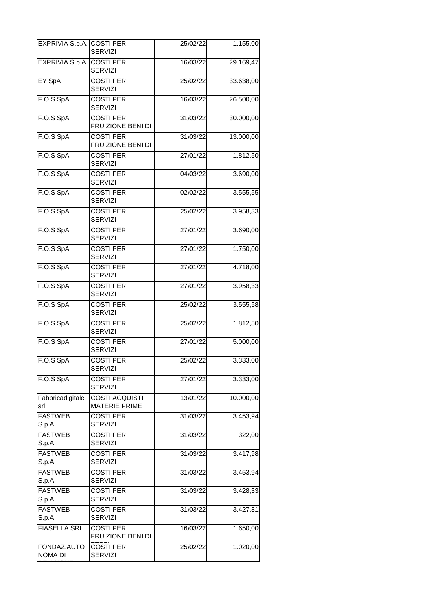| EXPRIVIA S.p.A. COSTI PER | SERVIZI                                       | 25/02/22 | 1.155,00  |
|---------------------------|-----------------------------------------------|----------|-----------|
| EXPRIVIA S.p.A. COSTI PER | <b>SERVIZI</b>                                | 16/03/22 | 29.169,47 |
| EY SpA                    | <b>COSTI PER</b><br><b>SERVIZI</b>            | 25/02/22 | 33.638,00 |
| F.O.S SpA                 | <b>COSTI PER</b><br><b>SERVIZI</b>            | 16/03/22 | 26.500,00 |
| F.O.S SpA                 | <b>COSTI PER</b><br>FRUIZIONE BENI DI         | 31/03/22 | 30.000,00 |
| F.O.S SpA                 | <b>COSTI PER</b><br>FRUIZIONE BENI DI         | 31/03/22 | 13.000,00 |
| F.O.S SpA                 | <b>COSTI PER</b><br><b>SERVIZI</b>            | 27/01/22 | 1.812,50  |
| F.O.S SpA                 | <b>COSTI PER</b><br><b>SERVIZI</b>            | 04/03/22 | 3.690,00  |
| F.O.S SpA                 | <b>COSTI PER</b><br><b>SERVIZI</b>            | 02/02/22 | 3.555,55  |
| F.O.S SpA                 | <b>COSTI PER</b><br><b>SERVIZI</b>            | 25/02/22 | 3.958,33  |
| F.O.S SpA                 | <b>COSTI PER</b><br>SERVIZI                   | 27/01/22 | 3.690,00  |
| F.O.S SpA                 | <b>COSTI PER</b><br><b>SERVIZI</b>            | 27/01/22 | 1.750,00  |
| F.O.S SpA                 | <b>COSTI PER</b><br><b>SERVIZI</b>            | 27/01/22 | 4.718,00  |
| F.O.S SpA                 | <b>COSTI PER</b><br><b>SERVIZI</b>            | 27/01/22 | 3.958,33  |
| F.O.S SpA                 | <b>COSTI PER</b><br><b>SERVIZI</b>            | 25/02/22 | 3.555,58  |
| F.O.S SpA                 | <b>COSTI PER</b><br><b>SERVIZI</b>            | 25/02/22 | 1.812,50  |
| F.O.S SpA                 | <b>COSTI PER</b><br><b>SERVIZI</b>            | 27/01/22 | 5.000,00  |
| F.O.S SpA                 | <b>COSTI PER</b><br><b>SERVIZI</b>            | 25/02/22 | 3.333,00  |
| F.O.S SpA                 | <b>COSTI PER</b><br><b>SERVIZI</b>            | 27/01/22 | 3.333,00  |
| Fabbricadigitale<br>srl   | <b>COSTI ACQUISTI</b><br><b>MATERIE PRIME</b> | 13/01/22 | 10.000,00 |
| <b>FASTWEB</b><br>S.p.A.  | <b>COSTI PER</b><br><b>SERVIZI</b>            | 31/03/22 | 3.453,94  |
| <b>FASTWEB</b><br>S.p.A.  | <b>COSTI PER</b><br><b>SERVIZI</b>            | 31/03/22 | 322,00    |
| <b>FASTWEB</b><br>S.p.A.  | <b>COSTI PER</b><br><b>SERVIZI</b>            | 31/03/22 | 3.417,98  |
| <b>FASTWEB</b><br>S.p.A.  | <b>COSTI PER</b><br><b>SERVIZI</b>            | 31/03/22 | 3.453,94  |
| <b>FASTWEB</b><br>S.p.A.  | <b>COSTI PER</b><br><b>SERVIZI</b>            | 31/03/22 | 3.428,33  |
| <b>FASTWEB</b><br>S.p.A.  | <b>COSTI PER</b><br><b>SERVIZI</b>            | 31/03/22 | 3.427,81  |
| <b>FIASELLA SRL</b>       | <b>COSTI PER</b><br>FRUIZIONE BENI DI         | 16/03/22 | 1.650,00  |
| FONDAZ.AUTO<br>NOMA DI    | <b>COSTI PER</b><br><b>SERVIZI</b>            | 25/02/22 | 1.020,00  |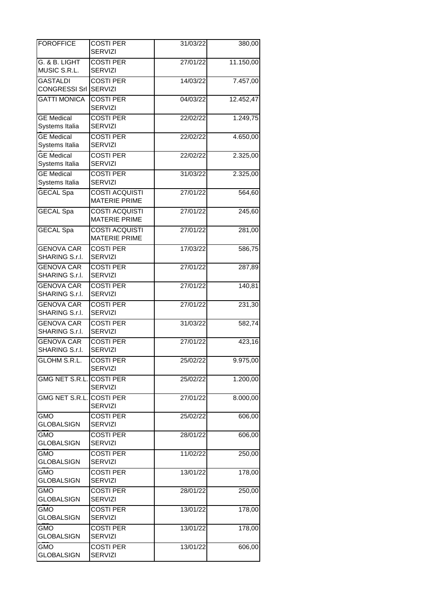| <b>FOROFFICE</b>                    | <b>COSTI PER</b><br><b>SERVIZI</b>            | 31/03/22 | 380,00    |
|-------------------------------------|-----------------------------------------------|----------|-----------|
| G. & B. LIGHT<br>MUSIC S.R.L.       | <b>COSTI PER</b><br><b>SERVIZI</b>            | 27/01/22 | 11.150,00 |
| <b>GASTALDI</b><br>CONGRESSI Srl    | <b>COSTI PER</b><br><b>SERVIZI</b>            | 14/03/22 | 7.457,00  |
| <b>GATTI MONICA</b>                 | <b>COSTI PER</b><br><b>SERVIZI</b>            | 04/03/22 | 12.452,47 |
| <b>GE</b> Medical<br>Systems Italia | <b>COSTI PER</b><br><b>SERVIZI</b>            | 22/02/22 | 1.249,75  |
| <b>GE Medical</b><br>Systems Italia | <b>COSTI PER</b><br><b>SERVIZI</b>            | 22/02/22 | 4.650,00  |
| <b>GE Medical</b><br>Systems Italia | <b>COSTI PER</b><br><b>SERVIZI</b>            | 22/02/22 | 2.325,00  |
| <b>GE</b> Medical<br>Systems Italia | <b>COSTI PER</b><br><b>SERVIZI</b>            | 31/03/22 | 2.325,00  |
| <b>GECAL Spa</b>                    | <b>COSTI ACQUISTI</b><br><b>MATERIE PRIME</b> | 27/01/22 | 564,60    |
| <b>GECAL Spa</b>                    | <b>COSTI ACQUISTI</b><br><b>MATERIE PRIME</b> | 27/01/22 | 245,60    |
| <b>GECAL Spa</b>                    | <b>COSTI ACQUISTI</b><br><b>MATERIE PRIME</b> | 27/01/22 | 281,00    |
| <b>GENOVA CAR</b><br>SHARING S.r.I. | <b>COSTI PER</b><br><b>SERVIZI</b>            | 17/03/22 | 586,75    |
| <b>GENOVA CAR</b><br>SHARING S.r.l. | <b>COSTI PER</b><br><b>SERVIZI</b>            | 27/01/22 | 287,89    |
| <b>GENOVA CAR</b><br>SHARING S.r.l. | <b>COSTI PER</b><br><b>SERVIZI</b>            | 27/01/22 | 140,81    |
| <b>GENOVA CAR</b><br>SHARING S.r.I. | <b>COSTI PER</b><br><b>SERVIZI</b>            | 27/01/22 | 231,30    |
| <b>GENOVA CAR</b><br>SHARING S.r.l. | <b>COSTI PER</b><br><b>SERVIZI</b>            | 31/03/22 | 582,74    |
| <b>GENOVA CAR</b><br>SHARING S.r.I. | <b>COSTI PER</b><br><b>SERVIZI</b>            | 27/01/22 | 423,16    |
| GLOHM S.R.L.                        | <b>COSTI PER</b><br><b>SERVIZI</b>            | 25/02/22 | 9.975,00  |
| GMG NET S.R.L.                      | <b>COSTI PER</b><br><b>SERVIZI</b>            | 25/02/22 | 1.200,00  |
| GMG NET S.R.L.                      | <b>COSTI PER</b><br><b>SERVIZI</b>            | 27/01/22 | 8.000,00  |
| GMO<br><b>GLOBALSIGN</b>            | <b>COSTI PER</b><br><b>SERVIZI</b>            | 25/02/22 | 606,00    |
| <b>GMO</b><br><b>GLOBALSIGN</b>     | <b>COSTI PER</b><br><b>SERVIZI</b>            | 28/01/22 | 606,00    |
| <b>GMO</b><br><b>GLOBALSIGN</b>     | <b>COSTI PER</b><br><b>SERVIZI</b>            | 11/02/22 | 250,00    |
| <b>GMO</b><br><b>GLOBALSIGN</b>     | <b>COSTI PER</b><br><b>SERVIZI</b>            | 13/01/22 | 178,00    |
| <b>GMO</b><br><b>GLOBALSIGN</b>     | <b>COSTI PER</b><br><b>SERVIZI</b>            | 28/01/22 | 250,00    |
| <b>GMO</b><br><b>GLOBALSIGN</b>     | <b>COSTI PER</b><br><b>SERVIZI</b>            | 13/01/22 | 178,00    |
| <b>GMO</b><br><b>GLOBALSIGN</b>     | <b>COSTI PER</b><br><b>SERVIZI</b>            | 13/01/22 | 178,00    |
| <b>GMO</b><br><b>GLOBALSIGN</b>     | <b>COSTI PER</b><br><b>SERVIZI</b>            | 13/01/22 | 606,00    |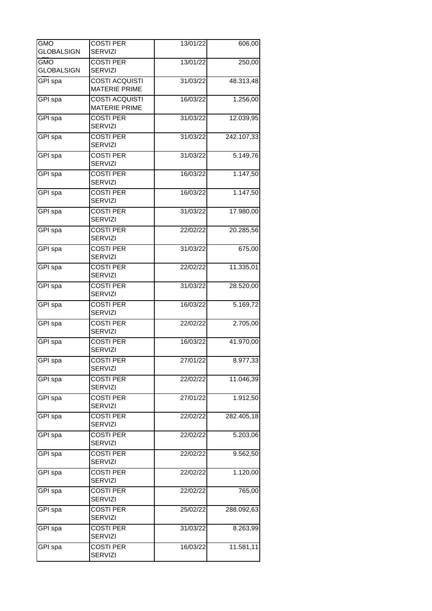| GMO<br>GLOBALSIGN | <b>COSTI PER</b><br><b>SERVIZI</b>            | 13/01/22 | 606,00     |
|-------------------|-----------------------------------------------|----------|------------|
| gmo               | <b>COSTI PER</b>                              | 13/01/22 | 250,00     |
| <b>GLOBALSIGN</b> | <b>SERVIZI</b>                                |          |            |
| GPI spa           | <b>COSTI ACQUISTI</b><br><b>MATERIE PRIME</b> | 31/03/22 | 48.313,48  |
| GPI spa           | <b>COSTI ACQUISTI</b><br><b>MATERIE PRIME</b> | 16/03/22 | 1.256,00   |
| GPI spa           | <b>COSTI PER</b><br><b>SERVIZI</b>            | 31/03/22 | 12.039,95  |
| GPI spa           | <b>COSTI PER</b><br><b>SERVIZI</b>            | 31/03/22 | 242.107,33 |
| GPI spa           | <b>COSTI PER</b><br><b>SERVIZI</b>            | 31/03/22 | 5.149,76   |
| GPI spa           | <b>COSTI PER</b><br><b>SERVIZI</b>            | 16/03/22 | 1.147,50   |
| GPI spa           | <b>COSTI PER</b><br><b>SERVIZI</b>            | 16/03/22 | 1.147,50   |
| GPI spa           | <b>COSTI PER</b><br><b>SERVIZI</b>            | 31/03/22 | 17.980,00  |
| GPI spa           | <b>COSTI PER</b><br><b>SERVIZI</b>            | 22/02/22 | 20.285,56  |
| <b>GPI</b> spa    | <b>COSTI PER</b><br>SERVIZI                   | 31/03/22 | 675,00     |
| GPI spa           | <b>COSTI PER</b><br><b>SERVIZI</b>            | 22/02/22 | 11.335,01  |
| <b>GPI</b> spa    | <b>COSTI PER</b><br><b>SERVIZI</b>            | 31/03/22 | 28.520,00  |
| GPI spa           | <b>COSTI PER</b><br><b>SERVIZI</b>            | 16/03/22 | 5.169,72   |
| GPI spa           | <b>COSTI PER</b><br><b>SERVIZI</b>            | 22/02/22 | 2.705,00   |
| GPI spa           | <b>COSTI PER</b><br><b>SERVIZI</b>            | 16/03/22 | 41.970,00  |
| GPI spa           | <b>COSTI PER</b><br><b>SERVIZI</b>            | 27/01/22 | 8.977,33   |
| GPI spa           | <b>COSTI PER</b><br><b>SERVIZI</b>            | 22/02/22 | 11.046,39  |
| GPI spa           | <b>COSTI PER</b><br><b>SERVIZI</b>            | 27/01/22 | 1.912,50   |
| GPI spa           | <b>COSTI PER</b><br><b>SERVIZI</b>            | 22/02/22 | 282.405,18 |
| GPI spa           | <b>COSTI PER</b><br><b>SERVIZI</b>            | 22/02/22 | 5.203,06   |
| GPI spa           | <b>COSTI PER</b><br><b>SERVIZI</b>            | 22/02/22 | 9.562,50   |
| GPI spa           | <b>COSTI PER</b><br><b>SERVIZI</b>            | 22/02/22 | 1.120,00   |
| GPI spa           | <b>COSTI PER</b><br><b>SERVIZI</b>            | 22/02/22 | 765,00     |
| GPI spa           | <b>COSTI PER</b><br><b>SERVIZI</b>            | 25/02/22 | 288.092,63 |
| GPI spa           | <b>COSTI PER</b><br><b>SERVIZI</b>            | 31/03/22 | 8.263,99   |
| GPI spa           | <b>COSTI PER</b><br><b>SERVIZI</b>            | 16/03/22 | 11.581,11  |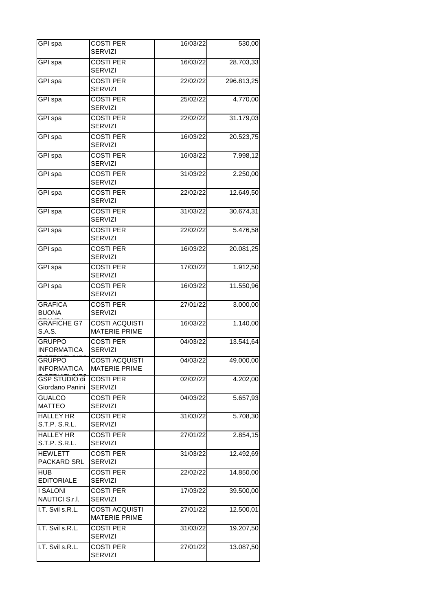| GPI spa                                 | <b>COSTI PER</b><br><b>SERVIZI</b>            | 16/03/22 | 530,00     |
|-----------------------------------------|-----------------------------------------------|----------|------------|
| GPI spa                                 | <b>COSTI PER</b><br><b>SERVIZI</b>            | 16/03/22 | 28.703,33  |
| GPI spa                                 | <b>COSTI PER</b><br><b>SERVIZI</b>            | 22/02/22 | 296.813,25 |
| GPI spa                                 | <b>COSTI PER</b><br><b>SERVIZI</b>            | 25/02/22 | 4.770,00   |
| GPI spa                                 | <b>COSTI PER</b><br><b>SERVIZI</b>            | 22/02/22 | 31.179,03  |
| GPI spa                                 | <b>COSTI PER</b><br><b>SERVIZI</b>            | 16/03/22 | 20.523,75  |
| GPI spa                                 | <b>COSTI PER</b><br><b>SERVIZI</b>            | 16/03/22 | 7.998,12   |
| GPI spa                                 | <b>COSTI PER</b><br><b>SERVIZI</b>            | 31/03/22 | 2.250,00   |
| GPI spa                                 | <b>COSTI PER</b><br><b>SERVIZI</b>            | 22/02/22 | 12.649,50  |
| GPI spa                                 | <b>COSTI PER</b><br><b>SERVIZI</b>            | 31/03/22 | 30.674,31  |
| GPI spa                                 | <b>COSTI PER</b><br><b>SERVIZI</b>            | 22/02/22 | 5.476,58   |
| GPI spa                                 | <b>COSTI PER</b><br><b>SERVIZI</b>            | 16/03/22 | 20.081,25  |
| GPI spa                                 | <b>COSTI PER</b><br><b>SERVIZI</b>            | 17/03/22 | 1.912,50   |
| GPI spa                                 | <b>COSTI PER</b><br><b>SERVIZI</b>            | 16/03/22 | 11.550,96  |
| <b>GRAFICA</b><br><b>BUONA</b>          | <b>COSTI PER</b><br><b>SERVIZI</b>            | 27/01/22 | 3.000,00   |
| <b>GRAFICHE G7</b><br>S.A.S.            | <b>COSTI ACQUISTI</b><br><b>MATERIE PRIME</b> | 16/03/22 | 1.140,00   |
| <b>GRUPPO</b><br><b>INFORMATICA</b>     | <b>COSTI PER</b><br><b>SERVIZI</b>            | 04/03/22 | 13.541,64  |
| <b>GRUPPO</b><br><b>INFORMATICA</b>     | <b>COSTI ACQUISTI</b><br><b>MATERIE PRIME</b> | 04/03/22 | 49.000,00  |
| <b>GSP STUDIO di</b><br>Giordano Panini | <b>COSTI PER</b><br><b>SERVIZI</b>            | 02/02/22 | 4.202,00   |
| <b>GUALCO</b><br><b>MATTEO</b>          | <b>COSTI PER</b><br><b>SERVIZI</b>            | 04/03/22 | 5.657,93   |
| <b>HALLEY HR</b><br>S.T.P. S.R.L.       | <b>COSTI PER</b><br><b>SERVIZI</b>            | 31/03/22 | 5.708,30   |
| <b>HALLEY HR</b><br>S.T.P. S.R.L.       | <b>COSTI PER</b><br><b>SERVIZI</b>            | 27/01/22 | 2.854,15   |
| <b>HEWLETT</b><br>PACKARD SRL           | <b>COSTI PER</b><br><b>SERVIZI</b>            | 31/03/22 | 12.492,69  |
| <b>HUB</b><br><b>EDITORIALE</b>         | <b>COSTI PER</b><br><b>SERVIZI</b>            | 22/02/22 | 14.850,00  |
| <b>I SALONI</b><br>NAUTICI S.r.I.       | <b>COSTI PER</b><br><b>SERVIZI</b>            | 17/03/22 | 39.500,00  |
| I.T. Svil s.R.L.                        | <b>COSTI ACQUISTI</b><br><b>MATERIE PRIME</b> | 27/01/22 | 12.500,01  |
| I.T. Svil s.R.L.                        | <b>COSTI PER</b><br><b>SERVIZI</b>            | 31/03/22 | 19.207,50  |
| I.T. Svil s.R.L.                        | <b>COSTI PER</b><br><b>SERVIZI</b>            | 27/01/22 | 13.087,50  |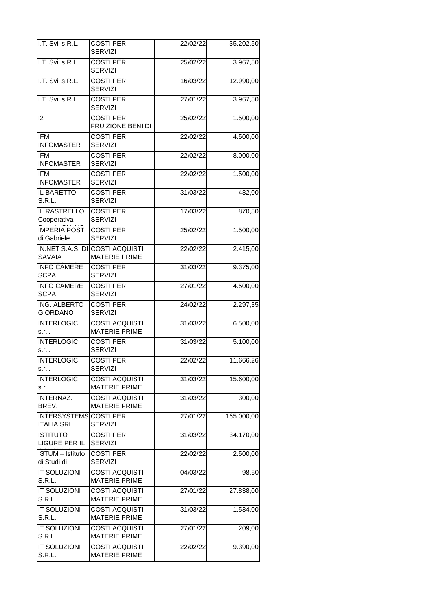| I.T. Svil s.R.L.                            | <b>COSTI PER</b><br><b>SERVIZI</b>                             | 22/02/22 | 35.202,50  |
|---------------------------------------------|----------------------------------------------------------------|----------|------------|
| I.T. Svil s.R.L.                            | <b>COSTI PER</b><br><b>SERVIZI</b>                             | 25/02/22 | 3.967,50   |
| I.T. Svil s.R.L.                            | <b>COSTI PER</b><br><b>SERVIZI</b>                             | 16/03/22 | 12.990,00  |
| I.T. Svil s.R.L.                            | <b>COSTI PER</b><br><b>SERVIZI</b>                             | 27/01/22 | 3.967,50   |
| 2                                           | <b>COSTI PER</b><br>FRUIZIONE BENI DI                          | 25/02/22 | 1.500,00   |
| <b>IFM</b><br><b>INFOMASTER</b>             | <b>COSTI PER</b><br><b>SERVIZI</b>                             | 22/02/22 | 4.500,00   |
| <b>IFM</b><br><b>INFOMASTER</b>             | <b>COSTI PER</b><br><b>SERVIZI</b>                             | 22/02/22 | 8.000,00   |
| <b>IFM</b><br><b>INFOMASTER</b>             | <b>COSTI PER</b><br><b>SERVIZI</b>                             | 22/02/22 | 1.500,00   |
| IL BARETTO<br>S.R.L.                        | <b>COSTI PER</b><br>SERVIZI                                    | 31/03/22 | 482,00     |
| <b>IL RASTRELLO</b><br>Cooperativa          | <b>COSTI PER</b><br><b>SERVIZI</b>                             | 17/03/22 | 870,50     |
| <b>IMPERIA POST</b><br>di Gabriele          | <b>COSTI PER</b><br><b>SERVIZI</b>                             | 25/02/22 | 1.500,00   |
| <b>SAVAIA</b>                               | <b>IN.NET S.A.S. DI COSTI ACQUISTI</b><br><b>MATERIE PRIME</b> | 22/02/22 | 2.415,00   |
| <b>INFO CAMERE</b><br><b>SCPA</b>           | <b>COSTI PER</b><br><b>SERVIZI</b>                             | 31/03/22 | 9.375,00   |
| <b>INFO CAMERE</b><br><b>SCPA</b>           | <b>COSTI PER</b><br><b>SERVIZI</b>                             | 27/01/22 | 4.500,00   |
| ING. ALBERTO<br><b>GIORDANO</b>             | <b>COSTI PER</b><br><b>SERVIZI</b>                             | 24/02/22 | 2.297,35   |
| <b>INTERLOGIC</b><br>s.r.l.                 | <b>COSTI ACQUISTI</b><br><b>MATERIE PRIME</b>                  | 31/03/22 | 6.500,00   |
| <b>INTERLOGIC</b><br>s.r.l.                 | <b>COSTI PER</b><br><b>SERVIZI</b>                             | 31/03/22 | 5.100,00   |
| <b>INTERLOGIC</b><br>s.r.l.                 | <b>COSTI PER</b><br><b>SERVIZI</b>                             | 22/02/22 | 11.666,26  |
| <b>INTERLOGIC</b><br>s.r.l.                 | <b>COSTI ACQUISTI</b><br><b>MATERIE PRIME</b>                  | 31/03/22 | 15.600,00  |
| INTERNAZ.<br>BREV.                          | <b>COSTI ACQUISTI</b><br><b>MATERIE PRIME</b>                  | 31/03/22 | 300,00     |
| INTERSYSTEMS COSTI PER<br><b>ITALIA SRL</b> | <b>SERVIZI</b>                                                 | 27/01/22 | 165.000,00 |
| <b>ISTITUTO</b><br>LIGURE PER IL            | <b>COSTI PER</b><br><b>SERVIZI</b>                             | 31/03/22 | 34.170,00  |
| <b>ISTUM</b> - Istituto<br>di Studi di      | <b>COSTI PER</b><br><b>SERVIZI</b>                             | 22/02/22 | 2.500,00   |
| <b>IT SOLUZIONI</b><br>S.R.L.               | <b>COSTI ACQUISTI</b><br><b>MATERIE PRIME</b>                  | 04/03/22 | 98,50      |
| <b>IT SOLUZIONI</b><br>S.R.L.               | <b>COSTI ACQUISTI</b><br><b>MATERIE PRIME</b>                  | 27/01/22 | 27.838,00  |
| <b>IT SOLUZIONI</b><br>S.R.L.               | <b>COSTI ACQUISTI</b><br><b>MATERIE PRIME</b>                  | 31/03/22 | 1.534,00   |
| <b>IT SOLUZIONI</b><br>S.R.L.               | <b>COSTI ACQUISTI</b><br><b>MATERIE PRIME</b>                  | 27/01/22 | 209,00     |
| IT SOLUZIONI<br>S.R.L.                      | <b>COSTI ACQUISTI</b><br><b>MATERIE PRIME</b>                  | 22/02/22 | 9.390,00   |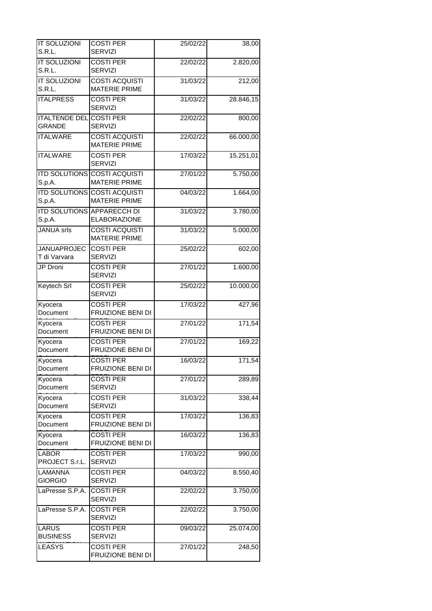| IT SOLUZIONI                          | <b>COSTI PER</b>                                            | 25/02/22 | 38,00     |
|---------------------------------------|-------------------------------------------------------------|----------|-----------|
| S.R.L.                                | <b>SERVIZI</b>                                              |          |           |
| <b>IT SOLUZIONI</b><br>S.R.L.         | <b>COSTI PER</b><br><b>SERVIZI</b>                          | 22/02/22 | 2.820,00  |
| <b>IT SOLUZIONI</b><br>S.R.L.         | <b>COSTI ACQUISTI</b><br><b>MATERIE PRIME</b>               | 31/03/22 | 212,00    |
| <b>ITALPRESS</b>                      | <b>COSTI PER</b><br><b>SERVIZI</b>                          | 31/03/22 | 28.846,15 |
| <b>ITALTENDE DEL</b><br><b>GRANDE</b> | <b>COSTI PER</b><br><b>SERVIZI</b>                          | 22/02/22 | 800,00    |
| <b>ITALWARE</b>                       | <b>COSTI ACQUISTI</b><br><b>MATERIE PRIME</b>               | 22/02/22 | 66.000,00 |
| <b>ITALWARE</b>                       | <b>COSTI PER</b><br><b>SERVIZI</b>                          | 17/03/22 | 15.251,01 |
| S.p.A.                                | <b>ITD SOLUTIONS COSTI ACQUISTI</b><br><b>MATERIE PRIME</b> | 27/01/22 | 5.750,00  |
| S.p.A.                                | <b>ITD SOLUTIONS COSTI ACQUISTI</b><br><b>MATERIE PRIME</b> | 04/03/22 | 1.664,00  |
| S.p.A.                                | <b>ITD SOLUTIONS APPARECCH DI</b><br><b>ELABORAZIONE</b>    | 31/03/22 | 3.780,00  |
| <b>JANUA</b> srls                     | <b>COSTI ACQUISTI</b><br><b>MATERIE PRIME</b>               | 31/03/22 | 5.000,00  |
| <b>JANUAPROJEC</b><br>T di Varvara    | <b>COSTI PER</b><br><b>SERVIZI</b>                          | 25/02/22 | 602,00    |
| <b>JP</b> Droni                       | <b>COSTI PER</b><br><b>SERVIZI</b>                          | 27/01/22 | 1.600,00  |
| Keytech Srl                           | <b>COSTI PER</b><br><b>SERVIZI</b>                          | 25/02/22 | 10.000,00 |
| Kyocera<br>Document                   | <b>COSTI PER</b><br>FRUIZIONE BENI DI                       | 17/03/22 | 427,96    |
| Kyocera<br>Document                   | <b>COSTI PER</b><br>FRUIZIONE BENI DI                       | 27/01/22 | 171,54    |
| Kyocera<br>Document                   | <b>COSTI PER</b><br>FRUIZIONE BENI DI                       | 27/01/22 | 169,22    |
| Kyocera<br>Document                   | <b>COSTI PER</b><br>FRUIZIONE BENI DI                       | 16/03/22 | 171,54    |
| Kyocera<br>Document                   | <b>COSTI PER</b><br><b>SERVIZI</b>                          | 27/01/22 | 289,89    |
| Kyocera<br>Document                   | <b>COSTI PER</b><br><b>SERVIZI</b>                          | 31/03/22 | 338,44    |
| Kyocera<br>Document                   | <b>COSTI PER</b><br>FRUIZIONE BENI DI                       | 17/03/22 | 136,83    |
| Kyocera<br>Document                   | <b>COSTI PER</b><br>FRUIZIONE BENI DI                       | 16/03/22 | 136,83    |
| <b>LABOR</b><br>PROJECT S.r.L.        | <b>COSTI PER</b><br><b>SERVIZI</b>                          | 17/03/22 | 990,00    |
| LAMANNA<br><b>GIORGIO</b>             | <b>COSTI PER</b><br><b>SERVIZI</b>                          | 04/03/22 | 8.550,40  |
| LaPresse S.P.A.                       | <b>COSTI PER</b><br><b>SERVIZI</b>                          | 22/02/22 | 3.750,00  |
| LaPresse S.P.A.                       | <b>COSTI PER</b><br><b>SERVIZI</b>                          | 22/02/22 | 3.750,00  |
| <b>LARUS</b><br><b>BUSINESS</b>       | <b>COSTI PER</b><br><b>SERVIZI</b>                          | 09/03/22 | 25.074,00 |
| <b>LEASYS</b>                         | <b>COSTI PER</b><br>FRUIZIONE BENI DI                       | 27/01/22 | 248,50    |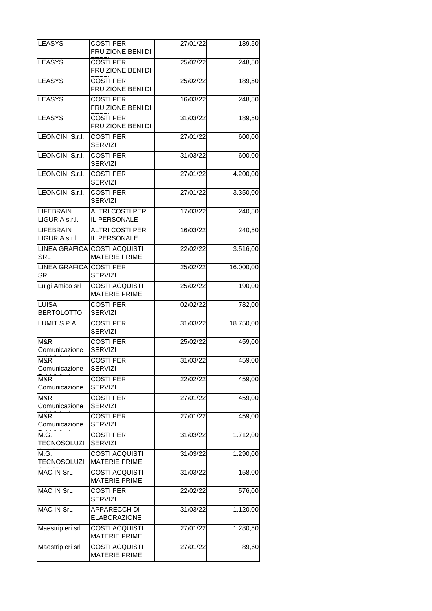| <b>LEASYS</b>                         | <b>COSTI PER</b><br>FRUIZIONE BENI DI                | 27/01/22 | 189,50    |
|---------------------------------------|------------------------------------------------------|----------|-----------|
| <b>LEASYS</b>                         | <b>COSTI PER</b><br>FRUIZIONE BENI DI                | 25/02/22 | 248,50    |
| <b>LEASYS</b>                         | <b>COSTI PER</b><br>FRUIZIONE BENI DI                | 25/02/22 | 189,50    |
| <b>LEASYS</b>                         | <b>COSTI PER</b><br>FRUIZIONE BENI DI                | 16/03/22 | 248,50    |
| <b>LEASYS</b>                         | <b>COSTI PER</b><br>FRUIZIONE BENI DI                | 31/03/22 | 189,50    |
| LEONCINI S.r.I.                       | <b>COSTI PER</b><br><b>SERVIZI</b>                   | 27/01/22 | 600,00    |
| LEONCINI S.r.I.                       | <b>COSTI PER</b><br><b>SERVIZI</b>                   | 31/03/22 | 600,00    |
| LEONCINI S.r.I.                       | <b>COSTI PER</b><br><b>SERVIZI</b>                   | 27/01/22 | 4.200,00  |
| LEONCINI S.r.I.                       | <b>COSTI PER</b><br><b>SERVIZI</b>                   | 27/01/22 | 3.350,00  |
| <b>LIFEBRAIN</b><br>LIGURIA s.r.l.    | <b>ALTRI COSTI PER</b><br>IL PERSONALE               | 17/03/22 | 240,50    |
| <b>LIFEBRAIN</b><br>LIGURIA s.r.l.    | <b>ALTRI COSTI PER</b><br>IL PERSONALE               | 16/03/22 | 240,50    |
| <b>SRL</b>                            | LINEA GRAFICA COSTI ACQUISTI<br><b>MATERIE PRIME</b> | 22/02/22 | 3.516,00  |
| LINEA GRAFICA COSTI PER<br><b>SRL</b> | <b>SERVIZI</b>                                       | 25/02/22 | 16.000,00 |
| Luigi Amico srl                       | <b>COSTI ACQUISTI</b><br><b>MATERIE PRIME</b>        | 25/02/22 | 190,00    |
| LUISA<br><b>BERTOLOTTO</b>            | <b>COSTI PER</b><br><b>SERVIZI</b>                   | 02/02/22 | 782,00    |
| LUMIT S.P.A.                          | <b>COSTI PER</b><br><b>SERVIZI</b>                   | 31/03/22 | 18.750,00 |
| M&R<br>Comunicazione                  | <b>COSTI PER</b><br><b>SERVIZI</b>                   | 25/02/22 | 459,00    |
| M&R<br>Comunicazione                  | <b>COSTI PER</b><br><b>SERVIZI</b>                   | 31/03/22 | 459,00    |
| M&R<br>Comunicazione                  | <b>COSTI PER</b><br><b>SERVIZI</b>                   | 22/02/22 | 459,00    |
| M&R<br>Comunicazione                  | <b>COSTI PER</b><br><b>SERVIZI</b>                   | 27/01/22 | 459,00    |
| M&R<br>Comunicazione                  | <b>COSTI PER</b><br><b>SERVIZI</b>                   | 27/01/22 | 459,00    |
| M.G.<br><b>TECNOSOLUZI</b>            | <b>COSTI PER</b><br><b>SERVIZI</b>                   | 31/03/22 | 1.712,00  |
| M.G.<br><b>TECNOSOLUZI</b>            | <b>COSTI ACQUISTI</b><br><b>MATERIE PRIME</b>        | 31/03/22 | 1.290,00  |
| <b>MAC IN SrL</b>                     | <b>COSTI ACQUISTI</b><br><b>MATERIE PRIME</b>        | 31/03/22 | 158,00    |
| <b>MAC IN SrL</b>                     | <b>COSTI PER</b><br><b>SERVIZI</b>                   | 22/02/22 | 576,00    |
| <b>MAC IN SrL</b>                     | APPARECCH DI<br><b>ELABORAZIONE</b>                  | 31/03/22 | 1.120,00  |
| Maestripieri srl                      | <b>COSTI ACQUISTI</b><br><b>MATERIE PRIME</b>        | 27/01/22 | 1.280,50  |
| Maestripieri srl                      | <b>COSTI ACQUISTI</b><br><b>MATERIE PRIME</b>        | 27/01/22 | 89,60     |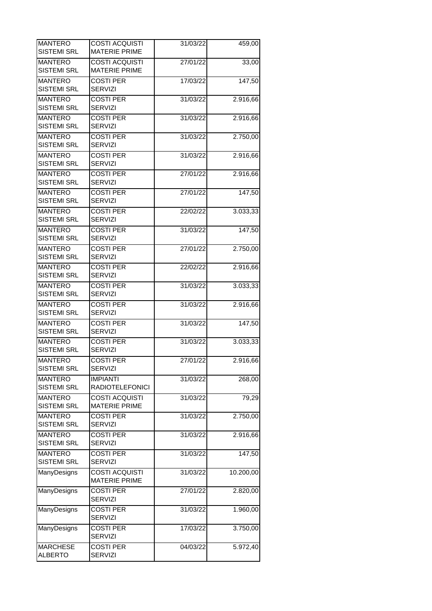| <b>MANTERO</b><br><b>SISTEMI SRL</b> | <b>COSTI ACQUISTI</b><br><b>MATERIE PRIME</b> | 31/03/22 | 459,00    |
|--------------------------------------|-----------------------------------------------|----------|-----------|
| <b>MANTERO</b><br><b>SISTEMI SRL</b> | <b>COSTI ACQUISTI</b><br><b>MATERIE PRIME</b> | 27/01/22 | 33,00     |
| <b>MANTERO</b><br><b>SISTEMI SRL</b> | <b>COSTI PER</b><br><b>SERVIZI</b>            | 17/03/22 | 147,50    |
| <b>MANTERO</b><br><b>SISTEMI SRL</b> | <b>COSTI PER</b><br><b>SERVIZI</b>            | 31/03/22 | 2.916,66  |
| <b>MANTERO</b><br><b>SISTEMI SRL</b> | <b>COSTI PER</b><br><b>SERVIZI</b>            | 31/03/22 | 2.916,66  |
| <b>MANTERO</b><br><b>SISTEMI SRL</b> | <b>COSTI PER</b><br><b>SERVIZI</b>            | 31/03/22 | 2.750,00  |
| <b>MANTERO</b><br><b>SISTEMI SRL</b> | <b>COSTI PER</b><br><b>SERVIZI</b>            | 31/03/22 | 2.916,66  |
| <b>MANTERO</b><br><b>SISTEMI SRL</b> | <b>COSTI PER</b><br><b>SERVIZI</b>            | 27/01/22 | 2.916,66  |
| <b>MANTERO</b><br><b>SISTEMI SRL</b> | <b>COSTI PER</b><br><b>SERVIZI</b>            | 27/01/22 | 147,50    |
| <b>MANTERO</b><br><b>SISTEMI SRL</b> | <b>COSTI PER</b><br>SERVIZI                   | 22/02/22 | 3.033,33  |
| <b>MANTERO</b><br><b>SISTEMI SRL</b> | <b>COSTI PER</b><br><b>SERVIZI</b>            | 31/03/22 | 147,50    |
| <b>MANTERO</b><br><b>SISTEMI SRL</b> | <b>COSTI PER</b><br><b>SERVIZI</b>            | 27/01/22 | 2.750,00  |
| <b>MANTERO</b><br><b>SISTEMI SRL</b> | <b>COSTI PER</b><br><b>SERVIZI</b>            | 22/02/22 | 2.916,66  |
| <b>MANTERO</b><br><b>SISTEMI SRL</b> | <b>COSTI PER</b><br>SERVIZI                   | 31/03/22 | 3.033,33  |
| <b>MANTERO</b><br><b>SISTEMI SRL</b> | <b>COSTI PER</b><br><b>SERVIZI</b>            | 31/03/22 | 2.916,66  |
| <b>MANTERO</b><br><b>SISTEMI SRL</b> | <b>COSTI PER</b><br><b>SERVIZI</b>            | 31/03/22 | 147,50    |
| <b>MANTERO</b><br><b>SISTEMI SRL</b> | <b>COSTI PER</b><br><b>SERVIZI</b>            | 31/03/22 | 3.033,33  |
| <b>MANTERO</b><br><b>SISTEMI SRL</b> | <b>COSTI PER</b><br><b>SERVIZI</b>            | 27/01/22 | 2.916,66  |
| <b>MANTERO</b><br><b>SISTEMI SRL</b> | <b>IMPIANTI</b><br><b>RADIOTELEFONICI</b>     | 31/03/22 | 268,00    |
| <b>MANTERO</b><br><b>SISTEMI SRL</b> | <b>COSTI ACQUISTI</b><br><b>MATERIE PRIME</b> | 31/03/22 | 79,29     |
| <b>MANTERO</b><br><b>SISTEMI SRL</b> | <b>COSTI PER</b><br><b>SERVIZI</b>            | 31/03/22 | 2.750,00  |
| <b>MANTERO</b><br><b>SISTEMI SRL</b> | <b>COSTI PER</b><br><b>SERVIZI</b>            | 31/03/22 | 2.916,66  |
| <b>MANTERO</b><br><b>SISTEMI SRL</b> | <b>COSTI PER</b><br><b>SERVIZI</b>            | 31/03/22 | 147,50    |
| ManyDesigns                          | <b>COSTI ACQUISTI</b><br><b>MATERIE PRIME</b> | 31/03/22 | 10.200,00 |
| ManyDesigns                          | <b>COSTI PER</b><br><b>SERVIZI</b>            | 27/01/22 | 2.820,00  |
| ManyDesigns                          | <b>COSTI PER</b><br><b>SERVIZI</b>            | 31/03/22 | 1.960,00  |
| ManyDesigns                          | <b>COSTI PER</b><br><b>SERVIZI</b>            | 17/03/22 | 3.750,00  |
| <b>MARCHESE</b><br><b>ALBERTO</b>    | <b>COSTI PER</b><br><b>SERVIZI</b>            | 04/03/22 | 5.972,40  |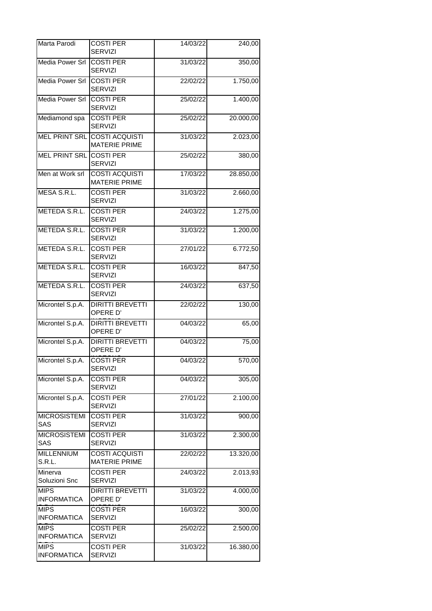| Marta Parodi                      | <b>COSTI PER</b><br><b>SERVIZI</b>            | 14/03/22              | 240,00    |
|-----------------------------------|-----------------------------------------------|-----------------------|-----------|
| Media Power Srl                   | <b>COSTI PER</b><br><b>SERVIZI</b>            | 31/03/22              | 350,00    |
| Media Power Srl                   | <b>COSTI PER</b><br><b>SERVIZI</b>            | 22/02/22              | 1.750,00  |
| <b>Media Power Srl</b>            | <b>COSTI PER</b><br><b>SERVIZI</b>            | 25/02/22              | 1.400,00  |
| Mediamond spa                     | <b>COSTI PER</b><br><b>SERVIZI</b>            | 25/02/22              | 20.000,00 |
| <b>MEL PRINT SRL</b>              | <b>COSTI ACQUISTI</b><br><b>MATERIE PRIME</b> | 31/03/22              | 2.023,00  |
| MEL PRINT SRL COSTI PER           | <b>SERVIZI</b>                                | 25/02/22              | 380,00    |
| Men at Work srl                   | <b>COSTI ACQUISTI</b><br><b>MATERIE PRIME</b> | 17/03/22              | 28.850,00 |
| MESA S.R.L.                       | <b>COSTI PER</b><br><b>SERVIZI</b>            | 31/03/22              | 2.660,00  |
| METEDA S.R.L.                     | <b>COSTI PER</b><br><b>SERVIZI</b>            | 24/03/22              | 1.275,00  |
| METEDA S.R.L.                     | <b>COSTI PER</b><br><b>SERVIZI</b>            | 31/03/22              | 1.200,00  |
| METEDA S.R.L.                     | <b>COSTI PER</b><br><b>SERVIZI</b>            | 27/01/22              | 6.772,50  |
| METEDA S.R.L.                     | <b>COSTI PER</b><br><b>SERVIZI</b>            | 16/03/22              | 847,50    |
| METEDA S.R.L.                     | <b>COSTI PER</b><br><b>SERVIZI</b>            | 24/03/22              | 637,50    |
| Microntel S.p.A.                  | <b>DIRITTI BREVETTI</b><br>OPERE D'           | 22/02/22              | 130,00    |
| Microntel S.p.A.                  | <b>DIRITTI BREVETTI</b><br>OPERE D'           | 04/03/22              | 65,00     |
| Microntel S.p.A.                  | <b>DIRITTI BREVETTI</b><br>OPERE D'           | 04/03/22              | 75,00     |
| Microntel S.p.A.                  | <b>COSTI PER</b><br><b>SERVIZI</b>            | $\overline{04/03/22}$ | 570,00    |
| Microntel S.p.A.                  | <b>COSTI PER</b><br><b>SERVIZI</b>            | 04/03/22              | 305,00    |
| Microntel S.p.A.                  | <b>COSTI PER</b><br><b>SERVIZI</b>            | 27/01/22              | 2.100,00  |
| <b>MICROSISTEMI</b><br><b>SAS</b> | <b>COSTI PER</b><br><b>SERVIZI</b>            | 31/03/22              | 900,00    |
| <b>MICROSISTEMI</b><br><b>SAS</b> | <b>COSTI PER</b><br><b>SERVIZI</b>            | 31/03/22              | 2.300,00  |
| <b>MILLENNIUM</b><br>S.R.L.       | <b>COSTI ACQUISTI</b><br><b>MATERIE PRIME</b> | 22/02/22              | 13.320,00 |
| Minerva<br>Soluzioni Snc          | <b>COSTI PER</b><br><b>SERVIZI</b>            | 24/03/22              | 2.013,93  |
| <b>MIPS</b><br><b>INFORMATICA</b> | <b>DIRITTI BREVETTI</b><br>OPERE D'           | 31/03/22              | 4.000,00  |
| <b>MIPS</b><br><b>INFORMATICA</b> | <b>COSTI PER</b><br><b>SERVIZI</b>            | 16/03/22              | 300,00    |
| <b>MIPS</b><br><b>INFORMATICA</b> | <b>COSTI PER</b><br><b>SERVIZI</b>            | 25/02/22              | 2.500,00  |
| <b>MIPS</b><br><b>INFORMATICA</b> | <b>COSTI PER</b><br><b>SERVIZI</b>            | 31/03/22              | 16.380,00 |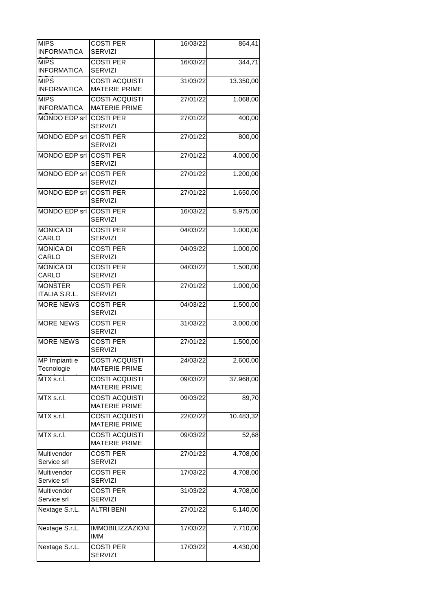| <b>MIPS</b><br><b>INFORMATICA</b>      | <b>COSTI PER</b><br><b>SERVIZI</b>            | 16/03/22 | 864,41    |
|----------------------------------------|-----------------------------------------------|----------|-----------|
| <b>MIPS</b><br><b>INFORMATICA</b>      | <b>COSTI PER</b><br><b>SERVIZI</b>            | 16/03/22 | 344,71    |
| <b>MIPS</b><br><b>INFORMATICA</b>      | <b>COSTI ACQUISTI</b><br><b>MATERIE PRIME</b> | 31/03/22 | 13.350,00 |
| <b>MIPS</b><br><b>INFORMATICA</b>      | COSTI ACQUISTI<br><b>MATERIE PRIME</b>        | 27/01/22 | 1.068,00  |
| MONDO EDP srl COSTI PER                | <b>SERVIZI</b>                                | 27/01/22 | 400,00    |
| MONDO EDP srl COSTI PER                | <b>SERVIZI</b>                                | 27/01/22 | 800,00    |
| MONDO EDP srl COSTI PER                | <b>SERVIZI</b>                                | 27/01/22 | 4.000,00  |
| MONDO EDP srl COSTI PER                | <b>SERVIZI</b>                                | 27/01/22 | 1.200,00  |
| MONDO EDP srl COSTI PER                | <b>SERVIZI</b>                                | 27/01/22 | 1.650,00  |
| MONDO EDP srl COSTI PER                | <b>SERVIZI</b>                                | 16/03/22 | 5.975,00  |
| <b>MONICA DI</b><br>CARLO              | <b>COSTI PER</b><br><b>SERVIZI</b>            | 04/03/22 | 1.000,00  |
| <b>MONICA DI</b><br>CARLO              | <b>COSTI PER</b><br><b>SERVIZI</b>            | 04/03/22 | 1.000,00  |
| <b>MONICA DI</b><br>CARLO              | <b>COSTI PER</b><br><b>SERVIZI</b>            | 04/03/22 | 1.500,00  |
| <b>MONSTER</b><br><b>ITALIA S.R.L.</b> | <b>COSTI PER</b><br><b>SERVIZI</b>            | 27/01/22 | 1.000,00  |
| <b>MORE NEWS</b>                       | <b>COSTI PER</b><br><b>SERVIZI</b>            | 04/03/22 | 1.500,00  |
| <b>MORE NEWS</b>                       | <b>COSTI PER</b><br><b>SERVIZI</b>            | 31/03/22 | 3.000,00  |
| <b>MORE NEWS</b>                       | <b>COSTI PER</b><br><b>SERVIZI</b>            | 27/01/22 | 1.500,00  |
| MP Impianti e<br>Tecnologie            | COSTI ACQUISTI<br><b>MATERIE PRIME</b>        | 24/03/22 | 2.600,00  |
| MTX s.r.l.                             | <b>COSTI ACQUISTI</b><br><b>MATERIE PRIME</b> | 09/03/22 | 37.968,00 |
| MTX s.r.l.                             | <b>COSTI ACQUISTI</b><br><b>MATERIE PRIME</b> | 09/03/22 | 89,70     |
| MTX s.r.l.                             | <b>COSTI ACQUISTI</b><br><b>MATERIE PRIME</b> | 22/02/22 | 10.483,32 |
| MTX s.r.l.                             | <b>COSTI ACQUISTI</b><br><b>MATERIE PRIME</b> | 09/03/22 | 52,68     |
| Multivendor<br>Service srl             | <b>COSTI PER</b><br><b>SERVIZI</b>            | 27/01/22 | 4.708,00  |
| Multivendor<br>Service srl             | <b>COSTI PER</b><br><b>SERVIZI</b>            | 17/03/22 | 4.708,00  |
| Multivendor<br>Service srl             | <b>COSTI PER</b><br><b>SERVIZI</b>            | 31/03/22 | 4.708,00  |
| Nextage S.r.L.                         | <b>ALTRI BENI</b>                             | 27/01/22 | 5.140,00  |
| Nextage S.r.L.                         | <b>IMMOBILIZZAZIONI</b><br><b>IMM</b>         | 17/03/22 | 7.710,00  |
| Nextage S.r.L.                         | <b>COSTI PER</b><br><b>SERVIZI</b>            | 17/03/22 | 4.430,00  |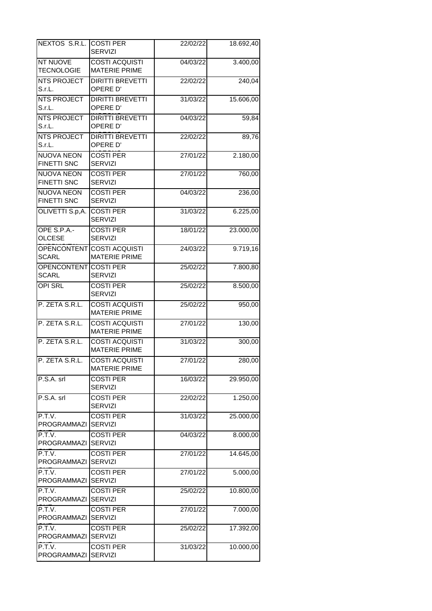| NEXTOS S.R.L. COSTI PER                 | <b>SERVIZI</b>                                     | 22/02/22 | 18.692,40 |
|-----------------------------------------|----------------------------------------------------|----------|-----------|
| <b>NT NUOVE</b>                         | <b>COSTI ACQUISTI</b>                              |          |           |
| <b>TECNOLOGIE</b>                       | <b>MATERIE PRIME</b>                               | 04/03/22 | 3.400,00  |
| <b>NTS PROJECT</b><br>S.r.L.            | <b>DIRITTI BREVETTI</b><br>OPERE D'                | 22/02/22 | 240,04    |
| <b>NTS PROJECT</b><br>S.r.L.            | <b>DIRITTI BREVETTI</b><br>OPERE D'                | 31/03/22 | 15.606,00 |
| <b>NTS PROJECT</b><br>S.r.L.            | <b>DIRITTI BREVETTI</b><br>OPERE D'                | 04/03/22 | 59,84     |
| <b>NTS PROJECT</b><br>S.r.L.            | <b>DIRITTI BREVETTI</b><br>OPERE D'                | 22/02/22 | 89,76     |
| <b>NUOVA NEON</b><br><b>FINETTI SNC</b> | <b>COSTI PER</b><br><b>SERVIZI</b>                 | 27/01/22 | 2.180,00  |
| <b>NUOVA NEON</b><br><b>FINETTI SNC</b> | <b>COSTI PER</b><br><b>SERVIZI</b>                 | 27/01/22 | 760,00    |
| <b>NUOVA NEON</b><br><b>FINETTI SNC</b> | <b>COSTI PER</b><br><b>SERVIZI</b>                 | 04/03/22 | 236,00    |
| OLIVETTI S.p,A.                         | <b>COSTI PER</b><br><b>SERVIZI</b>                 | 31/03/22 | 6.225,00  |
| OPE S.P.A.-<br><b>OLCESE</b>            | <b>COSTI PER</b><br><b>SERVIZI</b>                 | 18/01/22 | 23.000,00 |
| <b>SCARL</b>                            | OPENCONTENT COSTI ACQUISTI<br><b>MATERIE PRIME</b> | 24/03/22 | 9.719,16  |
| OPENCONTENT COSTI PER<br><b>SCARL</b>   | SERVIZI                                            | 25/02/22 | 7.800,80  |
| <b>OPI SRL</b>                          | <b>COSTI PER</b><br><b>SERVIZI</b>                 | 25/02/22 | 8.500,00  |
| P. ZETA S.R.L.                          | <b>COSTI ACQUISTI</b><br><b>MATERIE PRIME</b>      | 25/02/22 | 950,00    |
| P. ZETA S.R.L.                          | <b>COSTI ACQUISTI</b><br><b>MATERIE PRIME</b>      | 27/01/22 | 130,00    |
| P. ZETA S.R.L.                          | <b>COSTI ACQUISTI</b><br><b>MATERIE PRIME</b>      | 31/03/22 | 300,00    |
| P. ZETA S.R.L.                          | <b>COSTI ACQUISTI</b><br><b>MATERIE PRIME</b>      | 27/01/22 | 280,00    |
| P.S.A. srl                              | <b>COSTI PER</b><br><b>SERVIZI</b>                 | 16/03/22 | 29.950,00 |
| P.S.A. srl                              | <b>COSTI PER</b><br><b>SERVIZI</b>                 | 22/02/22 | 1.250,00  |
| P.T.V.<br>PROGRAMMAZI                   | <b>COSTI PER</b><br><b>SERVIZI</b>                 | 31/03/22 | 25.000,00 |
| P.T.V.<br><b>PROGRAMMAZI SERVIZI</b>    | <b>COSTI PER</b>                                   | 04/03/22 | 8.000,00  |
| P.T.V.<br>PROGRAMMAZI SERVIZI           | <b>COSTI PER</b>                                   | 27/01/22 | 14.645,00 |
| P.T.V.<br><b>PROGRAMMAZI</b>            | <b>COSTI PER</b><br><b>SERVIZI</b>                 | 27/01/22 | 5.000,00  |
| P.T.V.<br>PROGRAMMAZI                   | <b>COSTI PER</b><br><b>SERVIZI</b>                 | 25/02/22 | 10.800,00 |
| P.T.V.<br>PROGRAMMAZI SERVIZI           | <b>COSTI PER</b>                                   | 27/01/22 | 7.000,00  |
| P.T.V.<br>PROGRAMMAZI SERVIZI           | <b>COSTI PER</b>                                   | 25/02/22 | 17.392,00 |
| P.T.V.<br>PROGRAMMAZI                   | <b>COSTI PER</b><br><b>SERVIZI</b>                 | 31/03/22 | 10.000,00 |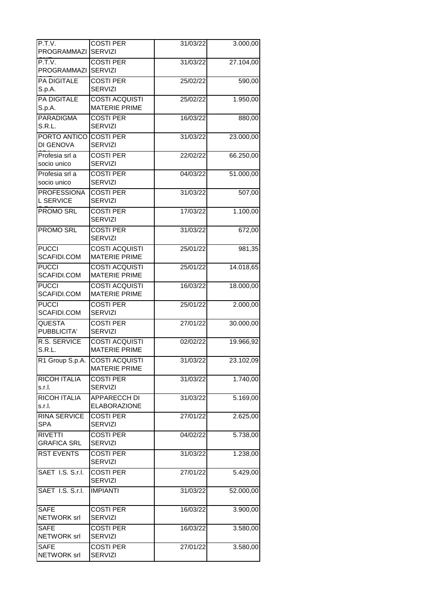| P.T.V.                        | <b>COSTI PER</b>                              | 31/03/22 | 3.000,00  |
|-------------------------------|-----------------------------------------------|----------|-----------|
| PROGRAMMAZI                   | SERVIZI                                       |          |           |
| P.T.V.<br>PROGRAMMAZI         | <b>COSTI PER</b><br><b>SERVIZI</b>            | 31/03/22 | 27.104,00 |
| <b>PA DIGITALE</b>            | <b>COSTI PER</b>                              | 25/02/22 | 590,00    |
| S.p.A.                        | <b>SERVIZI</b>                                |          |           |
| <b>PA DIGITALE</b>            | <b>COSTI ACQUISTI</b>                         | 25/02/22 | 1.950,00  |
| S.p.A.                        | <b>MATERIE PRIME</b>                          |          |           |
| <b>PARADIGMA</b>              | <b>COSTI PER</b>                              | 16/03/22 | 880,00    |
| S.R.L.                        | <b>SERVIZI</b>                                |          |           |
| PORTO ANTICO                  | <b>COSTI PER</b>                              | 31/03/22 | 23.000,00 |
| DI GENOVA                     | <b>SERVIZI</b>                                |          |           |
| Profesia srl a                | <b>COSTI PER</b>                              | 22/02/22 | 66.250,00 |
| socio unico                   | <b>SERVIZI</b>                                |          |           |
| Profesia srl a                | <b>COSTI PER</b>                              | 04/03/22 | 51.000,00 |
| socio unico                   | <b>SERVIZI</b>                                |          |           |
| <b>PROFESSIONA</b>            | <b>COSTI PER</b>                              | 31/03/22 | 507,00    |
| <b>L SERVICE</b>              | SERVIZI                                       |          |           |
| PROMO SRL                     | <b>COSTI PER</b>                              | 17/03/22 | 1.100,00  |
|                               | <b>SERVIZI</b>                                |          |           |
| PROMO SRL                     | <b>COSTI PER</b><br><b>SERVIZI</b>            | 31/03/22 | 672,00    |
| <b>PUCCI</b>                  | <b>COSTI ACQUISTI</b>                         | 25/01/22 | 981,35    |
| SCAFIDI.COM                   | <b>MATERIE PRIME</b>                          |          |           |
| <b>PUCCI</b>                  | <b>COSTI ACQUISTI</b>                         | 25/01/22 | 14.018,65 |
| SCAFIDI.COM                   | <b>MATERIE PRIME</b>                          |          |           |
| <b>PUCCI</b>                  | <b>COSTI ACQUISTI</b>                         | 16/03/22 | 18.000,00 |
| SCAFIDI.COM                   | <b>MATERIE PRIME</b>                          |          |           |
| <b>PUCCI</b>                  | <b>COSTI PER</b>                              | 25/01/22 | 2.000,00  |
| SCAFIDI.COM                   | <b>SERVIZI</b>                                |          |           |
| <b>QUESTA</b>                 | <b>COSTI PER</b>                              | 27/01/22 | 30.000,00 |
| PUBBLICITA'                   | <b>SERVIZI</b>                                |          |           |
| <b>R.S. SERVICE</b><br>S.R.L. | <b>COSTI ACQUISTI</b><br><b>MATERIE PRIME</b> | 02/02/22 | 19.966,92 |
| R1 Group S.p.A.               | <b>COSTI ACQUISTI</b>                         | 31/03/22 |           |
|                               | <b>MATERIE PRIME</b>                          |          | 23.102,09 |
| <b>RICOH ITALIA</b>           | <b>COSTI PER</b>                              | 31/03/22 | 1.740,00  |
| s.r.l.                        | <b>SERVIZI</b>                                |          |           |
| RICOH ITALIA                  | <b>APPARECCH DI</b>                           | 31/03/22 | 5.169,00  |
| s.r.l.                        | <b>ELABORAZIONE</b>                           |          |           |
| <b>RINA SERVICE</b>           | <b>COSTI PER</b>                              | 27/01/22 | 2.625,00  |
| <b>SPA</b>                    | <b>SERVIZI</b>                                |          |           |
| <b>RIVETTI</b>                | <b>COSTI PER</b>                              | 04/02/22 | 5.738,00  |
| <b>GRAFICA SRL</b>            | <b>SERVIZI</b>                                |          |           |
| <b>RST EVENTS</b>             | <b>COSTI PER</b>                              | 31/03/22 | 1.238,00  |
|                               | <b>SERVIZI</b>                                |          |           |
| SAET 1.S. S.r.l.              | <b>COSTI PER</b>                              | 27/01/22 | 5.429,00  |
|                               | <b>SERVIZI</b>                                |          |           |
| SAET I.S. S.r.l.              | <b>IMPIANTI</b>                               | 31/03/22 | 52.000,00 |
|                               |                                               |          |           |
| <b>SAFE</b>                   | <b>COSTI PER</b>                              | 16/03/22 | 3.900,00  |
| NETWORK srl                   | SERVIZI                                       |          |           |
| <b>SAFE</b>                   | <b>COSTI PER</b>                              | 16/03/22 | 3.580,00  |
| NETWORK srl                   | <b>SERVIZI</b>                                |          |           |
| <b>SAFE</b>                   | <b>COSTI PER</b>                              | 27/01/22 | 3.580,00  |
| NETWORK srl                   | <b>SERVIZI</b>                                |          |           |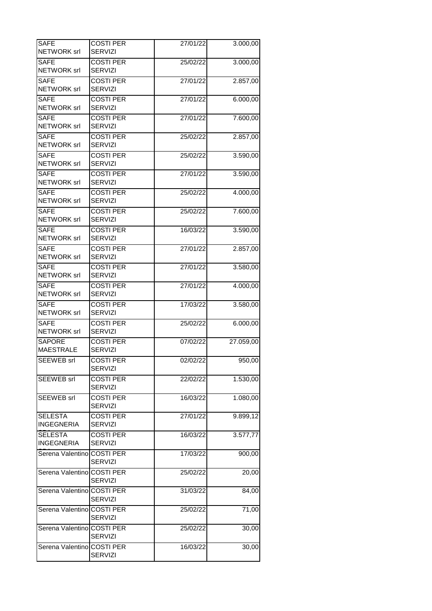| <b>SAFE</b>                         | <b>COSTI PER</b>                   | 27/01/22 | 3.000,00  |
|-------------------------------------|------------------------------------|----------|-----------|
| <b>NETWORK</b> srl                  | <b>SERVIZI</b>                     |          |           |
| SAFE<br>NETWORK srl                 | <b>COSTI PER</b><br><b>SERVIZI</b> | 25/02/22 | 3.000,00  |
| <b>SAFE</b><br>NETWORK srl          | <b>COSTI PER</b><br><b>SERVIZI</b> | 27/01/22 | 2.857,00  |
| <b>SAFE</b><br><b>NETWORK</b> srl   | <b>COSTI PER</b><br><b>SERVIZI</b> | 27/01/22 | 6.000,00  |
| <b>SAFE</b><br><b>NETWORK</b> srl   | <b>COSTI PER</b><br><b>SERVIZI</b> | 27/01/22 | 7.600,00  |
| <b>SAFE</b><br><b>NETWORK</b> srl   | <b>COSTI PER</b><br><b>SERVIZI</b> | 25/02/22 | 2.857,00  |
| <b>SAFE</b><br>NETWORK srl          | <b>COSTI PER</b><br><b>SERVIZI</b> | 25/02/22 | 3.590,00  |
| <b>SAFE</b><br>NETWORK srl          | <b>COSTI PER</b><br><b>SERVIZI</b> | 27/01/22 | 3.590,00  |
| SAFE<br>NETWORK srl                 | <b>COSTI PER</b><br><b>SERVIZI</b> | 25/02/22 | 4.000,00  |
| <b>SAFE</b><br>NETWORK srl          | <b>COSTI PER</b><br><b>SERVIZI</b> | 25/02/22 | 7.600,00  |
| <b>SAFE</b><br><b>NETWORK</b> srl   | <b>COSTI PER</b><br><b>SERVIZI</b> | 16/03/22 | 3.590,00  |
| <b>SAFE</b><br>NETWORK srl          | <b>COSTI PER</b><br><b>SERVIZI</b> | 27/01/22 | 2.857,00  |
| <b>SAFE</b><br><b>NETWORK</b> srl   | <b>COSTI PER</b><br><b>SERVIZI</b> | 27/01/22 | 3.580,00  |
| <b>SAFE</b><br>NETWORK srl          | <b>COSTI PER</b><br><b>SERVIZI</b> | 27/01/22 | 4.000,00  |
| <b>SAFE</b><br>NETWORK srl          | <b>COSTI PER</b><br><b>SERVIZI</b> | 17/03/22 | 3.580,00  |
| <b>SAFE</b><br>NETWORK srl          | <b>COSTI PER</b><br><b>SERVIZI</b> | 25/02/22 | 6.000,00  |
| <b>SAPORE</b><br><b>MAESTRALE</b>   | <b>COSTI PER</b><br><b>SERVIZI</b> | 07/02/22 | 27.059,00 |
| <b>SEEWEB</b> srl                   | <b>COSTI PER</b><br>SERVIZI        | 02/02/22 | 950,00    |
| SEEWEB srl                          | <b>COSTI PER</b><br>SERVIZI        | 22/02/22 | 1.530,00  |
| SEEWEB srl                          | <b>COSTI PER</b><br><b>SERVIZI</b> | 16/03/22 | 1.080,00  |
| <b>SELESTA</b><br><b>INGEGNERIA</b> | <b>COSTI PER</b><br><b>SERVIZI</b> | 27/01/22 | 9.899,12  |
| <b>SELESTA</b><br><b>INGEGNERIA</b> | <b>COSTI PER</b><br><b>SERVIZI</b> | 16/03/22 | 3.577,77  |
| Serena Valentino COSTI PER          | <b>SERVIZI</b>                     | 17/03/22 | 900,00    |
| Serena Valentino COSTI PER          | SERVIZI                            | 25/02/22 | 20,00     |
| Serena ValentinolCOSTI PER          | <b>SERVIZI</b>                     | 31/03/22 | 84,00     |
| Serena Valentino COSTI PER          | <b>SERVIZI</b>                     | 25/02/22 | 71,00     |
| Serena Valentino COSTI PER          | <b>SERVIZI</b>                     | 25/02/22 | 30,00     |
| Serena Valentino COSTI PER          | <b>SERVIZI</b>                     | 16/03/22 | 30,00     |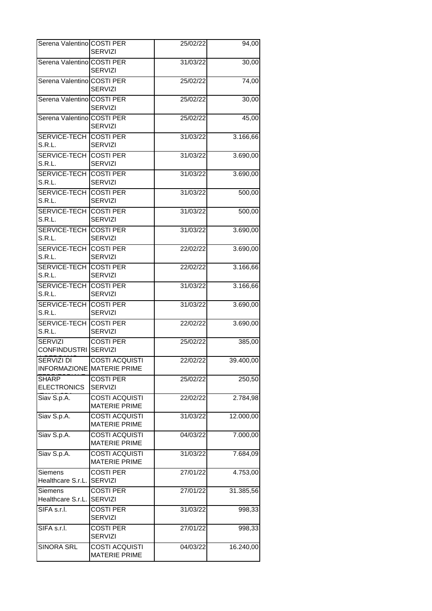| Serena Valentino COSTI PER                  | <b>SERVIZI</b>                                      | 25/02/22 | 94,00     |
|---------------------------------------------|-----------------------------------------------------|----------|-----------|
| Serena Valentino COSTI PER                  | <b>SERVIZI</b>                                      | 31/03/22 | 30,00     |
| Serena Valentino COSTI PER                  | <b>SERVIZI</b>                                      | 25/02/22 | 74,00     |
| Serena Valentino COSTI PER                  | <b>SERVIZI</b>                                      | 25/02/22 | 30,00     |
| Serena Valentino COSTI PER                  | <b>SERVIZI</b>                                      | 25/02/22 | 45,00     |
| <b>SERVICE-TECH COSTI PER</b><br>S.R.L.     | <b>SERVIZI</b>                                      | 31/03/22 | 3.166,66  |
| <b>SERVICE-TECH COSTI PER</b><br>S.R.L.     | SERVIZI                                             | 31/03/22 | 3.690,00  |
| SERVICE-TECH COSTI PER<br>S.R.L.            | <b>SERVIZI</b>                                      | 31/03/22 | 3.690,00  |
| SERVICE-TECH COSTI PER<br>S.R.L.            | <b>SERVIZI</b>                                      | 31/03/22 | 500,00    |
| <b>SERVICE-TECH COSTI PER</b><br>S.R.L.     | SERVIZI                                             | 31/03/22 | 500,00    |
| <b>SERVICE-TECH COSTI PER</b><br>S.R.L.     | <b>SERVIZI</b>                                      | 31/03/22 | 3.690,00  |
| <b>SERVICE-TECH COSTI PER</b><br>S.R.L.     | <b>SERVIZI</b>                                      | 22/02/22 | 3.690,00  |
| <b>SERVICE-TECH COSTI PER</b><br>S.R.L.     | <b>SERVIZI</b>                                      | 22/02/22 | 3.166,66  |
| <b>SERVICE-TECH COSTI PER</b><br>S.R.L.     | <b>SERVIZI</b>                                      | 31/03/22 | 3.166,66  |
| SERVICE-TECH COSTI PER<br>S.R.L.            | <b>SERVIZI</b>                                      | 31/03/22 | 3.690,00  |
| <b>SERVICE-TECH COSTI PER</b><br>S.R.L.     | <b>SERVIZI</b>                                      | 22/02/22 | 3.690,00  |
| <b>SERVIZI</b><br>CONFINDUSTRI SERVIZI      | <b>COSTI PER</b>                                    | 25/02/22 | 385,00    |
| <b>SERVIZI DI</b>                           | <b>COSTI ACQUISTI</b><br>INFORMAZIONE MATERIE PRIME | 22/02/22 | 39.400,00 |
| <b>SHARP</b><br><b>ELECTRONICS</b>          | <b>COSTI PER</b><br><b>SERVIZI</b>                  | 25/02/22 | 250,50    |
| Siav S.p.A.                                 | <b>COSTI ACQUISTI</b><br><b>MATERIE PRIME</b>       | 22/02/22 | 2.784,98  |
| Siav S.p.A.                                 | <b>COSTI ACQUISTI</b><br><b>MATERIE PRIME</b>       | 31/03/22 | 12.000,00 |
| Siav S.p.A.                                 | <b>COSTI ACQUISTI</b><br><b>MATERIE PRIME</b>       | 04/03/22 | 7.000,00  |
| Siav S.p.A.                                 | <b>COSTI ACQUISTI</b><br><b>MATERIE PRIME</b>       | 31/03/22 | 7.684,09  |
| <b>Siemens</b><br>Healthcare S.r.L. SERVIZI | <b>COSTI PER</b>                                    | 27/01/22 | 4.753,00  |
| Siemens<br>Healthcare S.r.L.                | <b>COSTI PER</b><br><b>SERVIZI</b>                  | 27/01/22 | 31.385,56 |
| SIFA s.r.l.                                 | <b>COSTI PER</b><br><b>SERVIZI</b>                  | 31/03/22 | 998,33    |
| SIFA s.r.l.                                 | <b>COSTI PER</b><br><b>SERVIZI</b>                  | 27/01/22 | 998,33    |
| <b>SINORA SRL</b>                           | <b>COSTI ACQUISTI</b><br><b>MATERIE PRIME</b>       | 04/03/22 | 16.240,00 |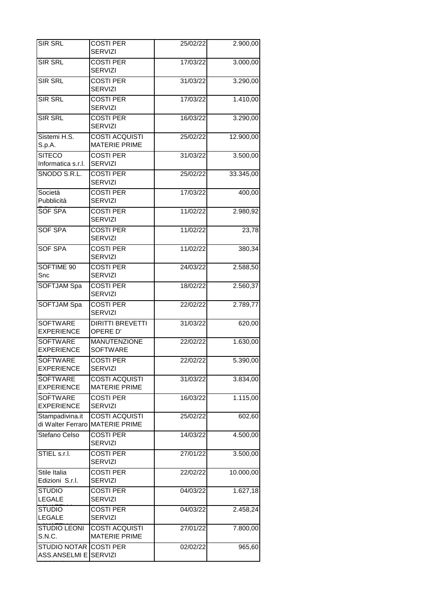| SIR SRL                                 | <b>COSTI PER</b><br><b>SERVIZI</b>            | 25/02/22 | 2.900,00  |
|-----------------------------------------|-----------------------------------------------|----------|-----------|
| <b>SIR SRL</b>                          | <b>COSTI PER</b>                              | 17/03/22 | 3.000,00  |
|                                         | <b>SERVIZI</b>                                |          |           |
| <b>SIR SRL</b>                          | <b>COSTI PER</b><br><b>SERVIZI</b>            | 31/03/22 | 3.290,00  |
| <b>SIR SRL</b>                          | <b>COSTI PER</b><br>SERVIZI                   | 17/03/22 | 1.410,00  |
| <b>SIR SRL</b>                          | <b>COSTI PER</b><br><b>SERVIZI</b>            | 16/03/22 | 3.290,00  |
| Sistemi H.S.                            | <b>COSTI ACQUISTI</b>                         | 25/02/22 | 12.900,00 |
| S.p.A.                                  | <b>MATERIE PRIME</b>                          |          |           |
| <b>SITECO</b><br>Informatica s.r.l.     | <b>COSTI PER</b><br><b>SERVIZI</b>            | 31/03/22 | 3.500,00  |
| SNODO S.R.L.                            | <b>COSTI PER</b>                              | 25/02/22 | 33.345,00 |
|                                         | <b>SERVIZI</b>                                |          |           |
| Società                                 | <b>COSTI PER</b>                              | 17/03/22 | 400,00    |
| Pubblicità                              | <b>SERVIZI</b>                                |          |           |
| <b>SOF SPA</b>                          | <b>COSTI PER</b><br><b>SERVIZI</b>            | 11/02/22 | 2.980,92  |
| SOF SPA                                 | <b>COSTI PER</b>                              | 11/02/22 | 23,78     |
|                                         | <b>SERVIZI</b>                                |          |           |
| <b>SOF SPA</b>                          | <b>COSTI PER</b><br><b>SERVIZI</b>            | 11/02/22 | 380,34    |
| SOFTIME 90                              | <b>COSTI PER</b>                              | 24/03/22 | 2.588,50  |
| Snc                                     | <b>SERVIZI</b>                                |          |           |
| <b>SOFTJAM Spa</b>                      | <b>COSTI PER</b><br><b>SERVIZI</b>            | 18/02/22 | 2.560,37  |
| SOFTJAM Spa                             | <b>COSTI PER</b><br><b>SERVIZI</b>            | 22/02/22 | 2.789,77  |
| <b>SOFTWARE</b><br><b>EXPERIENCE</b>    | <b>DIRITTI BREVETTI</b><br>OPERE D'           | 31/03/22 | 620,00    |
| <b>SOFTWARE</b><br><b>EXPERIENCE</b>    | <b>MANUTENZIONE</b>                           | 22/02/22 | 1.630,00  |
|                                         | <b>SOFTWARE</b>                               |          |           |
| <b>SOFTWARE</b><br><b>EXPERIENCE</b>    | <b>COSTI PER</b><br><b>SERVIZI</b>            | 22/02/22 | 5.390,00  |
| <b>SOFTWARE</b>                         | <b>COSTI ACQUISTI</b>                         | 31/03/22 | 3.834,00  |
| <b>EXPERIENCE</b>                       | <b>MATERIE PRIME</b>                          |          |           |
| <b>SOFTWARE</b><br><b>EXPERIENCE</b>    | <b>COSTI PER</b><br><b>SERVIZI</b>            | 16/03/22 | 1.115,00  |
| Stampadivina.it                         | <b>COSTI ACQUISTI</b>                         | 25/02/22 | 602,60    |
|                                         | di Walter Ferraro MATERIE PRIME               |          |           |
| Stefano Celso                           | <b>COSTI PER</b><br><b>SERVIZI</b>            | 14/03/22 | 4.500,00  |
| STIEL s.r.l.                            | <b>COSTI PER</b><br><b>SERVIZI</b>            | 27/01/22 | 3.500,00  |
| Stile Italia                            | <b>COSTI PER</b>                              | 22/02/22 | 10.000,00 |
| Edizioni S.r.l.                         | <b>SERVIZI</b>                                |          |           |
| <b>STUDIO</b><br><b>LEGALE</b>          | <b>COSTI PER</b><br><b>SERVIZI</b>            | 04/03/22 | 1.627,18  |
| <b>STUDIO</b><br>LEGALE                 | <b>COSTI PER</b><br><b>SERVIZI</b>            | 04/03/22 | 2.458,24  |
|                                         |                                               |          |           |
| <b>STUDIO LEONI</b><br>S.N.C.           | <b>COSTI ACQUISTI</b><br><b>MATERIE PRIME</b> | 27/01/22 | 7.800,00  |
| STUDIO NOTAR COSTI PER<br>ASS.ANSELMI E | <b>SERVIZI</b>                                | 02/02/22 | 965,60    |
|                                         |                                               |          |           |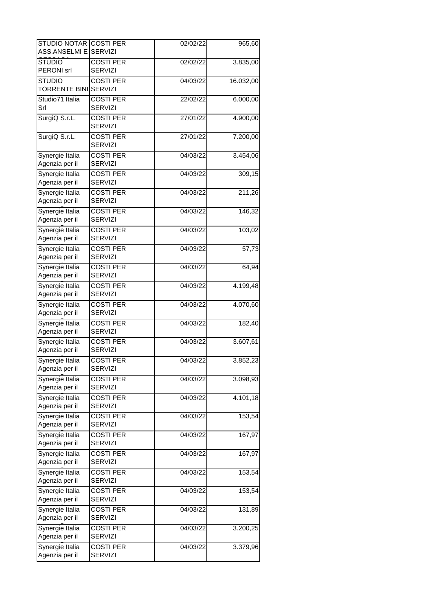| STUDIO NOTAR COSTI PER<br>ASS.ANSELMI E SERVIZI |                                    | 02/02/22 | 965,60    |
|-------------------------------------------------|------------------------------------|----------|-----------|
| <b>STUDIO</b><br>PERONI srl                     | <b>COSTI PER</b><br><b>SERVIZI</b> | 02/02/22 | 3.835,00  |
| <b>STUDIO</b><br><b>TORRENTE BINI</b>           | <b>COSTI PER</b><br><b>SERVIZI</b> | 04/03/22 | 16.032,00 |
| Studio71 Italia<br>Srl                          | <b>COSTI PER</b><br><b>SERVIZI</b> | 22/02/22 | 6.000,00  |
| SurgiQ S.r.L.                                   | <b>COSTI PER</b><br><b>SERVIZI</b> | 27/01/22 | 4.900,00  |
| SurgiQ S.r.L.                                   | <b>COSTI PER</b><br><b>SERVIZI</b> | 27/01/22 | 7.200,00  |
| Synergie Italia<br>Agenzia per il               | <b>COSTI PER</b><br><b>SERVIZI</b> | 04/03/22 | 3.454,06  |
| Synergie Italia<br>Agenzia per il               | <b>COSTI PER</b><br><b>SERVIZI</b> | 04/03/22 | 309,15    |
| Synergie Italia<br>Agenzia per il               | <b>COSTI PER</b><br><b>SERVIZI</b> | 04/03/22 | 211,26    |
| Synergie Italia<br>Agenzia per il               | <b>COSTI PER</b><br><b>SERVIZI</b> | 04/03/22 | 146,32    |
| Synergie Italia<br>Agenzia per il               | <b>COSTI PER</b><br><b>SERVIZI</b> | 04/03/22 | 103,02    |
| Synergie Italia<br>Agenzia per il               | <b>COSTI PER</b><br><b>SERVIZI</b> | 04/03/22 | 57,73     |
| Synergie Italia<br>Agenzia per il               | <b>COSTI PER</b><br><b>SERVIZI</b> | 04/03/22 | 64,94     |
| Synergie Italia<br>Agenzia per il               | <b>COSTI PER</b><br><b>SERVIZI</b> | 04/03/22 | 4.199,48  |
| Synergie Italia<br>Agenzia per il               | <b>COSTI PER</b><br><b>SERVIZI</b> | 04/03/22 | 4.070,60  |
| Synergie Italia<br>Agenzia per il               | <b>COSTI PER</b><br><b>SERVIZI</b> | 04/03/22 | 182,40    |
| Synergie Italia<br>Agenzia per il               | <b>COSTI PER</b><br><b>SERVIZI</b> | 04/03/22 | 3.607,61  |
| Synergie Italia<br>Agenzia per il               | <b>COSTI PER</b><br><b>SERVIZI</b> | 04/03/22 | 3.852,23  |
| Synergie Italia<br>Agenzia per il               | <b>COSTI PER</b><br><b>SERVIZI</b> | 04/03/22 | 3.098,93  |
| Synergie Italia<br>Agenzia per il               | <b>COSTI PER</b><br><b>SERVIZI</b> | 04/03/22 | 4.101,18  |
| Synergie Italia<br>Agenzia per il               | <b>COSTI PER</b><br><b>SERVIZI</b> | 04/03/22 | 153,54    |
| Synergie Italia<br>Agenzia per il               | <b>COSTI PER</b><br><b>SERVIZI</b> | 04/03/22 | 167,97    |
| Synergie Italia<br>Agenzia per il               | <b>COSTI PER</b><br><b>SERVIZI</b> | 04/03/22 | 167,97    |
| Synergie Italia<br>Agenzia per il               | <b>COSTI PER</b><br><b>SERVIZI</b> | 04/03/22 | 153,54    |
| Synergie Italia<br>Agenzia per il               | <b>COSTI PER</b><br><b>SERVIZI</b> | 04/03/22 | 153,54    |
| Synergie Italia<br>Agenzia per il               | <b>COSTI PER</b><br><b>SERVIZI</b> | 04/03/22 | 131,89    |
| Synergie Italia<br>Agenzia per il               | <b>COSTI PER</b><br><b>SERVIZI</b> | 04/03/22 | 3.200,25  |
| Synergie Italia<br>Agenzia per il               | <b>COSTI PER</b><br><b>SERVIZI</b> | 04/03/22 | 3.379,96  |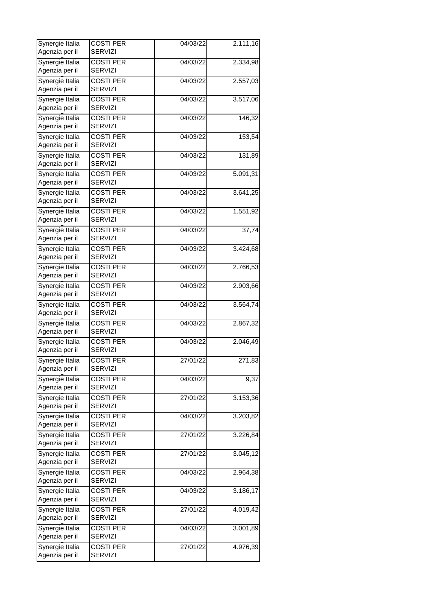| Synergie Italia<br>Agenzia per il | <b>COSTI PER</b><br><b>SERVIZI</b> | $\overline{0}$ 4/03/22 | 2.111,16            |
|-----------------------------------|------------------------------------|------------------------|---------------------|
| Synergie Italia<br>Agenzia per il | <b>COSTI PER</b><br><b>SERVIZI</b> | 04/03/22               | 2.334,98            |
| Synergie Italia                   | <b>COSTI PER</b>                   | 04/03/22               | 2.557,03            |
| Agenzia per il<br>Synergie Italia | <b>SERVIZI</b><br><b>COSTI PER</b> | 04/03/22               | 3.517,06            |
| Agenzia per il                    | <b>SERVIZI</b>                     |                        |                     |
| Synergie Italia<br>Agenzia per il | <b>COSTI PER</b><br>SERVIZI        | 04/03/22               | $\overline{146,32}$ |
| Synergie Italia<br>Agenzia per il | <b>COSTI PER</b><br><b>SERVIZI</b> | 04/03/22               | 153,54              |
| Synergie Italia<br>Agenzia per il | <b>COSTI PER</b><br>SERVIZI        | 04/03/22               | 131,89              |
| Synergie Italia<br>Agenzia per il | <b>COSTI PER</b><br><b>SERVIZI</b> | 04/03/22               | 5.091,31            |
| Synergie Italia<br>Agenzia per il | <b>COSTI PER</b><br><b>SERVIZI</b> | 04/03/22               | 3.641,25            |
| Synergie Italia<br>Agenzia per il | <b>COSTI PER</b><br><b>SERVIZI</b> | 04/03/22               | 1.551,92            |
| Synergie Italia                   | <b>COSTI PER</b>                   | 04/03/22               | 37,74               |
| Agenzia per il                    | <b>SERVIZI</b>                     |                        |                     |
| Synergie Italia<br>Agenzia per il | <b>COSTI PER</b><br>SERVIZI        | 04/03/22               | 3.424,68            |
| Synergie Italia<br>Agenzia per il | <b>COSTI PER</b><br><b>SERVIZI</b> | 04/03/22               | 2.766,53            |
| Synergie Italia<br>Agenzia per il | <b>COSTI PER</b><br>SERVIZI        | 04/03/22               | 2.903,66            |
| Synergie Italia<br>Agenzia per il | <b>COSTI PER</b><br><b>SERVIZI</b> | 04/03/22               | 3.564,74            |
| Synergie Italia<br>Agenzia per il | <b>COSTI PER</b><br><b>SERVIZI</b> | 04/03/22               | 2.867,32            |
| Synergie Italia<br>Agenzia per il | <b>COSTI PER</b><br><b>SERVIZI</b> | 04/03/22               | 2.046,49            |
| Synergie Italia<br>Agenzia per il | <b>COSTI PER</b><br><b>SERVIZI</b> | 27/01/22               | 271,83              |
| Synergie Italia<br>Agenzia per il | <b>COSTI PER</b><br><b>SERVIZI</b> | 04/03/22               | 9,37                |
| Synergie Italia                   | <b>COSTI PER</b>                   | 27/01/22               | 3.153,36            |
| Agenzia per il<br>Synergie Italia | <b>SERVIZI</b><br><b>COSTI PER</b> | 04/03/22               | 3.203,82            |
| Agenzia per il                    | <b>SERVIZI</b>                     |                        |                     |
| Synergie Italia<br>Agenzia per il | <b>COSTI PER</b><br><b>SERVIZI</b> | 27/01/22               | 3.226, 84           |
| Synergie Italia<br>Agenzia per il | <b>COSTI PER</b><br><b>SERVIZI</b> | 27/01/22               | 3.045,12            |
| Synergie Italia<br>Agenzia per il | <b>COSTI PER</b><br><b>SERVIZI</b> | 04/03/22               | 2.964,38            |
| Synergie Italia<br>Agenzia per il | <b>COSTI PER</b><br><b>SERVIZI</b> | 04/03/22               | 3.186,17            |
| Synergie Italia<br>Agenzia per il | <b>COSTI PER</b><br><b>SERVIZI</b> | 27/01/22               | 4.019,42            |
| Synergie Italia<br>Agenzia per il | <b>COSTI PER</b><br><b>SERVIZI</b> | 04/03/22               | 3.001,89            |
| Synergie Italia<br>Agenzia per il | <b>COSTI PER</b><br><b>SERVIZI</b> | 27/01/22               | 4.976,39            |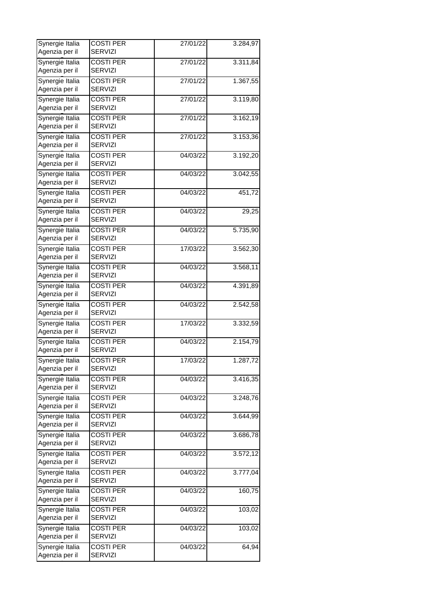| Synergie Italia<br>Agenzia per il | <b>COSTI PER</b><br><b>SERVIZI</b> | 27/01/22 | 3.284,97  |
|-----------------------------------|------------------------------------|----------|-----------|
|                                   |                                    |          |           |
| Synergie Italia<br>Agenzia per il | <b>COSTI PER</b><br><b>SERVIZI</b> | 27/01/22 | 3.311,84  |
| Synergie Italia<br>Agenzia per il | <b>COSTI PER</b><br><b>SERVIZI</b> | 27/01/22 | 1.367,55  |
| Synergie Italia                   | <b>COSTI PER</b>                   | 27/01/22 | 3.119,80  |
| Agenzia per il                    | <b>SERVIZI</b>                     |          |           |
| Synergie Italia<br>Agenzia per il | <b>COSTI PER</b><br><b>SERVIZI</b> | 27/01/22 | 3.162, 19 |
| Synergie Italia                   | <b>COSTI PER</b>                   | 27/01/22 | 3.153,36  |
| Agenzia per il                    | <b>SERVIZI</b>                     |          |           |
| Synergie Italia<br>Agenzia per il | <b>COSTI PER</b><br><b>SERVIZI</b> | 04/03/22 | 3.192,20  |
| Synergie Italia                   | <b>COSTI PER</b>                   | 04/03/22 | 3.042,55  |
| Agenzia per il                    | <b>SERVIZI</b>                     |          |           |
| Synergie Italia                   | <b>COSTI PER</b>                   | 04/03/22 | 451,72    |
| Agenzia per il                    | <b>SERVIZI</b>                     |          |           |
| Synergie Italia                   | <b>COSTI PER</b>                   | 04/03/22 | 29,25     |
| Agenzia per il                    | <b>SERVIZI</b>                     |          |           |
| Synergie Italia<br>Agenzia per il | <b>COSTI PER</b><br><b>SERVIZI</b> | 04/03/22 | 5.735,90  |
| Synergie Italia                   | <b>COSTI PER</b>                   | 17/03/22 | 3.562,30  |
| Agenzia per il                    | <b>SERVIZI</b>                     |          |           |
| Synergie Italia                   | <b>COSTI PER</b>                   | 04/03/22 | 3.568,11  |
| Agenzia per il                    | <b>SERVIZI</b>                     |          |           |
| Synergie Italia                   | <b>COSTI PER</b>                   | 04/03/22 | 4.391,89  |
| Agenzia per il                    | <b>SERVIZI</b>                     |          |           |
| Synergie Italia                   | <b>COSTI PER</b>                   | 04/03/22 | 2.542,58  |
| Agenzia per il                    | <b>SERVIZI</b>                     |          |           |
| Synergie Italia                   | <b>COSTI PER</b>                   | 17/03/22 | 3.332,59  |
| Agenzia per il                    | <b>SERVIZI</b>                     |          |           |
| Synergie Italia<br>Agenzia per il | <b>COSTI PER</b><br><b>SERVIZI</b> | 04/03/22 | 2.154,79  |
| Synergie Italia                   | <b>COSTI PER</b>                   | 17/03/22 | 1.287,72  |
| Agenzia per il                    | <b>SERVIZI</b>                     |          |           |
| Synergie Italia                   | <b>COSTI PER</b>                   | 04/03/22 | 3.416,35  |
| Agenzia per il                    | <b>SERVIZI</b>                     |          |           |
| Synergie Italia                   | <b>COSTI PER</b>                   | 04/03/22 | 3.248,76  |
| Agenzia per il                    | <b>SERVIZI</b>                     |          |           |
| Synergie Italia<br>Agenzia per il | <b>COSTI PER</b><br><b>SERVIZI</b> | 04/03/22 | 3.644,99  |
| Synergie Italia                   | <b>COSTI PER</b>                   | 04/03/22 | 3.686,78  |
| Agenzia per il                    | <b>SERVIZI</b>                     |          |           |
| Synergie Italia                   | <b>COSTI PER</b>                   | 04/03/22 | 3.572,12  |
| Agenzia per il                    | <b>SERVIZI</b>                     |          |           |
| Synergie Italia                   | <b>COSTI PER</b>                   | 04/03/22 | 3.777,04  |
| Agenzia per il                    | <b>SERVIZI</b>                     |          |           |
| Synergie Italia                   | <b>COSTI PER</b>                   | 04/03/22 | 160,75    |
| Agenzia per il                    | <b>SERVIZI</b>                     |          |           |
| Synergie Italia                   | <b>COSTI PER</b>                   | 04/03/22 | 103,02    |
| Agenzia per il                    | <b>SERVIZI</b>                     |          |           |
| Synergie Italia                   | <b>COSTI PER</b>                   | 04/03/22 | 103,02    |
| Agenzia per il                    | <b>SERVIZI</b>                     |          |           |
| Synergie Italia                   | <b>COSTI PER</b>                   | 04/03/22 | 64,94     |
| Agenzia per il                    | <b>SERVIZI</b>                     |          |           |
|                                   |                                    |          |           |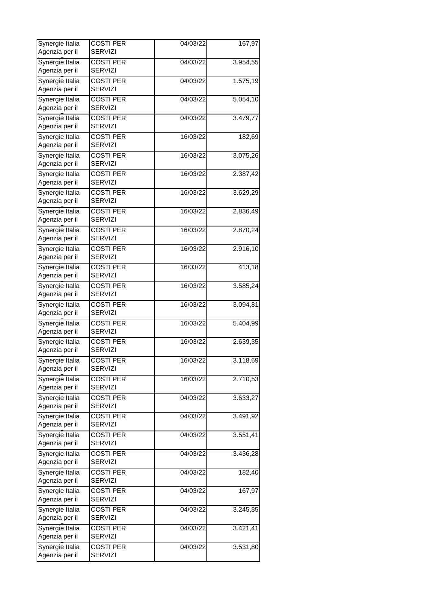| Synergie Italia<br>Agenzia per il | <b>COSTI PER</b><br><b>SERVIZI</b> | 04/03/22 | 167,97   |
|-----------------------------------|------------------------------------|----------|----------|
| Synergie Italia                   | <b>COSTI PER</b>                   | 04/03/22 | 3.954,55 |
| Agenzia per il<br>Synergie Italia | <b>SERVIZI</b><br><b>COSTI PER</b> | 04/03/22 | 1.575,19 |
| Agenzia per il                    | <b>SERVIZI</b>                     |          |          |
| Synergie Italia<br>Agenzia per il | <b>COSTI PER</b><br><b>SERVIZI</b> | 04/03/22 | 5.054,10 |
| Synergie Italia                   | <b>COSTI PER</b>                   | 04/03/22 | 3.479,77 |
| Agenzia per il<br>Synergie Italia | <b>SERVIZI</b>                     |          |          |
| Agenzia per il                    | <b>COSTI PER</b><br><b>SERVIZI</b> | 16/03/22 | 182,69   |
| Synergie Italia<br>Agenzia per il | <b>COSTI PER</b><br><b>SERVIZI</b> | 16/03/22 | 3.075,26 |
| Synergie Italia                   | <b>COSTI PER</b>                   | 16/03/22 | 2.387,42 |
| Agenzia per il                    | <b>SERVIZI</b>                     |          |          |
| Synergie Italia<br>Agenzia per il | <b>COSTI PER</b><br><b>SERVIZI</b> | 16/03/22 | 3.629,29 |
| Synergie Italia                   | <b>COSTI PER</b>                   | 16/03/22 | 2.836,49 |
| Agenzia per il                    | <b>SERVIZI</b>                     |          |          |
| Synergie Italia<br>Agenzia per il | <b>COSTI PER</b><br><b>SERVIZI</b> | 16/03/22 | 2.870,24 |
| Synergie Italia                   | <b>COSTI PER</b>                   | 16/03/22 | 2.916,10 |
| Agenzia per il                    | <b>SERVIZI</b>                     |          |          |
| Synergie Italia<br>Agenzia per il | <b>COSTI PER</b><br><b>SERVIZI</b> | 16/03/22 | 413,18   |
| Synergie Italia                   | <b>COSTI PER</b>                   | 16/03/22 | 3.585,24 |
| Agenzia per il                    | <b>SERVIZI</b>                     |          |          |
| Synergie Italia<br>Agenzia per il | <b>COSTI PER</b><br><b>SERVIZI</b> | 16/03/22 | 3.094,81 |
| Synergie Italia                   | <b>COSTI PER</b>                   | 16/03/22 | 5.404,99 |
| Agenzia per il                    | <b>SERVIZI</b>                     |          |          |
| Synergie Italia<br>Agenzia per il | <b>COSTI PER</b><br><b>SERVIZI</b> | 16/03/22 | 2.639,35 |
| Synergie Italia<br>Agenzia per il | <b>COSTI PER</b><br><b>SERVIZI</b> | 16/03/22 | 3.118,69 |
| Synergie Italia                   | <b>COSTI PER</b>                   | 16/03/22 | 2.710,53 |
| Agenzia per il                    | <b>SERVIZI</b>                     |          |          |
| Synergie Italia<br>Agenzia per il | <b>COSTI PER</b><br><b>SERVIZI</b> | 04/03/22 | 3.633,27 |
| Synergie Italia                   | <b>COSTI PER</b>                   | 04/03/22 | 3.491,92 |
| Agenzia per il                    | <b>SERVIZI</b>                     |          |          |
| Synergie Italia<br>Agenzia per il | <b>COSTI PER</b><br><b>SERVIZI</b> | 04/03/22 | 3.551,41 |
| Synergie Italia                   | <b>COSTI PER</b>                   | 04/03/22 | 3.436,28 |
| Agenzia per il                    | <b>SERVIZI</b>                     |          |          |
| Synergie Italia<br>Agenzia per il | <b>COSTI PER</b><br><b>SERVIZI</b> | 04/03/22 | 182,40   |
| Synergie Italia                   | <b>COSTI PER</b>                   | 04/03/22 | 167,97   |
| Agenzia per il                    | <b>SERVIZI</b>                     |          |          |
| Synergie Italia                   | <b>COSTI PER</b>                   | 04/03/22 | 3.245,85 |
| Agenzia per il                    | <b>SERVIZI</b>                     |          |          |
| Synergie Italia<br>Agenzia per il | <b>COSTI PER</b><br><b>SERVIZI</b> | 04/03/22 | 3.421,41 |
| Synergie Italia                   | <b>COSTI PER</b>                   | 04/03/22 | 3.531,80 |
| Agenzia per il                    | <b>SERVIZI</b>                     |          |          |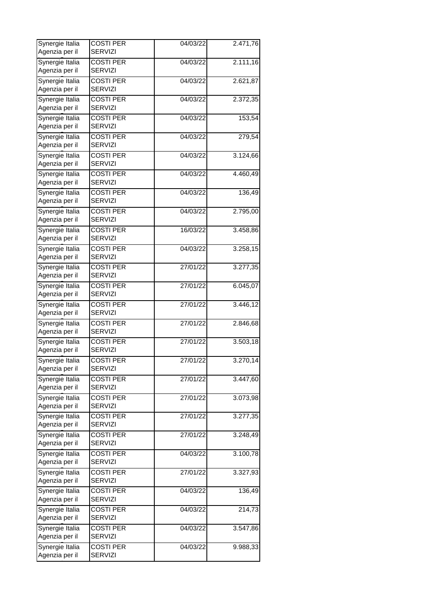| Synergie Italia<br>Agenzia per il | <b>COSTI PER</b><br><b>SERVIZI</b> | 04/03/22                             | 2.471,76  |
|-----------------------------------|------------------------------------|--------------------------------------|-----------|
|                                   |                                    |                                      |           |
| Synergie Italia<br>Agenzia per il | <b>COSTI PER</b><br><b>SERVIZI</b> | 04/03/22                             | 2.111,16  |
| Synergie Italia<br>Agenzia per il | <b>COSTI PER</b><br><b>SERVIZI</b> | 04/03/22                             | 2.621,87  |
| Synergie Italia                   | <b>COSTI PER</b>                   | 04/03/22                             | 2.372,35  |
| Agenzia per il                    | <b>SERVIZI</b>                     |                                      |           |
| Synergie Italia                   | <b>COSTI PER</b>                   | 04/03/22                             | 153,54    |
| Agenzia per il                    | <b>SERVIZI</b>                     |                                      |           |
| Synergie Italia                   | <b>COSTI PER</b>                   | 04/03/22                             | 279,54    |
| Agenzia per il                    | <b>SERVIZI</b>                     |                                      |           |
| Synergie Italia                   | <b>COSTI PER</b>                   | 04/03/22                             | 3.124,66  |
| Agenzia per il                    | <b>SERVIZI</b>                     |                                      |           |
| Synergie Italia                   | <b>COSTI PER</b>                   | 04/03/22                             | 4.460,49  |
| Agenzia per il                    | <b>SERVIZI</b>                     |                                      |           |
| Synergie Italia                   | <b>COSTI PER</b>                   | 04/03/22                             | 136,49    |
| Agenzia per il                    | <b>SERVIZI</b>                     |                                      |           |
| Synergie Italia                   | <b>COSTI PER</b>                   | $\frac{1}{04}{\sqrt{0}}\frac{3}{22}$ | 2.795,00  |
| Agenzia per il                    | <b>SERVIZI</b>                     |                                      |           |
| Synergie Italia                   | <b>COSTI PER</b>                   | 16/03/22                             | 3.458,86  |
| Agenzia per il                    | <b>SERVIZI</b>                     |                                      |           |
| Synergie Italia                   | <b>COSTI PER</b>                   | 04/03/22                             | 3.258, 15 |
| Agenzia per il                    | <b>SERVIZI</b>                     |                                      |           |
| Synergie Italia                   | <b>COSTI PER</b>                   | 27/01/22                             | 3.277,35  |
| Agenzia per il                    | <b>SERVIZI</b>                     |                                      |           |
| Synergie Italia                   | <b>COSTI PER</b>                   | 27/01/22                             | 6.045,07  |
| Agenzia per il                    | <b>SERVIZI</b>                     |                                      |           |
| Synergie Italia                   | <b>COSTI PER</b>                   | 27/01/22                             | 3.446,12  |
| Agenzia per il                    | <b>SERVIZI</b>                     |                                      |           |
| Synergie Italia                   | <b>COSTI PER</b>                   | 27/01/22                             | 2.846,68  |
| Agenzia per il                    | <b>SERVIZI</b>                     |                                      |           |
| Synergie Italia                   | <b>COSTI PER</b>                   | 27/01/22                             | 3.503,18  |
| Agenzia per il                    | <b>SERVIZI</b>                     |                                      |           |
| Synergie Italia                   | <b>COSTI PER</b>                   | 27/01/22                             | 3.270,14  |
| Agenzia per il                    | <b>SERVIZI</b>                     |                                      |           |
| Synergie Italia                   | <b>COSTI PER</b>                   | 27/01/22                             | 3.447,60  |
| Agenzia per il                    | <b>SERVIZI</b>                     |                                      |           |
| Synergie Italia                   | <b>COSTI PER</b>                   | 27/01/22                             | 3.073,98  |
| Agenzia per il                    | <b>SERVIZI</b>                     |                                      |           |
| Synergie Italia                   | <b>COSTI PER</b>                   | 27/01/22                             | 3.277,35  |
| Agenzia per il                    | <b>SERVIZI</b>                     |                                      |           |
| Synergie Italia                   | <b>COSTI PER</b>                   | 27/01/22                             | 3.248,49  |
| Agenzia per il                    | <b>SERVIZI</b>                     |                                      |           |
| Synergie Italia                   | <b>COSTI PER</b>                   | 04/03/22                             | 3.100,78  |
| Agenzia per il                    | <b>SERVIZI</b>                     |                                      |           |
| Synergie Italia                   | <b>COSTI PER</b>                   | 27/01/22                             | 3.327,93  |
| Agenzia per il                    | <b>SERVIZI</b>                     |                                      |           |
| Synergie Italia                   | <b>COSTI PER</b>                   | 04/03/22                             | 136,49    |
| Agenzia per il                    | <b>SERVIZI</b>                     |                                      |           |
| Synergie Italia                   | <b>COSTI PER</b>                   | 04/03/22                             | 214,73    |
| Agenzia per il                    | <b>SERVIZI</b>                     |                                      |           |
| Synergie Italia                   | <b>COSTI PER</b>                   | 04/03/22                             | 3.547,86  |
| Agenzia per il                    | <b>SERVIZI</b>                     |                                      |           |
| Synergie Italia                   | <b>COSTI PER</b>                   | 04/03/22                             | 9.988,33  |
| Agenzia per il                    | <b>SERVIZI</b>                     |                                      |           |
|                                   |                                    |                                      |           |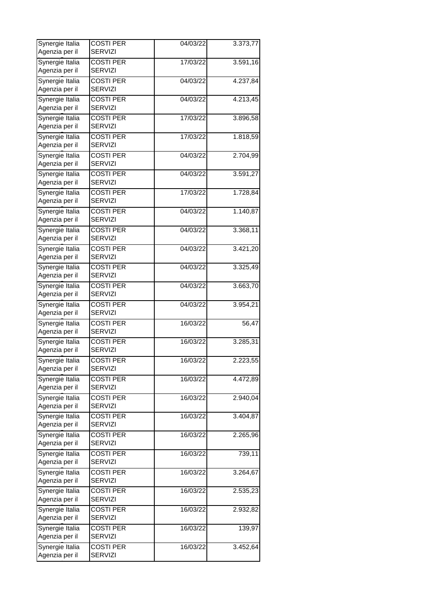| <b>COSTI PER</b>                   | 04/03/22                                                                                                                                                                                                                                                                                             | 3.373,77                                     |
|------------------------------------|------------------------------------------------------------------------------------------------------------------------------------------------------------------------------------------------------------------------------------------------------------------------------------------------------|----------------------------------------------|
| <b>COSTI PER</b>                   | 17/03/22                                                                                                                                                                                                                                                                                             | 3.591,16                                     |
| <b>COSTI PER</b>                   | 04/03/22                                                                                                                                                                                                                                                                                             | 4.237,84                                     |
| <b>COSTI PER</b>                   | 04/03/22                                                                                                                                                                                                                                                                                             | 4.213,45                                     |
| <b>SERVIZI</b>                     |                                                                                                                                                                                                                                                                                                      |                                              |
| SERVIZI                            |                                                                                                                                                                                                                                                                                                      | 3.896,58                                     |
| <b>COSTI PER</b><br><b>SERVIZI</b> | 17/03/22                                                                                                                                                                                                                                                                                             | 1.818,59                                     |
| <b>COSTI PER</b><br>SERVIZI        | 04/03/22                                                                                                                                                                                                                                                                                             | 2.704,99                                     |
| <b>COSTI PER</b>                   | 04/03/22                                                                                                                                                                                                                                                                                             | 3.591,27                                     |
| <b>COSTI PER</b>                   | 17/03/22                                                                                                                                                                                                                                                                                             | 1.728,84                                     |
| <b>COSTI PER</b>                   | $\frac{1}{04}{\sqrt{0}}\frac{3}{22}$                                                                                                                                                                                                                                                                 | 1.140,87                                     |
|                                    |                                                                                                                                                                                                                                                                                                      | 3.368,11                                     |
| <b>SERVIZI</b>                     |                                                                                                                                                                                                                                                                                                      |                                              |
| SERVIZI                            |                                                                                                                                                                                                                                                                                                      | 3.421,20                                     |
| <b>COSTI PER</b><br><b>SERVIZI</b> | 04/03/22                                                                                                                                                                                                                                                                                             | 3.325,49                                     |
| <b>COSTI PER</b><br>SERVIZI        | 04/03/22                                                                                                                                                                                                                                                                                             | 3.663,70                                     |
| <b>COSTI PER</b><br><b>SERVIZI</b> | 04/03/22                                                                                                                                                                                                                                                                                             | 3.954,21                                     |
| <b>COSTI PER</b><br><b>SERVIZI</b> | 16/03/22                                                                                                                                                                                                                                                                                             | 56,47                                        |
| <b>COSTI PER</b>                   | 16/03/22                                                                                                                                                                                                                                                                                             | 3.285,31                                     |
| <b>COSTI PER</b>                   | 16/03/22                                                                                                                                                                                                                                                                                             | 2.223,55                                     |
| <b>COSTI PER</b>                   | 16/03/22                                                                                                                                                                                                                                                                                             | 4.472,89                                     |
| <b>COSTI PER</b>                   | 16/03/22                                                                                                                                                                                                                                                                                             | 2.940,04                                     |
| <b>COSTI PER</b>                   | 16/03/22                                                                                                                                                                                                                                                                                             | 3.404,87                                     |
| <b>COSTI PER</b>                   | 16/03/22                                                                                                                                                                                                                                                                                             | 2.265,96                                     |
| <b>COSTI PER</b>                   | 16/03/22                                                                                                                                                                                                                                                                                             | 739,11                                       |
| <b>SERVIZI</b>                     |                                                                                                                                                                                                                                                                                                      |                                              |
| <b>SERVIZI</b>                     |                                                                                                                                                                                                                                                                                                      | 3.264,67                                     |
| <b>COSTI PER</b><br><b>SERVIZI</b> | 16/03/22                                                                                                                                                                                                                                                                                             | 2.535,23                                     |
| <b>COSTI PER</b><br><b>SERVIZI</b> | 16/03/22                                                                                                                                                                                                                                                                                             | 2.932,82                                     |
| <b>COSTI PER</b><br><b>SERVIZI</b> | 16/03/22                                                                                                                                                                                                                                                                                             | 139,97                                       |
| <b>COSTI PER</b><br><b>SERVIZI</b> | 16/03/22                                                                                                                                                                                                                                                                                             | 3.452,64                                     |
|                                    | <b>SERVIZI</b><br><b>SERVIZI</b><br><b>SERVIZI</b><br><b>COSTI PER</b><br><b>SERVIZI</b><br><b>SERVIZI</b><br><b>SERVIZI</b><br><b>COSTI PER</b><br><b>COSTI PER</b><br><b>SERVIZI</b><br><b>SERVIZI</b><br><b>SERVIZI</b><br><b>SERVIZI</b><br><b>SERVIZI</b><br><b>SERVIZI</b><br><b>COSTI PER</b> | 17/03/22<br>04/03/22<br>04/03/22<br>16/03/22 |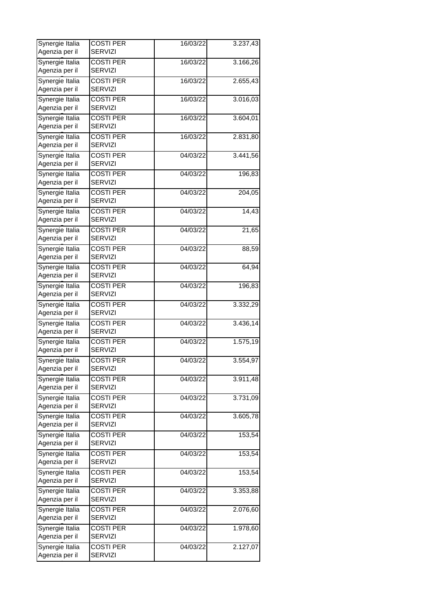| Synergie Italia                   | <b>COSTI PER</b>                   | 16/03/22 | 3.237,43 |
|-----------------------------------|------------------------------------|----------|----------|
| Agenzia per il                    | <b>SERVIZI</b>                     |          |          |
| Synergie Italia<br>Agenzia per il | <b>COSTI PER</b><br><b>SERVIZI</b> | 16/03/22 | 3.166,26 |
| Synergie Italia<br>Agenzia per il | <b>COSTI PER</b><br><b>SERVIZI</b> | 16/03/22 | 2.655,43 |
| Synergie Italia                   | <b>COSTI PER</b>                   | 16/03/22 | 3.016,03 |
| Agenzia per il                    | <b>SERVIZI</b>                     |          |          |
| Synergie Italia                   | <b>COSTI PER</b>                   | 16/03/22 | 3.604,01 |
| Agenzia per il                    | SERVIZI                            |          |          |
| Synergie Italia                   | <b>COSTI PER</b>                   | 16/03/22 | 2.831,80 |
| Agenzia per il                    | <b>SERVIZI</b>                     |          |          |
| Synergie Italia                   | <b>COSTI PER</b>                   | 04/03/22 | 3.441,56 |
| Agenzia per il                    | <b>SERVIZI</b>                     |          |          |
| Synergie Italia                   | <b>COSTI PER</b>                   | 04/03/22 | 196,83   |
| Agenzia per il                    | <b>SERVIZI</b>                     |          |          |
| Synergie Italia                   | <b>COSTI PER</b>                   | 04/03/22 | 204,05   |
| Agenzia per il                    | <b>SERVIZI</b>                     |          |          |
| Synergie Italia                   | <b>COSTI PER</b>                   | 04/03/22 | 14,43    |
| Agenzia per il                    | <b>SERVIZI</b>                     |          |          |
| Synergie Italia                   | <b>COSTI PER</b>                   | 04/03/22 | 21,65    |
| Agenzia per il                    | <b>SERVIZI</b>                     |          |          |
| Synergie Italia                   | <b>COSTI PER</b>                   | 04/03/22 | 88,59    |
| Agenzia per il                    | SERVIZI                            |          |          |
| Synergie Italia                   | <b>COSTI PER</b>                   | 04/03/22 | 64,94    |
| Agenzia per il                    | <b>SERVIZI</b>                     |          |          |
| Synergie Italia                   | <b>COSTI PER</b>                   | 04/03/22 | 196,83   |
| Agenzia per il                    | <b>SERVIZI</b>                     |          |          |
| Synergie Italia                   | <b>COSTI PER</b>                   | 04/03/22 | 3.332,29 |
| Agenzia per il                    | <b>SERVIZI</b>                     |          |          |
| Synergie Italia                   | <b>COSTI PER</b>                   | 04/03/22 | 3.436,14 |
| Agenzia per il                    | <b>SERVIZI</b>                     |          |          |
| Synergie Italia<br>Agenzia per il | <b>COSTI PER</b><br><b>SERVIZI</b> | 04/03/22 | 1.575,19 |
|                                   |                                    |          |          |
| Synergie Italia<br>Agenzia per il | <b>COSTI PER</b><br><b>SERVIZI</b> | 04/03/22 | 3.554,97 |
| Synergie Italia                   | <b>COSTI PER</b>                   | 04/03/22 | 3.911,48 |
| Agenzia per il                    | <b>SERVIZI</b>                     |          |          |
| Synergie Italia                   | <b>COSTI PER</b>                   | 04/03/22 | 3.731,09 |
| Agenzia per il                    | <b>SERVIZI</b>                     |          |          |
| Synergie Italia                   | <b>COSTI PER</b>                   | 04/03/22 | 3.605,78 |
| Agenzia per il                    | <b>SERVIZI</b>                     |          |          |
| Synergie Italia                   | <b>COSTI PER</b>                   | 04/03/22 | 153,54   |
| Agenzia per il                    | <b>SERVIZI</b>                     |          |          |
| Synergie Italia                   | <b>COSTI PER</b>                   | 04/03/22 | 153,54   |
| Agenzia per il                    | <b>SERVIZI</b>                     |          |          |
| Synergie Italia                   | <b>COSTI PER</b>                   | 04/03/22 | 153,54   |
| Agenzia per il                    | <b>SERVIZI</b>                     |          |          |
| Synergie Italia                   | <b>COSTI PER</b>                   | 04/03/22 | 3.353,88 |
| Agenzia per il                    | <b>SERVIZI</b>                     |          |          |
| Synergie Italia                   | <b>COSTI PER</b>                   | 04/03/22 | 2.076,60 |
| Agenzia per il                    | <b>SERVIZI</b>                     |          |          |
| Synergie Italia                   | <b>COSTI PER</b>                   | 04/03/22 | 1.978,60 |
| Agenzia per il                    | <b>SERVIZI</b>                     |          |          |
| Synergie Italia                   | <b>COSTI PER</b>                   | 04/03/22 | 2.127,07 |
| Agenzia per il                    | <b>SERVIZI</b>                     |          |          |
|                                   |                                    |          |          |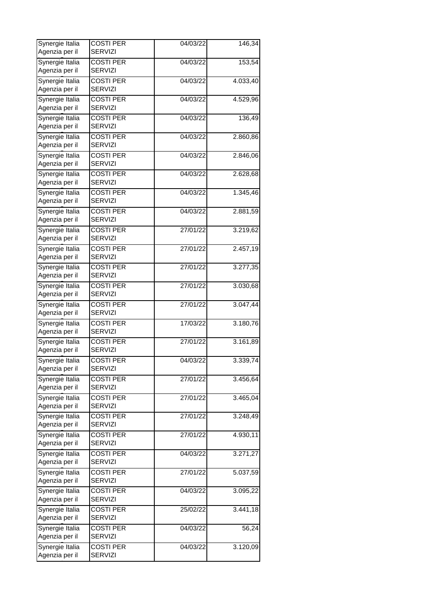| Synergie Italia                   | <b>COSTI PER</b>                   | 04/03/22              | 146,34                 |
|-----------------------------------|------------------------------------|-----------------------|------------------------|
| Agenzia per il                    | <b>SERVIZI</b>                     |                       |                        |
| Synergie Italia<br>Agenzia per il | <b>COSTI PER</b><br><b>SERVIZI</b> | 04/03/22              | 153,54                 |
| Synergie Italia                   | <b>COSTI PER</b>                   | 04/03/22              | 4.033,40               |
| Agenzia per il                    | <b>SERVIZI</b>                     |                       |                        |
| Synergie Italia                   | <b>COSTI PER</b>                   | 04/03/22              | 4.529,96               |
| Agenzia per il                    | <b>SERVIZI</b>                     |                       |                        |
| Synergie Italia                   | <b>COSTI PER</b>                   | 04/03/22              | 136,49                 |
| Agenzia per il                    | <b>SERVIZI</b>                     |                       |                        |
| Synergie Italia                   | <b>COSTI PER</b>                   | 04/03/22              | 2.860,86               |
| Agenzia per il                    | <b>SERVIZI</b>                     |                       |                        |
| Synergie Italia                   | <b>COSTI PER</b>                   | 04/03/22              | 2.846,06               |
| Agenzia per il                    | <b>SERVIZI</b>                     |                       |                        |
|                                   |                                    |                       |                        |
| Synergie Italia<br>Agenzia per il | <b>COSTI PER</b><br><b>SERVIZI</b> | 04/03/22              | 2.628,68               |
|                                   |                                    |                       |                        |
| Synergie Italia                   | <b>COSTI PER</b>                   | 04/03/22              | 1.345,46               |
| Agenzia per il                    | <b>SERVIZI</b>                     |                       |                        |
| Synergie Italia                   | <b>COSTI PER</b>                   | 04/03/22              | 2.881,59               |
| Agenzia per il                    | <b>SERVIZI</b>                     |                       |                        |
| Synergie Italia                   | <b>COSTI PER</b>                   | 27/01/22              | 3.219,62               |
| Agenzia per il                    | <b>SERVIZI</b>                     |                       |                        |
| Synergie Italia                   | <b>COSTI PER</b>                   | 27/01/22              | 2.457,19               |
|                                   | <b>SERVIZI</b>                     |                       |                        |
| Agenzia per il                    |                                    |                       |                        |
| Synergie Italia                   | <b>COSTI PER</b>                   | 27/01/22              | 3.277,35               |
| Agenzia per il                    | <b>SERVIZI</b>                     |                       |                        |
| Synergie Italia                   | <b>COSTI PER</b>                   | 27/01/22              | 3.030,68               |
| Agenzia per il                    | <b>SERVIZI</b>                     |                       |                        |
| Synergie Italia                   | <b>COSTI PER</b>                   | 27/01/22              | 3.047,44               |
| Agenzia per il                    | <b>SERVIZI</b>                     |                       |                        |
| Synergie Italia                   | <b>COSTI PER</b>                   | 17/03/22              | 3.180,76               |
| Agenzia per il                    | <b>SERVIZI</b>                     |                       |                        |
|                                   |                                    |                       |                        |
| Synergie Italia                   | <b>COSTI PER</b>                   | 27/01/22              | 3.161,89               |
| Agenzia per il                    | <b>SERVIZI</b>                     |                       |                        |
| Synergie Italia                   | <b>COSTI PER</b>                   | $\overline{04}/03/22$ | 3.339,74               |
| Agenzia per il                    | <b>SERVIZI</b>                     |                       |                        |
| Synergie Italia                   | <b>COSTI PER</b>                   | 27/01/22              | 3.456,64               |
| Agenzia per il                    | <b>SERVIZI</b>                     |                       |                        |
| Synergie Italia                   | <b>COSTI PER</b>                   | 27/01/22              | 3.465,04               |
| Agenzia per il                    | <b>SERVIZI</b>                     |                       |                        |
| Synergie Italia                   | <b>COSTI PER</b>                   | 27/01/22              | 3.248,49               |
| Agenzia per il                    | <b>SERVIZI</b>                     |                       |                        |
|                                   |                                    |                       |                        |
| Synergie Italia                   | <b>COSTI PER</b>                   | 27/01/22              | 4.930,11               |
| Agenzia per il                    | <b>SERVIZI</b>                     |                       |                        |
| Synergie Italia                   | <b>COSTI PER</b>                   | 04/03/22              | 3.271,27               |
| Agenzia per il                    | <b>SERVIZI</b>                     |                       |                        |
| Synergie Italia                   | <b>COSTI PER</b>                   | 27/01/22              | $\overline{5.03}$ 7,59 |
| Agenzia per il                    | <b>SERVIZI</b>                     |                       |                        |
| Synergie Italia                   | <b>COSTI PER</b>                   | 04/03/22              | 3.095,22               |
| Agenzia per il                    | <b>SERVIZI</b>                     |                       |                        |
|                                   |                                    |                       |                        |
| Synergie Italia                   | <b>COSTI PER</b>                   | 25/02/22              | 3.441,18               |
| Agenzia per il                    | <b>SERVIZI</b>                     |                       |                        |
| Synergie Italia                   | <b>COSTI PER</b>                   | 04/03/22              | 56,24                  |
| Agenzia per il                    | <b>SERVIZI</b>                     |                       |                        |
| Synergie Italia                   | <b>COSTI PER</b>                   | 04/03/22              | 3.120,09               |
| Agenzia per il                    | <b>SERVIZI</b>                     |                       |                        |
|                                   |                                    |                       |                        |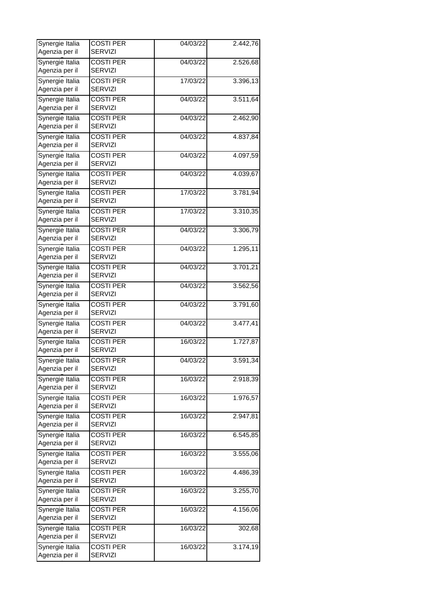| Synergie Italia<br>Agenzia per il | <b>COSTI PER</b><br><b>SERVIZI</b> | 04/03/22              | 2.442,76 |
|-----------------------------------|------------------------------------|-----------------------|----------|
| Synergie Italia<br>Agenzia per il | <b>COSTI PER</b><br><b>SERVIZI</b> | 04/03/22              | 2.526,68 |
| Synergie Italia                   | <b>COSTI PER</b>                   | 17/03/22              | 3.396,13 |
| Agenzia per il<br>Synergie Italia | <b>SERVIZI</b><br><b>COSTI PER</b> | 04/03/22              | 3.511,64 |
| Agenzia per il                    | <b>SERVIZI</b>                     |                       |          |
| Synergie Italia<br>Agenzia per il | <b>COSTI PER</b><br>SERVIZI        | 04/03/22              | 2.462,90 |
| Synergie Italia<br>Agenzia per il | <b>COSTI PER</b><br><b>SERVIZI</b> | 04/03/22              | 4.837,84 |
| Synergie Italia<br>Agenzia per il | <b>COSTI PER</b><br>SERVIZI        | 04/03/22              | 4.097,59 |
| Synergie Italia<br>Agenzia per il | <b>COSTI PER</b><br><b>SERVIZI</b> | 04/03/22              | 4.039,67 |
| Synergie Italia<br>Agenzia per il | <b>COSTI PER</b><br><b>SERVIZI</b> | 17/03/22              | 3.781,94 |
| Synergie Italia<br>Agenzia per il | <b>COSTI PER</b><br><b>SERVIZI</b> | 17/03/22              | 3.310,35 |
| Synergie Italia                   | <b>COSTI PER</b>                   | 04/03/22              | 3.306,79 |
| Agenzia per il                    | <b>SERVIZI</b>                     |                       |          |
| Synergie Italia<br>Agenzia per il | <b>COSTI PER</b><br>SERVIZI        | 04/03/22              | 1.295,11 |
| Synergie Italia<br>Agenzia per il | <b>COSTI PER</b><br><b>SERVIZI</b> | 04/03/22              | 3.701,21 |
| Synergie Italia<br>Agenzia per il | <b>COSTI PER</b><br>SERVIZI        | 04/03/22              | 3.562,56 |
| Synergie Italia<br>Agenzia per il | <b>COSTI PER</b><br><b>SERVIZI</b> | 04/03/22              | 3.791,60 |
| Synergie Italia<br>Agenzia per il | <b>COSTI PER</b><br><b>SERVIZI</b> | 04/03/22              | 3.477,41 |
| Synergie Italia<br>Agenzia per il | <b>COSTI PER</b><br><b>SERVIZI</b> | 16/03/22              | 1.727,87 |
| Synergie Italia<br>Agenzia per il | <b>COSTI PER</b><br><b>SERVIZI</b> | $\overline{04}/03/22$ | 3.591,34 |
| Synergie Italia<br>Agenzia per il | <b>COSTI PER</b><br><b>SERVIZI</b> | 16/03/22              | 2.918,39 |
| Synergie Italia<br>Agenzia per il | <b>COSTI PER</b><br><b>SERVIZI</b> | 16/03/22              | 1.976,57 |
| Synergie Italia<br>Agenzia per il | <b>COSTI PER</b>                   | 16/03/22              | 2.947,81 |
| Synergie Italia                   | <b>SERVIZI</b><br><b>COSTI PER</b> | 16/03/22              | 6.545,85 |
| Agenzia per il<br>Synergie Italia | <b>SERVIZI</b><br><b>COSTI PER</b> | 16/03/22              | 3.555,06 |
| Agenzia per il                    | <b>SERVIZI</b>                     |                       |          |
| Synergie Italia<br>Agenzia per il | <b>COSTI PER</b><br><b>SERVIZI</b> | 16/03/22              | 4.486,39 |
| Synergie Italia<br>Agenzia per il | <b>COSTI PER</b><br><b>SERVIZI</b> | 16/03/22              | 3.255,70 |
| Synergie Italia<br>Agenzia per il | <b>COSTI PER</b><br><b>SERVIZI</b> | 16/03/22              | 4.156,06 |
| Synergie Italia<br>Agenzia per il | <b>COSTI PER</b><br><b>SERVIZI</b> | 16/03/22              | 302,68   |
| Synergie Italia<br>Agenzia per il | <b>COSTI PER</b><br><b>SERVIZI</b> | 16/03/22              | 3.174,19 |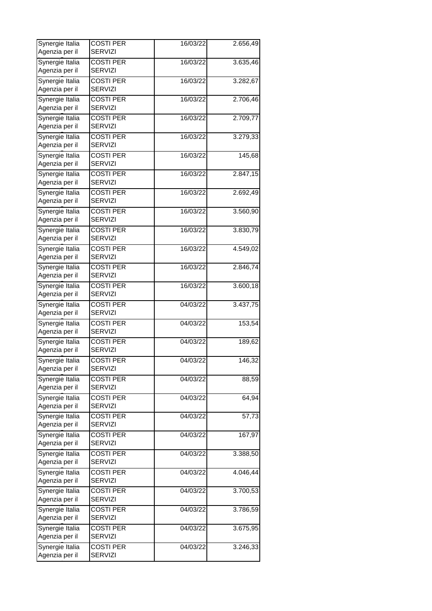| Synergie Italia<br>Agenzia per il | <b>COSTI PER</b><br><b>SERVIZI</b> | 16/03/22 | 2.656,49  |
|-----------------------------------|------------------------------------|----------|-----------|
| Synergie Italia<br>Agenzia per il | <b>COSTI PER</b><br><b>SERVIZI</b> | 16/03/22 | 3.635,46  |
| Synergie Italia<br>Agenzia per il | <b>COSTI PER</b><br><b>SERVIZI</b> | 16/03/22 | 3.282,67  |
| Synergie Italia<br>Agenzia per il | <b>COSTI PER</b><br><b>SERVIZI</b> | 16/03/22 | 2.706,46  |
| Synergie Italia<br>Agenzia per il | <b>COSTI PER</b><br>SERVIZI        | 16/03/22 | 2.709,77  |
| Synergie Italia<br>Agenzia per il | <b>COSTI PER</b><br><b>SERVIZI</b> | 16/03/22 | 3.279,33  |
| Synergie Italia<br>Agenzia per il | <b>COSTI PER</b><br>SERVIZI        | 16/03/22 | 145,68    |
| Synergie Italia<br>Agenzia per il | <b>COSTI PER</b><br><b>SERVIZI</b> | 16/03/22 | 2.847,15  |
| Synergie Italia<br>Agenzia per il | <b>COSTI PER</b><br><b>SERVIZI</b> | 16/03/22 | 2.692,49  |
| Synergie Italia<br>Agenzia per il | <b>COSTI PER</b><br><b>SERVIZI</b> | 16/03/22 | 3.560,90  |
| Synergie Italia<br>Agenzia per il | <b>COSTI PER</b><br><b>SERVIZI</b> | 16/03/22 | 3.830,79  |
| Synergie Italia<br>Agenzia per il | <b>COSTI PER</b><br>SERVIZI        | 16/03/22 | 4.549,02  |
| Synergie Italia<br>Agenzia per il | <b>COSTI PER</b><br><b>SERVIZI</b> | 16/03/22 | 2.846,74  |
| Synergie Italia<br>Agenzia per il | <b>COSTI PER</b><br>SERVIZI        | 16/03/22 | 3.600, 18 |
| Synergie Italia<br>Agenzia per il | <b>COSTI PER</b><br><b>SERVIZI</b> | 04/03/22 | 3.437,75  |
| Synergie Italia<br>Agenzia per il | <b>COSTI PER</b><br><b>SERVIZI</b> | 04/03/22 | 153,54    |
| Synergie Italia<br>Agenzia per il | <b>COSTI PER</b><br><b>SERVIZI</b> | 04/03/22 | 189,62    |
| Synergie Italia<br>Agenzia per il | <b>COSTI PER</b><br><b>SERVIZI</b> | 04/03/22 | 146,32    |
| Synergie Italia<br>Agenzia per il | <b>COSTI PER</b><br><b>SERVIZI</b> | 04/03/22 | 88,59     |
| Synergie Italia<br>Agenzia per il | <b>COSTI PER</b><br><b>SERVIZI</b> | 04/03/22 | 64,94     |
| Synergie Italia<br>Agenzia per il | <b>COSTI PER</b><br><b>SERVIZI</b> | 04/03/22 | 57,73     |
| Synergie Italia<br>Agenzia per il | <b>COSTI PER</b><br><b>SERVIZI</b> | 04/03/22 | 167,97    |
| Synergie Italia<br>Agenzia per il | <b>COSTI PER</b><br><b>SERVIZI</b> | 04/03/22 | 3.388,50  |
| Synergie Italia<br>Agenzia per il | <b>COSTI PER</b><br><b>SERVIZI</b> | 04/03/22 | 4.046,44  |
| Synergie Italia<br>Agenzia per il | <b>COSTI PER</b><br><b>SERVIZI</b> | 04/03/22 | 3.700,53  |
| Synergie Italia<br>Agenzia per il | <b>COSTI PER</b><br><b>SERVIZI</b> | 04/03/22 | 3.786,59  |
| Synergie Italia<br>Agenzia per il | <b>COSTI PER</b><br><b>SERVIZI</b> | 04/03/22 | 3.675,95  |
| Synergie Italia<br>Agenzia per il | <b>COSTI PER</b><br><b>SERVIZI</b> | 04/03/22 | 3.246,33  |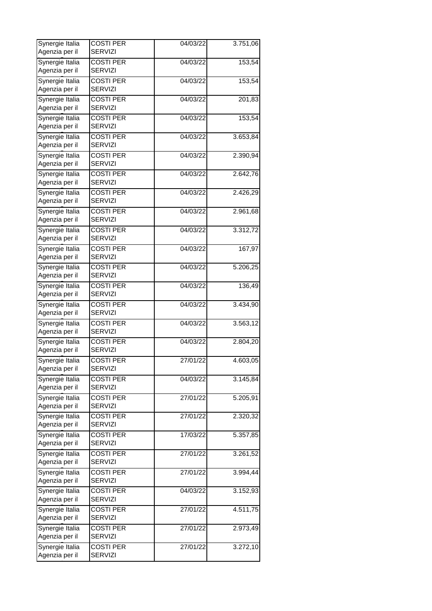| Synergie Italia<br>Agenzia per il | <b>COSTI PER</b><br><b>SERVIZI</b> | 04/03/22                             | 3.751,06 |
|-----------------------------------|------------------------------------|--------------------------------------|----------|
| Synergie Italia                   | <b>COSTI PER</b><br><b>SERVIZI</b> | 04/03/22                             | 153,54   |
| Agenzia per il<br>Synergie Italia | <b>COSTI PER</b>                   | 04/03/22                             | 153,54   |
| Agenzia per il                    | <b>SERVIZI</b>                     |                                      |          |
| Synergie Italia<br>Agenzia per il | <b>COSTI PER</b><br><b>SERVIZI</b> | 04/03/22                             | 201,83   |
| Synergie Italia                   | <b>COSTI PER</b>                   | 04/03/22                             | 153,54   |
| Agenzia per il                    | <b>SERVIZI</b>                     |                                      |          |
| Synergie Italia<br>Agenzia per il | <b>COSTI PER</b><br><b>SERVIZI</b> | 04/03/22                             | 3.653,84 |
| Synergie Italia<br>Agenzia per il | <b>COSTI PER</b><br><b>SERVIZI</b> | 04/03/22                             | 2.390,94 |
| Synergie Italia<br>Agenzia per il | <b>COSTI PER</b><br><b>SERVIZI</b> | 04/03/22                             | 2.642,76 |
| Synergie Italia                   | <b>COSTI PER</b>                   | 04/03/22                             | 2.426,29 |
| Agenzia per il                    | <b>SERVIZI</b>                     |                                      |          |
| Synergie Italia<br>Agenzia per il | <b>COSTI PER</b><br><b>SERVIZI</b> | $\frac{1}{04}{\sqrt{0}}\frac{3}{22}$ | 2.961,68 |
| Synergie Italia                   | <b>COSTI PER</b>                   | 04/03/22                             | 3.312,72 |
| Agenzia per il                    | <b>SERVIZI</b>                     |                                      |          |
| Synergie Italia                   | <b>COSTI PER</b>                   | 04/03/22                             | 167,97   |
| Agenzia per il                    | <b>SERVIZI</b>                     |                                      |          |
| Synergie Italia<br>Agenzia per il | <b>COSTI PER</b><br><b>SERVIZI</b> | 04/03/22                             | 5.206,25 |
| Synergie Italia<br>Agenzia per il | <b>COSTI PER</b><br><b>SERVIZI</b> | 04/03/22                             | 136,49   |
| Synergie Italia<br>Agenzia per il | <b>COSTI PER</b><br><b>SERVIZI</b> | 04/03/22                             | 3.434,90 |
| Synergie Italia<br>Agenzia per il | <b>COSTI PER</b><br><b>SERVIZI</b> | 04/03/22                             | 3.563,12 |
| Synergie Italia                   | <b>COSTI PER</b>                   | 04/03/22                             | 2.804,20 |
| Agenzia per il                    | <b>SERVIZI</b>                     |                                      |          |
| Synergie Italia<br>Agenzia per il | <b>COSTI PER</b><br><b>SERVIZI</b> | 27/01/22                             | 4.603,05 |
| Synergie Italia                   | <b>COSTI PER</b>                   | 04/03/22                             | 3.145,84 |
| Agenzia per il                    | <b>SERVIZI</b>                     |                                      |          |
| Synergie Italia<br>Agenzia per il | <b>COSTI PER</b><br><b>SERVIZI</b> | 27/01/22                             | 5.205,91 |
| Synergie Italia<br>Agenzia per il | <b>COSTI PER</b><br><b>SERVIZI</b> | 27/01/22                             | 2.320,32 |
| Synergie Italia                   | <b>COSTI PER</b>                   | 17/03/22                             | 5.357,85 |
| Agenzia per il<br>Synergie Italia | <b>SERVIZI</b><br><b>COSTI PER</b> | 27/01/22                             | 3.261,52 |
| Agenzia per il                    | <b>SERVIZI</b>                     |                                      |          |
| Synergie Italia                   | <b>COSTI PER</b>                   | 27/01/22                             | 3.994,44 |
| Agenzia per il                    | <b>SERVIZI</b>                     |                                      |          |
| Synergie Italia<br>Agenzia per il | <b>COSTI PER</b><br><b>SERVIZI</b> | 04/03/22                             | 3.152,93 |
| Synergie Italia<br>Agenzia per il | <b>COSTI PER</b><br><b>SERVIZI</b> | 27/01/22                             | 4.511,75 |
| Synergie Italia<br>Agenzia per il | <b>COSTI PER</b><br><b>SERVIZI</b> | 27/01/22                             | 2.973,49 |
| Synergie Italia<br>Agenzia per il | <b>COSTI PER</b><br><b>SERVIZI</b> | 27/01/22                             | 3.272,10 |
|                                   |                                    |                                      |          |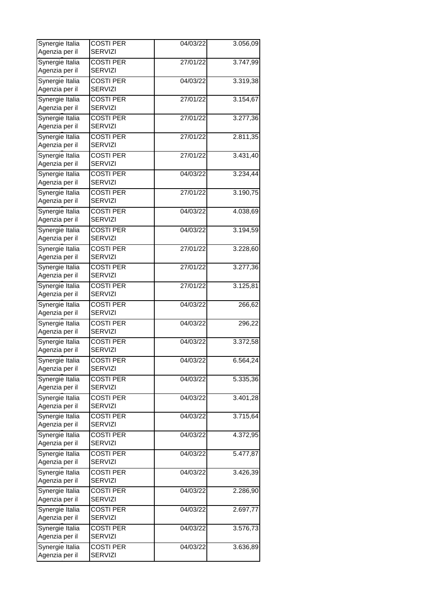| Synergie Italia<br>Agenzia per il | <b>COSTI PER</b><br><b>SERVIZI</b> | 04/03/22                             | 3.056,09 |
|-----------------------------------|------------------------------------|--------------------------------------|----------|
| Synergie Italia                   | <b>COSTI PER</b>                   | 27/01/22                             | 3.747,99 |
| Agenzia per il                    | <b>SERVIZI</b>                     |                                      |          |
| Synergie Italia<br>Agenzia per il | <b>COSTI PER</b><br><b>SERVIZI</b> | 04/03/22                             | 3.319,38 |
| Synergie Italia                   | <b>COSTI PER</b>                   | 27/01/22                             | 3.154,67 |
| Agenzia per il                    | <b>SERVIZI</b>                     |                                      |          |
| Synergie Italia                   | <b>COSTI PER</b>                   | 27/01/22                             | 3.277,36 |
| Agenzia per il                    | <b>SERVIZI</b>                     |                                      |          |
| Synergie Italia                   | <b>COSTI PER</b>                   | 27/01/22                             | 2.811,35 |
| Agenzia per il                    | <b>SERVIZI</b>                     |                                      |          |
| Synergie Italia                   | <b>COSTI PER</b>                   | 27/01/22                             | 3.431,40 |
| Agenzia per il                    | <b>SERVIZI</b>                     |                                      |          |
| Synergie Italia                   | <b>COSTI PER</b>                   | 04/03/22                             | 3.234,44 |
| Agenzia per il                    | <b>SERVIZI</b>                     |                                      |          |
| Synergie Italia                   | <b>COSTI PER</b>                   | 27/01/22                             | 3.190,75 |
| Agenzia per il                    | <b>SERVIZI</b>                     |                                      |          |
| Synergie Italia                   | <b>COSTI PER</b>                   | $\frac{1}{04}{\sqrt{0}}\frac{3}{22}$ | 4.038,69 |
| Agenzia per il                    | <b>SERVIZI</b>                     |                                      |          |
| Synergie Italia                   | <b>COSTI PER</b>                   | 04/03/22                             | 3.194,59 |
| Agenzia per il                    | <b>SERVIZI</b>                     |                                      |          |
| Synergie Italia                   | <b>COSTI PER</b>                   | 27/01/22                             | 3.228,60 |
| Agenzia per il                    | <b>SERVIZI</b>                     |                                      |          |
| Synergie Italia                   | <b>COSTI PER</b>                   | 27/01/22                             | 3.277,36 |
| Agenzia per il                    | <b>SERVIZI</b>                     |                                      |          |
| Synergie Italia                   | <b>COSTI PER</b>                   | 27/01/22                             | 3.125,81 |
| Agenzia per il                    | <b>SERVIZI</b>                     |                                      |          |
| Synergie Italia                   | <b>COSTI PER</b>                   | 04/03/22                             | 266,62   |
| Agenzia per il                    | <b>SERVIZI</b>                     |                                      |          |
| Synergie Italia                   | <b>COSTI PER</b>                   | 04/03/22                             | 296,22   |
| Agenzia per il                    | <b>SERVIZI</b>                     |                                      |          |
| Synergie Italia                   | <b>COSTI PER</b>                   | 04/03/22                             | 3.372,58 |
| Agenzia per il                    | <b>SERVIZI</b>                     |                                      |          |
| Synergie Italia                   | <b>COSTI PER</b>                   | 04/03/22                             | 6.564,24 |
| Agenzia per il                    | <b>SERVIZI</b>                     |                                      |          |
| Synergie Italia                   | <b>COSTI PER</b>                   | 04/03/22                             | 5.335,36 |
| Agenzia per il                    | <b>SERVIZI</b>                     |                                      |          |
| Synergie Italia                   | <b>COSTI PER</b>                   | 04/03/22                             | 3.401,28 |
| Agenzia per il                    | <b>SERVIZI</b>                     |                                      |          |
| Synergie Italia                   | <b>COSTI PER</b>                   | 04/03/22                             | 3.715,64 |
| Agenzia per il                    | <b>SERVIZI</b>                     |                                      |          |
| Synergie Italia                   | <b>COSTI PER</b>                   | 04/03/22                             | 4.372,95 |
| Agenzia per il                    | <b>SERVIZI</b>                     |                                      |          |
| Synergie Italia                   | <b>COSTI PER</b>                   | 04/03/22                             | 5.477,87 |
| Agenzia per il                    | <b>SERVIZI</b>                     |                                      |          |
| Synergie Italia                   | <b>COSTI PER</b>                   | 04/03/22                             | 3.426,39 |
| Agenzia per il                    | <b>SERVIZI</b>                     |                                      |          |
| Synergie Italia                   | <b>COSTI PER</b>                   | 04/03/22                             | 2.286,90 |
| Agenzia per il                    | <b>SERVIZI</b>                     |                                      |          |
| Synergie Italia                   | <b>COSTI PER</b>                   | 04/03/22                             | 2.697,77 |
| Agenzia per il                    | <b>SERVIZI</b>                     |                                      |          |
| Synergie Italia                   | <b>COSTI PER</b>                   | 04/03/22                             | 3.576,73 |
| Agenzia per il                    | <b>SERVIZI</b>                     |                                      |          |
| Synergie Italia                   | <b>COSTI PER</b>                   | 04/03/22                             | 3.636,89 |
| Agenzia per il                    | <b>SERVIZI</b>                     |                                      |          |
|                                   |                                    |                                      |          |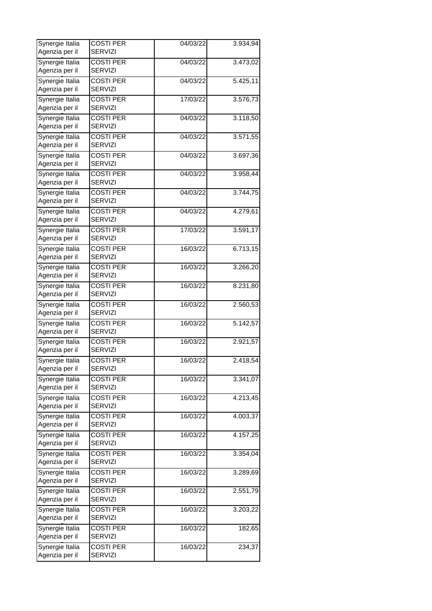| Synergie Italia<br><b>COSTI PER</b><br>04/03/22<br>3.473,02<br>Agenzia per il<br><b>SERVIZI</b><br>Synergie Italia<br><b>COSTI PER</b><br>5.425,11<br>04/03/22<br>Agenzia per il<br><b>SERVIZI</b><br>Synergie Italia<br><b>COSTI PER</b><br>17/03/22<br>3.576,73<br>Agenzia per il<br><b>SERVIZI</b><br>Synergie Italia<br><b>COSTI PER</b><br>3.118,50<br>04/03/22<br>Agenzia per il<br><b>SERVIZI</b><br>Synergie Italia<br><b>COSTI PER</b><br>3.571,55<br>04/03/22<br>Agenzia per il<br><b>SERVIZI</b><br>Synergie Italia<br><b>COSTI PER</b><br>04/03/22<br>3.697,36<br><b>SERVIZI</b><br>Agenzia per il<br>Synergie Italia<br><b>COSTI PER</b><br>3.958,44<br>04/03/22<br>Agenzia per il<br><b>SERVIZI</b><br>Synergie Italia<br><b>COSTI PER</b><br>04/03/22<br>3.744,75<br>Agenzia per il<br><b>SERVIZI</b><br>Synergie Italia<br><b>COSTI PER</b><br>$\frac{1}{04}{\sqrt{0}}\frac{3}{22}$<br>4.279,61<br><b>SERVIZI</b><br>Agenzia per il<br>Synergie Italia<br>3.591,17<br>17/03/22<br><b>COSTI PER</b><br>Agenzia per il<br><b>SERVIZI</b><br>Synergie Italia<br><b>COSTI PER</b><br>6.713,15<br>16/03/22<br>Agenzia per il<br><b>SERVIZI</b><br>Synergie Italia<br><b>COSTI PER</b><br>16/03/22<br>3.266,20<br>Agenzia per il<br><b>SERVIZI</b><br>Synergie Italia<br><b>COSTI PER</b><br>16/03/22<br>8.231,80<br><b>SERVIZI</b><br>Agenzia per il<br>Synergie Italia<br><b>COSTI PER</b><br>16/03/22<br>2.560,53<br>Agenzia per il<br><b>SERVIZI</b><br>Synergie Italia<br><b>COSTI PER</b><br>16/03/22<br>5.142,57<br>Agenzia per il<br><b>SERVIZI</b><br>Synergie Italia<br><b>COSTI PER</b><br>16/03/22<br>2.921,57<br>Agenzia per il<br><b>SERVIZI</b><br>Synergie Italia<br>2.418,54<br><b>COSTI PER</b><br>16/03/22<br><b>SERVIZI</b><br>Agenzia per il<br>Synergie Italia<br><b>COSTI PER</b><br>3.341,07<br>16/03/22<br>Agenzia per il<br><b>SERVIZI</b><br>Synergie Italia<br><b>COSTI PER</b><br>16/03/22<br>4.213,45<br>Agenzia per il<br><b>SERVIZI</b><br>Synergie Italia<br><b>COSTI PER</b><br>4.003,37<br>16/03/22<br>Agenzia per il<br><b>SERVIZI</b><br>Synergie Italia<br><b>COSTI PER</b><br>16/03/22<br>4.157,25<br>Agenzia per il<br><b>SERVIZI</b><br>Synergie Italia<br><b>COSTI PER</b><br>16/03/22<br>3.354,04<br>Agenzia per il<br><b>SERVIZI</b><br>Synergie Italia<br><b>COSTI PER</b><br>16/03/22<br>3.289,69<br>Agenzia per il<br><b>SERVIZI</b><br>Synergie Italia<br><b>COSTI PER</b><br>16/03/22<br>2.551,79<br>Agenzia per il<br><b>SERVIZI</b><br>Synergie Italia<br><b>COSTI PER</b><br>16/03/22<br>3.203,22<br>Agenzia per il<br><b>SERVIZI</b><br>Synergie Italia<br><b>COSTI PER</b><br>16/03/22<br>182,65<br>Agenzia per il<br><b>SERVIZI</b><br>Synergie Italia<br><b>COSTI PER</b><br>16/03/22<br>234,37 | Synergie Italia<br>Agenzia per il | <b>COSTI PER</b><br><b>SERVIZI</b> | 04/03/22 | 3.934,94 |
|-------------------------------------------------------------------------------------------------------------------------------------------------------------------------------------------------------------------------------------------------------------------------------------------------------------------------------------------------------------------------------------------------------------------------------------------------------------------------------------------------------------------------------------------------------------------------------------------------------------------------------------------------------------------------------------------------------------------------------------------------------------------------------------------------------------------------------------------------------------------------------------------------------------------------------------------------------------------------------------------------------------------------------------------------------------------------------------------------------------------------------------------------------------------------------------------------------------------------------------------------------------------------------------------------------------------------------------------------------------------------------------------------------------------------------------------------------------------------------------------------------------------------------------------------------------------------------------------------------------------------------------------------------------------------------------------------------------------------------------------------------------------------------------------------------------------------------------------------------------------------------------------------------------------------------------------------------------------------------------------------------------------------------------------------------------------------------------------------------------------------------------------------------------------------------------------------------------------------------------------------------------------------------------------------------------------------------------------------------------------------------------------------------------------------------------------------------------------------------------------------------------------------------------------------------------------------------------------------------------------------------------------------------------------------------------------------------------------------------------------------------------------|-----------------------------------|------------------------------------|----------|----------|
|                                                                                                                                                                                                                                                                                                                                                                                                                                                                                                                                                                                                                                                                                                                                                                                                                                                                                                                                                                                                                                                                                                                                                                                                                                                                                                                                                                                                                                                                                                                                                                                                                                                                                                                                                                                                                                                                                                                                                                                                                                                                                                                                                                                                                                                                                                                                                                                                                                                                                                                                                                                                                                                                                                                                                                   |                                   |                                    |          |          |
|                                                                                                                                                                                                                                                                                                                                                                                                                                                                                                                                                                                                                                                                                                                                                                                                                                                                                                                                                                                                                                                                                                                                                                                                                                                                                                                                                                                                                                                                                                                                                                                                                                                                                                                                                                                                                                                                                                                                                                                                                                                                                                                                                                                                                                                                                                                                                                                                                                                                                                                                                                                                                                                                                                                                                                   |                                   |                                    |          |          |
|                                                                                                                                                                                                                                                                                                                                                                                                                                                                                                                                                                                                                                                                                                                                                                                                                                                                                                                                                                                                                                                                                                                                                                                                                                                                                                                                                                                                                                                                                                                                                                                                                                                                                                                                                                                                                                                                                                                                                                                                                                                                                                                                                                                                                                                                                                                                                                                                                                                                                                                                                                                                                                                                                                                                                                   |                                   |                                    |          |          |
|                                                                                                                                                                                                                                                                                                                                                                                                                                                                                                                                                                                                                                                                                                                                                                                                                                                                                                                                                                                                                                                                                                                                                                                                                                                                                                                                                                                                                                                                                                                                                                                                                                                                                                                                                                                                                                                                                                                                                                                                                                                                                                                                                                                                                                                                                                                                                                                                                                                                                                                                                                                                                                                                                                                                                                   |                                   |                                    |          |          |
|                                                                                                                                                                                                                                                                                                                                                                                                                                                                                                                                                                                                                                                                                                                                                                                                                                                                                                                                                                                                                                                                                                                                                                                                                                                                                                                                                                                                                                                                                                                                                                                                                                                                                                                                                                                                                                                                                                                                                                                                                                                                                                                                                                                                                                                                                                                                                                                                                                                                                                                                                                                                                                                                                                                                                                   |                                   |                                    |          |          |
|                                                                                                                                                                                                                                                                                                                                                                                                                                                                                                                                                                                                                                                                                                                                                                                                                                                                                                                                                                                                                                                                                                                                                                                                                                                                                                                                                                                                                                                                                                                                                                                                                                                                                                                                                                                                                                                                                                                                                                                                                                                                                                                                                                                                                                                                                                                                                                                                                                                                                                                                                                                                                                                                                                                                                                   |                                   |                                    |          |          |
|                                                                                                                                                                                                                                                                                                                                                                                                                                                                                                                                                                                                                                                                                                                                                                                                                                                                                                                                                                                                                                                                                                                                                                                                                                                                                                                                                                                                                                                                                                                                                                                                                                                                                                                                                                                                                                                                                                                                                                                                                                                                                                                                                                                                                                                                                                                                                                                                                                                                                                                                                                                                                                                                                                                                                                   |                                   |                                    |          |          |
|                                                                                                                                                                                                                                                                                                                                                                                                                                                                                                                                                                                                                                                                                                                                                                                                                                                                                                                                                                                                                                                                                                                                                                                                                                                                                                                                                                                                                                                                                                                                                                                                                                                                                                                                                                                                                                                                                                                                                                                                                                                                                                                                                                                                                                                                                                                                                                                                                                                                                                                                                                                                                                                                                                                                                                   |                                   |                                    |          |          |
|                                                                                                                                                                                                                                                                                                                                                                                                                                                                                                                                                                                                                                                                                                                                                                                                                                                                                                                                                                                                                                                                                                                                                                                                                                                                                                                                                                                                                                                                                                                                                                                                                                                                                                                                                                                                                                                                                                                                                                                                                                                                                                                                                                                                                                                                                                                                                                                                                                                                                                                                                                                                                                                                                                                                                                   |                                   |                                    |          |          |
|                                                                                                                                                                                                                                                                                                                                                                                                                                                                                                                                                                                                                                                                                                                                                                                                                                                                                                                                                                                                                                                                                                                                                                                                                                                                                                                                                                                                                                                                                                                                                                                                                                                                                                                                                                                                                                                                                                                                                                                                                                                                                                                                                                                                                                                                                                                                                                                                                                                                                                                                                                                                                                                                                                                                                                   |                                   |                                    |          |          |
|                                                                                                                                                                                                                                                                                                                                                                                                                                                                                                                                                                                                                                                                                                                                                                                                                                                                                                                                                                                                                                                                                                                                                                                                                                                                                                                                                                                                                                                                                                                                                                                                                                                                                                                                                                                                                                                                                                                                                                                                                                                                                                                                                                                                                                                                                                                                                                                                                                                                                                                                                                                                                                                                                                                                                                   |                                   |                                    |          |          |
|                                                                                                                                                                                                                                                                                                                                                                                                                                                                                                                                                                                                                                                                                                                                                                                                                                                                                                                                                                                                                                                                                                                                                                                                                                                                                                                                                                                                                                                                                                                                                                                                                                                                                                                                                                                                                                                                                                                                                                                                                                                                                                                                                                                                                                                                                                                                                                                                                                                                                                                                                                                                                                                                                                                                                                   |                                   |                                    |          |          |
|                                                                                                                                                                                                                                                                                                                                                                                                                                                                                                                                                                                                                                                                                                                                                                                                                                                                                                                                                                                                                                                                                                                                                                                                                                                                                                                                                                                                                                                                                                                                                                                                                                                                                                                                                                                                                                                                                                                                                                                                                                                                                                                                                                                                                                                                                                                                                                                                                                                                                                                                                                                                                                                                                                                                                                   |                                   |                                    |          |          |
|                                                                                                                                                                                                                                                                                                                                                                                                                                                                                                                                                                                                                                                                                                                                                                                                                                                                                                                                                                                                                                                                                                                                                                                                                                                                                                                                                                                                                                                                                                                                                                                                                                                                                                                                                                                                                                                                                                                                                                                                                                                                                                                                                                                                                                                                                                                                                                                                                                                                                                                                                                                                                                                                                                                                                                   |                                   |                                    |          |          |
|                                                                                                                                                                                                                                                                                                                                                                                                                                                                                                                                                                                                                                                                                                                                                                                                                                                                                                                                                                                                                                                                                                                                                                                                                                                                                                                                                                                                                                                                                                                                                                                                                                                                                                                                                                                                                                                                                                                                                                                                                                                                                                                                                                                                                                                                                                                                                                                                                                                                                                                                                                                                                                                                                                                                                                   |                                   |                                    |          |          |
|                                                                                                                                                                                                                                                                                                                                                                                                                                                                                                                                                                                                                                                                                                                                                                                                                                                                                                                                                                                                                                                                                                                                                                                                                                                                                                                                                                                                                                                                                                                                                                                                                                                                                                                                                                                                                                                                                                                                                                                                                                                                                                                                                                                                                                                                                                                                                                                                                                                                                                                                                                                                                                                                                                                                                                   |                                   |                                    |          |          |
|                                                                                                                                                                                                                                                                                                                                                                                                                                                                                                                                                                                                                                                                                                                                                                                                                                                                                                                                                                                                                                                                                                                                                                                                                                                                                                                                                                                                                                                                                                                                                                                                                                                                                                                                                                                                                                                                                                                                                                                                                                                                                                                                                                                                                                                                                                                                                                                                                                                                                                                                                                                                                                                                                                                                                                   |                                   |                                    |          |          |
|                                                                                                                                                                                                                                                                                                                                                                                                                                                                                                                                                                                                                                                                                                                                                                                                                                                                                                                                                                                                                                                                                                                                                                                                                                                                                                                                                                                                                                                                                                                                                                                                                                                                                                                                                                                                                                                                                                                                                                                                                                                                                                                                                                                                                                                                                                                                                                                                                                                                                                                                                                                                                                                                                                                                                                   |                                   |                                    |          |          |
|                                                                                                                                                                                                                                                                                                                                                                                                                                                                                                                                                                                                                                                                                                                                                                                                                                                                                                                                                                                                                                                                                                                                                                                                                                                                                                                                                                                                                                                                                                                                                                                                                                                                                                                                                                                                                                                                                                                                                                                                                                                                                                                                                                                                                                                                                                                                                                                                                                                                                                                                                                                                                                                                                                                                                                   |                                   |                                    |          |          |
|                                                                                                                                                                                                                                                                                                                                                                                                                                                                                                                                                                                                                                                                                                                                                                                                                                                                                                                                                                                                                                                                                                                                                                                                                                                                                                                                                                                                                                                                                                                                                                                                                                                                                                                                                                                                                                                                                                                                                                                                                                                                                                                                                                                                                                                                                                                                                                                                                                                                                                                                                                                                                                                                                                                                                                   |                                   |                                    |          |          |
|                                                                                                                                                                                                                                                                                                                                                                                                                                                                                                                                                                                                                                                                                                                                                                                                                                                                                                                                                                                                                                                                                                                                                                                                                                                                                                                                                                                                                                                                                                                                                                                                                                                                                                                                                                                                                                                                                                                                                                                                                                                                                                                                                                                                                                                                                                                                                                                                                                                                                                                                                                                                                                                                                                                                                                   |                                   |                                    |          |          |
|                                                                                                                                                                                                                                                                                                                                                                                                                                                                                                                                                                                                                                                                                                                                                                                                                                                                                                                                                                                                                                                                                                                                                                                                                                                                                                                                                                                                                                                                                                                                                                                                                                                                                                                                                                                                                                                                                                                                                                                                                                                                                                                                                                                                                                                                                                                                                                                                                                                                                                                                                                                                                                                                                                                                                                   |                                   |                                    |          |          |
|                                                                                                                                                                                                                                                                                                                                                                                                                                                                                                                                                                                                                                                                                                                                                                                                                                                                                                                                                                                                                                                                                                                                                                                                                                                                                                                                                                                                                                                                                                                                                                                                                                                                                                                                                                                                                                                                                                                                                                                                                                                                                                                                                                                                                                                                                                                                                                                                                                                                                                                                                                                                                                                                                                                                                                   |                                   |                                    |          |          |
|                                                                                                                                                                                                                                                                                                                                                                                                                                                                                                                                                                                                                                                                                                                                                                                                                                                                                                                                                                                                                                                                                                                                                                                                                                                                                                                                                                                                                                                                                                                                                                                                                                                                                                                                                                                                                                                                                                                                                                                                                                                                                                                                                                                                                                                                                                                                                                                                                                                                                                                                                                                                                                                                                                                                                                   |                                   |                                    |          |          |
|                                                                                                                                                                                                                                                                                                                                                                                                                                                                                                                                                                                                                                                                                                                                                                                                                                                                                                                                                                                                                                                                                                                                                                                                                                                                                                                                                                                                                                                                                                                                                                                                                                                                                                                                                                                                                                                                                                                                                                                                                                                                                                                                                                                                                                                                                                                                                                                                                                                                                                                                                                                                                                                                                                                                                                   |                                   |                                    |          |          |
|                                                                                                                                                                                                                                                                                                                                                                                                                                                                                                                                                                                                                                                                                                                                                                                                                                                                                                                                                                                                                                                                                                                                                                                                                                                                                                                                                                                                                                                                                                                                                                                                                                                                                                                                                                                                                                                                                                                                                                                                                                                                                                                                                                                                                                                                                                                                                                                                                                                                                                                                                                                                                                                                                                                                                                   |                                   |                                    |          |          |
|                                                                                                                                                                                                                                                                                                                                                                                                                                                                                                                                                                                                                                                                                                                                                                                                                                                                                                                                                                                                                                                                                                                                                                                                                                                                                                                                                                                                                                                                                                                                                                                                                                                                                                                                                                                                                                                                                                                                                                                                                                                                                                                                                                                                                                                                                                                                                                                                                                                                                                                                                                                                                                                                                                                                                                   |                                   |                                    |          |          |
|                                                                                                                                                                                                                                                                                                                                                                                                                                                                                                                                                                                                                                                                                                                                                                                                                                                                                                                                                                                                                                                                                                                                                                                                                                                                                                                                                                                                                                                                                                                                                                                                                                                                                                                                                                                                                                                                                                                                                                                                                                                                                                                                                                                                                                                                                                                                                                                                                                                                                                                                                                                                                                                                                                                                                                   |                                   |                                    |          |          |
|                                                                                                                                                                                                                                                                                                                                                                                                                                                                                                                                                                                                                                                                                                                                                                                                                                                                                                                                                                                                                                                                                                                                                                                                                                                                                                                                                                                                                                                                                                                                                                                                                                                                                                                                                                                                                                                                                                                                                                                                                                                                                                                                                                                                                                                                                                                                                                                                                                                                                                                                                                                                                                                                                                                                                                   |                                   |                                    |          |          |
|                                                                                                                                                                                                                                                                                                                                                                                                                                                                                                                                                                                                                                                                                                                                                                                                                                                                                                                                                                                                                                                                                                                                                                                                                                                                                                                                                                                                                                                                                                                                                                                                                                                                                                                                                                                                                                                                                                                                                                                                                                                                                                                                                                                                                                                                                                                                                                                                                                                                                                                                                                                                                                                                                                                                                                   |                                   |                                    |          |          |
|                                                                                                                                                                                                                                                                                                                                                                                                                                                                                                                                                                                                                                                                                                                                                                                                                                                                                                                                                                                                                                                                                                                                                                                                                                                                                                                                                                                                                                                                                                                                                                                                                                                                                                                                                                                                                                                                                                                                                                                                                                                                                                                                                                                                                                                                                                                                                                                                                                                                                                                                                                                                                                                                                                                                                                   |                                   |                                    |          |          |
|                                                                                                                                                                                                                                                                                                                                                                                                                                                                                                                                                                                                                                                                                                                                                                                                                                                                                                                                                                                                                                                                                                                                                                                                                                                                                                                                                                                                                                                                                                                                                                                                                                                                                                                                                                                                                                                                                                                                                                                                                                                                                                                                                                                                                                                                                                                                                                                                                                                                                                                                                                                                                                                                                                                                                                   |                                   |                                    |          |          |
|                                                                                                                                                                                                                                                                                                                                                                                                                                                                                                                                                                                                                                                                                                                                                                                                                                                                                                                                                                                                                                                                                                                                                                                                                                                                                                                                                                                                                                                                                                                                                                                                                                                                                                                                                                                                                                                                                                                                                                                                                                                                                                                                                                                                                                                                                                                                                                                                                                                                                                                                                                                                                                                                                                                                                                   |                                   |                                    |          |          |
|                                                                                                                                                                                                                                                                                                                                                                                                                                                                                                                                                                                                                                                                                                                                                                                                                                                                                                                                                                                                                                                                                                                                                                                                                                                                                                                                                                                                                                                                                                                                                                                                                                                                                                                                                                                                                                                                                                                                                                                                                                                                                                                                                                                                                                                                                                                                                                                                                                                                                                                                                                                                                                                                                                                                                                   |                                   |                                    |          |          |
|                                                                                                                                                                                                                                                                                                                                                                                                                                                                                                                                                                                                                                                                                                                                                                                                                                                                                                                                                                                                                                                                                                                                                                                                                                                                                                                                                                                                                                                                                                                                                                                                                                                                                                                                                                                                                                                                                                                                                                                                                                                                                                                                                                                                                                                                                                                                                                                                                                                                                                                                                                                                                                                                                                                                                                   |                                   |                                    |          |          |
|                                                                                                                                                                                                                                                                                                                                                                                                                                                                                                                                                                                                                                                                                                                                                                                                                                                                                                                                                                                                                                                                                                                                                                                                                                                                                                                                                                                                                                                                                                                                                                                                                                                                                                                                                                                                                                                                                                                                                                                                                                                                                                                                                                                                                                                                                                                                                                                                                                                                                                                                                                                                                                                                                                                                                                   |                                   |                                    |          |          |
|                                                                                                                                                                                                                                                                                                                                                                                                                                                                                                                                                                                                                                                                                                                                                                                                                                                                                                                                                                                                                                                                                                                                                                                                                                                                                                                                                                                                                                                                                                                                                                                                                                                                                                                                                                                                                                                                                                                                                                                                                                                                                                                                                                                                                                                                                                                                                                                                                                                                                                                                                                                                                                                                                                                                                                   |                                   |                                    |          |          |
|                                                                                                                                                                                                                                                                                                                                                                                                                                                                                                                                                                                                                                                                                                                                                                                                                                                                                                                                                                                                                                                                                                                                                                                                                                                                                                                                                                                                                                                                                                                                                                                                                                                                                                                                                                                                                                                                                                                                                                                                                                                                                                                                                                                                                                                                                                                                                                                                                                                                                                                                                                                                                                                                                                                                                                   |                                   |                                    |          |          |
|                                                                                                                                                                                                                                                                                                                                                                                                                                                                                                                                                                                                                                                                                                                                                                                                                                                                                                                                                                                                                                                                                                                                                                                                                                                                                                                                                                                                                                                                                                                                                                                                                                                                                                                                                                                                                                                                                                                                                                                                                                                                                                                                                                                                                                                                                                                                                                                                                                                                                                                                                                                                                                                                                                                                                                   |                                   |                                    |          |          |
|                                                                                                                                                                                                                                                                                                                                                                                                                                                                                                                                                                                                                                                                                                                                                                                                                                                                                                                                                                                                                                                                                                                                                                                                                                                                                                                                                                                                                                                                                                                                                                                                                                                                                                                                                                                                                                                                                                                                                                                                                                                                                                                                                                                                                                                                                                                                                                                                                                                                                                                                                                                                                                                                                                                                                                   |                                   |                                    |          |          |
|                                                                                                                                                                                                                                                                                                                                                                                                                                                                                                                                                                                                                                                                                                                                                                                                                                                                                                                                                                                                                                                                                                                                                                                                                                                                                                                                                                                                                                                                                                                                                                                                                                                                                                                                                                                                                                                                                                                                                                                                                                                                                                                                                                                                                                                                                                                                                                                                                                                                                                                                                                                                                                                                                                                                                                   |                                   |                                    |          |          |
|                                                                                                                                                                                                                                                                                                                                                                                                                                                                                                                                                                                                                                                                                                                                                                                                                                                                                                                                                                                                                                                                                                                                                                                                                                                                                                                                                                                                                                                                                                                                                                                                                                                                                                                                                                                                                                                                                                                                                                                                                                                                                                                                                                                                                                                                                                                                                                                                                                                                                                                                                                                                                                                                                                                                                                   |                                   |                                    |          |          |
|                                                                                                                                                                                                                                                                                                                                                                                                                                                                                                                                                                                                                                                                                                                                                                                                                                                                                                                                                                                                                                                                                                                                                                                                                                                                                                                                                                                                                                                                                                                                                                                                                                                                                                                                                                                                                                                                                                                                                                                                                                                                                                                                                                                                                                                                                                                                                                                                                                                                                                                                                                                                                                                                                                                                                                   |                                   |                                    |          |          |
|                                                                                                                                                                                                                                                                                                                                                                                                                                                                                                                                                                                                                                                                                                                                                                                                                                                                                                                                                                                                                                                                                                                                                                                                                                                                                                                                                                                                                                                                                                                                                                                                                                                                                                                                                                                                                                                                                                                                                                                                                                                                                                                                                                                                                                                                                                                                                                                                                                                                                                                                                                                                                                                                                                                                                                   |                                   |                                    |          |          |
|                                                                                                                                                                                                                                                                                                                                                                                                                                                                                                                                                                                                                                                                                                                                                                                                                                                                                                                                                                                                                                                                                                                                                                                                                                                                                                                                                                                                                                                                                                                                                                                                                                                                                                                                                                                                                                                                                                                                                                                                                                                                                                                                                                                                                                                                                                                                                                                                                                                                                                                                                                                                                                                                                                                                                                   |                                   |                                    |          |          |
|                                                                                                                                                                                                                                                                                                                                                                                                                                                                                                                                                                                                                                                                                                                                                                                                                                                                                                                                                                                                                                                                                                                                                                                                                                                                                                                                                                                                                                                                                                                                                                                                                                                                                                                                                                                                                                                                                                                                                                                                                                                                                                                                                                                                                                                                                                                                                                                                                                                                                                                                                                                                                                                                                                                                                                   |                                   |                                    |          |          |
|                                                                                                                                                                                                                                                                                                                                                                                                                                                                                                                                                                                                                                                                                                                                                                                                                                                                                                                                                                                                                                                                                                                                                                                                                                                                                                                                                                                                                                                                                                                                                                                                                                                                                                                                                                                                                                                                                                                                                                                                                                                                                                                                                                                                                                                                                                                                                                                                                                                                                                                                                                                                                                                                                                                                                                   |                                   |                                    |          |          |
|                                                                                                                                                                                                                                                                                                                                                                                                                                                                                                                                                                                                                                                                                                                                                                                                                                                                                                                                                                                                                                                                                                                                                                                                                                                                                                                                                                                                                                                                                                                                                                                                                                                                                                                                                                                                                                                                                                                                                                                                                                                                                                                                                                                                                                                                                                                                                                                                                                                                                                                                                                                                                                                                                                                                                                   |                                   |                                    |          |          |
|                                                                                                                                                                                                                                                                                                                                                                                                                                                                                                                                                                                                                                                                                                                                                                                                                                                                                                                                                                                                                                                                                                                                                                                                                                                                                                                                                                                                                                                                                                                                                                                                                                                                                                                                                                                                                                                                                                                                                                                                                                                                                                                                                                                                                                                                                                                                                                                                                                                                                                                                                                                                                                                                                                                                                                   |                                   |                                    |          |          |
|                                                                                                                                                                                                                                                                                                                                                                                                                                                                                                                                                                                                                                                                                                                                                                                                                                                                                                                                                                                                                                                                                                                                                                                                                                                                                                                                                                                                                                                                                                                                                                                                                                                                                                                                                                                                                                                                                                                                                                                                                                                                                                                                                                                                                                                                                                                                                                                                                                                                                                                                                                                                                                                                                                                                                                   |                                   |                                    |          |          |
|                                                                                                                                                                                                                                                                                                                                                                                                                                                                                                                                                                                                                                                                                                                                                                                                                                                                                                                                                                                                                                                                                                                                                                                                                                                                                                                                                                                                                                                                                                                                                                                                                                                                                                                                                                                                                                                                                                                                                                                                                                                                                                                                                                                                                                                                                                                                                                                                                                                                                                                                                                                                                                                                                                                                                                   |                                   |                                    |          |          |
|                                                                                                                                                                                                                                                                                                                                                                                                                                                                                                                                                                                                                                                                                                                                                                                                                                                                                                                                                                                                                                                                                                                                                                                                                                                                                                                                                                                                                                                                                                                                                                                                                                                                                                                                                                                                                                                                                                                                                                                                                                                                                                                                                                                                                                                                                                                                                                                                                                                                                                                                                                                                                                                                                                                                                                   |                                   |                                    |          |          |
|                                                                                                                                                                                                                                                                                                                                                                                                                                                                                                                                                                                                                                                                                                                                                                                                                                                                                                                                                                                                                                                                                                                                                                                                                                                                                                                                                                                                                                                                                                                                                                                                                                                                                                                                                                                                                                                                                                                                                                                                                                                                                                                                                                                                                                                                                                                                                                                                                                                                                                                                                                                                                                                                                                                                                                   | Agenzia per il                    | <b>SERVIZI</b>                     |          |          |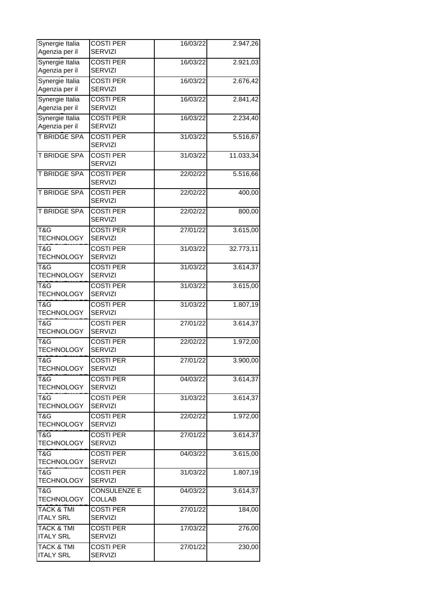| Synergie Italia<br>Agenzia per il         | <b>COSTI PER</b><br><b>SERVIZI</b>   | 16/03/22 | 2.947,26  |
|-------------------------------------------|--------------------------------------|----------|-----------|
| Synergie Italia<br>Agenzia per il         | <b>COSTI PER</b><br><b>SERVIZI</b>   | 16/03/22 | 2.921,03  |
| Synergie Italia<br>Agenzia per il         | <b>COSTI PER</b><br><b>SERVIZI</b>   | 16/03/22 | 2.676,42  |
| Synergie Italia<br>Agenzia per il         | <b>COSTI PER</b><br><b>SERVIZI</b>   | 16/03/22 | 2.841,42  |
| Synergie Italia<br>Agenzia per il         | <b>COSTI PER</b><br><b>SERVIZI</b>   | 16/03/22 | 2.234,40  |
| <b>T BRIDGE SPA</b>                       | <b>COSTI PER</b><br><b>SERVIZI</b>   | 31/03/22 | 5.516,67  |
| T BRIDGE SPA                              | <b>COSTI PER</b><br>SERVIZI          | 31/03/22 | 11.033,34 |
| T BRIDGE SPA                              | <b>COSTI PER</b><br><b>SERVIZI</b>   | 22/02/22 | 5.516,66  |
| <b>T BRIDGE SPA</b>                       | <b>COSTI PER</b><br><b>SERVIZI</b>   | 22/02/22 | 400,00    |
| <b>T BRIDGE SPA</b>                       | <b>COSTI PER</b><br><b>SERVIZI</b>   | 22/02/22 | 800,00    |
| T&G<br><b>TECHNOLOGY</b>                  | <b>COSTI PER</b><br><b>SERVIZI</b>   | 27/01/22 | 3.615,00  |
| T&G<br><b>TECHNOLOGY</b>                  | <b>COSTI PER</b><br>SERVIZI          | 31/03/22 | 32.773,11 |
| T&G<br><b>TECHNOLOGY</b>                  | <b>COSTI PER</b><br><b>SERVIZI</b>   | 31/03/22 | 3.614,37  |
| T&G<br><b>TECHNOLOGY</b>                  | <b>COSTI PER</b><br>SERVIZI          | 31/03/22 | 3.615,00  |
| T&G<br><b>TECHNOLOGY</b>                  | <b>COSTI PER</b><br><b>SERVIZI</b>   | 31/03/22 | 1.807,19  |
| T&G<br><b>TECHNOLOGY</b>                  | <b>COSTI PER</b><br><b>SERVIZI</b>   | 27/01/22 | 3.614,37  |
| T&G<br><b>TECHNOLOGY</b>                  | <b>COSTI PER</b><br><b>SERVIZI</b>   | 22/02/22 | 1.972,00  |
| T&G<br><b>TECHNOLOGY</b>                  | <b>COSTI PER</b><br><b>SERVIZI</b>   | 27/01/22 | 3.900,00  |
| T&G<br><b>TECHNOLOGY</b>                  | <b>COSTI PER</b><br><b>SERVIZI</b>   | 04/03/22 | 3.614,37  |
| T&G<br><b>TECHNOLOGY</b>                  | <b>COSTI PER</b><br><b>SERVIZI</b>   | 31/03/22 | 3.614,37  |
| T&G<br><b>TECHNOLOGY</b>                  | <b>COSTI PER</b><br><b>SERVIZI</b>   | 22/02/22 | 1.972,00  |
| T&G<br><b>TECHNOLOGY</b>                  | <b>COSTI PER</b><br><b>SERVIZI</b>   | 27/01/22 | 3.614,37  |
| T&G<br><b>TECHNOLOGY</b>                  | <b>COSTI PER</b><br><b>SERVIZI</b>   | 04/03/22 | 3.615,00  |
| T&G<br><b>TECHNOLOGY</b>                  | <b>COSTI PER</b><br><b>SERVIZI</b>   | 31/03/22 | 1.807,19  |
| T&G<br>TECHNOLOGY                         | <b>CONSULENZE E</b><br><b>COLLAB</b> | 04/03/22 | 3.614,37  |
| TACK & TMI<br><b>ITALY SRL</b>            | <b>COSTI PER</b><br><b>SERVIZI</b>   | 27/01/22 | 184,00    |
| <b>TACK &amp; TMI</b><br><b>ITALY SRL</b> | <b>COSTI PER</b><br><b>SERVIZI</b>   | 17/03/22 | 276,00    |
| <b>TACK &amp; TMI</b><br><b>ITALY SRL</b> | <b>COSTI PER</b><br><b>SERVIZI</b>   | 27/01/22 | 230,00    |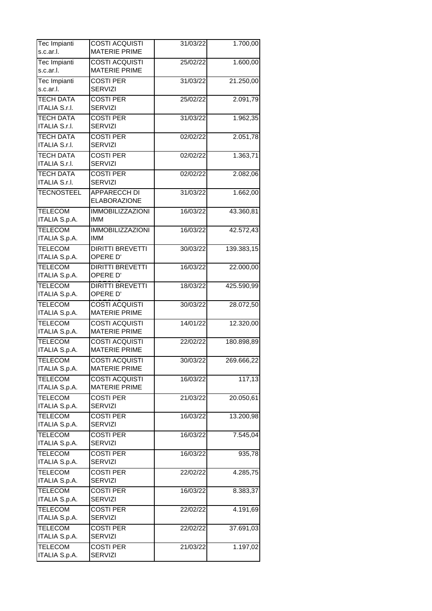| Tec Impianti                    | <b>COSTI ACQUISTI</b>   | 31/03/22 | 1.700,00   |
|---------------------------------|-------------------------|----------|------------|
| s.c.ar.l.                       | <b>MATERIE PRIME</b>    |          |            |
| Tec Impianti                    | <b>COSTI ACQUISTI</b>   | 25/02/22 | 1.600,00   |
| s.c.ar.l.                       | <b>MATERIE PRIME</b>    |          |            |
| <b>Tec Impianti</b>             | <b>COSTI PER</b>        | 31/03/22 | 21.250,00  |
| s.c.ar.l.                       | <b>SERVIZI</b>          |          |            |
| <b>TECH DATA</b>                | <b>COSTI PER</b>        | 25/02/22 | 2.091,79   |
| <b>ITALIA S.r.I.</b>            | <b>SERVIZI</b>          |          |            |
| <b>TECH DATA</b>                | <b>COSTI PER</b>        | 31/03/22 | 1.962,35   |
| <b>ITALIA S.r.I.</b>            | <b>SERVIZI</b>          |          |            |
| <b>TECH DATA</b>                | <b>COSTI PER</b>        | 02/02/22 | 2.051,78   |
| <b>ITALIA S.r.I.</b>            | <b>SERVIZI</b>          |          |            |
| <b>TECH DATA</b>                | <b>COSTI PER</b>        | 02/02/22 | 1.363,71   |
| <b>ITALIA S.r.I.</b>            | <b>SERVIZI</b>          |          |            |
| <b>TECH DATA</b>                | <b>COSTI PER</b>        | 02/02/22 | 2.082,06   |
| <b>ITALIA S.r.I.</b>            | <b>SERVIZI</b>          |          |            |
| <b>TECNOSTEEL</b>               | <b>APPARECCH DI</b>     | 31/03/22 | 1.662,00   |
|                                 | <b>ELABORAZIONE</b>     |          |            |
|                                 | <b>IMMOBILIZZAZIONI</b> |          |            |
| <b>TELECOM</b><br>ITALIA S.p.A. | <b>IMM</b>              | 16/03/22 | 43.360,81  |
|                                 |                         |          |            |
| <b>TELECOM</b>                  | <b>IMMOBILIZZAZIONI</b> | 16/03/22 | 42.572,43  |
| ITALIA S.p.A.                   | <b>IMM</b>              |          |            |
| <b>TELECOM</b>                  | <b>DIRITTI BREVETTI</b> | 30/03/22 | 139.383,15 |
| ITALIA S.p.A.                   | OPERE D'                |          |            |
| <b>TELECOM</b>                  | <b>DIRITTI BREVETTI</b> | 16/03/22 | 22.000,00  |
| ITALIA S.p.A.                   | OPERE D'                |          |            |
| <b>TELECOM</b>                  | <b>DIRITTI BREVETTI</b> | 18/03/22 | 425.590,99 |
| ITALIA S.p.A.                   | OPERE D'                |          |            |
| <b>TELECOM</b>                  | <b>COSTI ACQUISTI</b>   | 30/03/22 | 28.072,50  |
| ITALIA S.p.A.                   | <b>MATERIE PRIME</b>    |          |            |
| <b>TELECOM</b>                  | <b>COSTI ACQUISTI</b>   | 14/01/22 | 12.320,00  |
| ITALIA S.p.A.                   | <b>MATERIE PRIME</b>    |          |            |
| <b>TELECOM</b>                  | <b>COSTI ACQUISTI</b>   | 22/02/22 | 180.898,89 |
| ITALIA S.p.A.                   | <b>MATERIE PRIME</b>    |          |            |
| <b>TELECOM</b>                  | <b>COSTI ACQUISTI</b>   | 30/03/22 | 269.666,22 |
| ITALIA S.p.A.                   | <b>MATERIE PRIME</b>    |          |            |
| <b>TELECOM</b>                  | <b>COSTI ACQUISTI</b>   | 16/03/22 | 117,13     |
| ITALIA S.p.A.                   | <b>MATERIE PRIME</b>    |          |            |
| <b>TELECOM</b>                  | <b>COSTI PER</b>        | 21/03/22 | 20.050,61  |
| ITALIA S.p.A.                   | <b>SERVIZI</b>          |          |            |
| <b>TELECOM</b>                  | <b>COSTI PER</b>        | 16/03/22 | 13.200,98  |
| ITALIA S.p.A.                   | <b>SERVIZI</b>          |          |            |
| <b>TELECOM</b>                  | <b>COSTI PER</b>        | 16/03/22 | 7.545,04   |
| ITALIA S.p.A.                   | <b>SERVIZI</b>          |          |            |
| <b>TELECOM</b>                  | <b>COSTI PER</b>        | 16/03/22 | 935,78     |
| ITALIA S.p.A.                   | <b>SERVIZI</b>          |          |            |
| <b>TELECOM</b>                  | <b>COSTI PER</b>        |          |            |
| ITALIA S.p.A.                   | <b>SERVIZI</b>          | 22/02/22 | 4.285,75   |
|                                 |                         |          |            |
| <b>TELECOM</b>                  | <b>COSTI PER</b>        | 16/03/22 | 8.383,37   |
| ITALIA S.p.A.                   | <b>SERVIZI</b>          |          |            |
| <b>TELECOM</b>                  | <b>COSTI PER</b>        | 22/02/22 | 4.191,69   |
| ITALIA S.p.A.                   | <b>SERVIZI</b>          |          |            |
| <b>TELECOM</b>                  | <b>COSTI PER</b>        | 22/02/22 | 37.691,03  |
| ITALIA S.p.A.                   | <b>SERVIZI</b>          |          |            |
| <b>TELECOM</b>                  | <b>COSTI PER</b>        | 21/03/22 | 1.197,02   |
| ITALIA S.p.A.                   | <b>SERVIZI</b>          |          |            |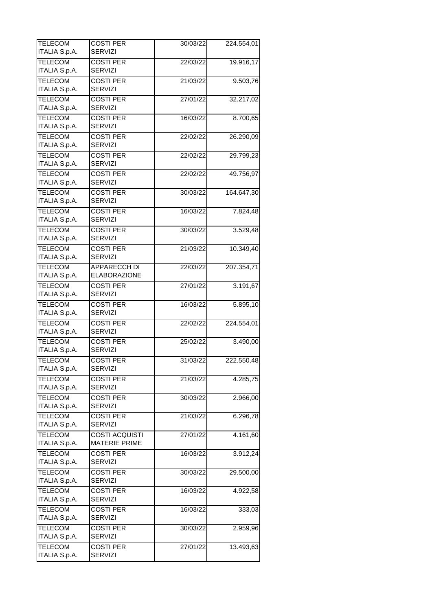| <b>SERVIZI</b><br>ITALIA S.p.A.<br><b>TELECOM</b><br><b>COSTI PER</b><br>19.916,17<br>22/03/22<br><b>SERVIZI</b><br>ITALIA S.p.A.<br><b>TELECOM</b><br><b>COSTI PER</b><br>9.503,76<br>21/03/22<br><b>SERVIZI</b><br>ITALIA S.p.A.<br><b>TELECOM</b><br><b>COSTI PER</b><br>27/01/22<br>32.217,02<br>ITALIA S.p.A.<br><b>SERVIZI</b><br><b>TELECOM</b><br><b>COSTI PER</b><br>8.700,65<br>16/03/22<br><b>SERVIZI</b><br>ITALIA S.p.A.<br><b>TELECOM</b><br><b>COSTI PER</b><br>22/02/22<br>26.290,09<br><b>SERVIZI</b><br>ITALIA S.p.A.<br><b>TELECOM</b><br><b>COSTI PER</b><br>22/02/22<br>29.799,23<br>SERVIZI<br>ITALIA S.p.A.<br><b>TELECOM</b><br><b>COSTI PER</b><br>22/02/22<br>49.756,97<br>ITALIA S.p.A.<br><b>SERVIZI</b><br><b>TELECOM</b><br><b>COSTI PER</b><br>30/03/22<br>164.647,30<br><b>SERVIZI</b><br>ITALIA S.p.A.<br><b>TELECOM</b><br><b>COSTI PER</b><br>16/03/22<br>7.824,48<br><b>SERVIZI</b><br>ITALIA S.p.A.<br><b>TELECOM</b><br><b>COSTI PER</b><br>30/03/22<br>3.529,48<br>ITALIA S.p.A.<br><b>SERVIZI</b><br><b>TELECOM</b><br><b>COSTI PER</b><br>10.349,40<br>21/03/22<br>ITALIA S.p.A.<br><b>SERVIZI</b><br><b>TELECOM</b><br><b>APPARECCH DI</b><br>207.354,71<br>22/03/22<br>ITALIA S.p.A.<br><b>ELABORAZIONE</b><br><b>TELECOM</b><br><b>COSTI PER</b><br>3.191,67<br>27/01/22<br>ITALIA S.p.A.<br><b>SERVIZI</b><br><b>TELECOM</b><br><b>COSTI PER</b><br>5.895,10<br>16/03/22<br>ITALIA S.p.A.<br><b>SERVIZI</b> |
|----------------------------------------------------------------------------------------------------------------------------------------------------------------------------------------------------------------------------------------------------------------------------------------------------------------------------------------------------------------------------------------------------------------------------------------------------------------------------------------------------------------------------------------------------------------------------------------------------------------------------------------------------------------------------------------------------------------------------------------------------------------------------------------------------------------------------------------------------------------------------------------------------------------------------------------------------------------------------------------------------------------------------------------------------------------------------------------------------------------------------------------------------------------------------------------------------------------------------------------------------------------------------------------------------------------------------------------------------------------------------------------------------------------------------------------------------------|
|                                                                                                                                                                                                                                                                                                                                                                                                                                                                                                                                                                                                                                                                                                                                                                                                                                                                                                                                                                                                                                                                                                                                                                                                                                                                                                                                                                                                                                                          |
|                                                                                                                                                                                                                                                                                                                                                                                                                                                                                                                                                                                                                                                                                                                                                                                                                                                                                                                                                                                                                                                                                                                                                                                                                                                                                                                                                                                                                                                          |
|                                                                                                                                                                                                                                                                                                                                                                                                                                                                                                                                                                                                                                                                                                                                                                                                                                                                                                                                                                                                                                                                                                                                                                                                                                                                                                                                                                                                                                                          |
|                                                                                                                                                                                                                                                                                                                                                                                                                                                                                                                                                                                                                                                                                                                                                                                                                                                                                                                                                                                                                                                                                                                                                                                                                                                                                                                                                                                                                                                          |
|                                                                                                                                                                                                                                                                                                                                                                                                                                                                                                                                                                                                                                                                                                                                                                                                                                                                                                                                                                                                                                                                                                                                                                                                                                                                                                                                                                                                                                                          |
|                                                                                                                                                                                                                                                                                                                                                                                                                                                                                                                                                                                                                                                                                                                                                                                                                                                                                                                                                                                                                                                                                                                                                                                                                                                                                                                                                                                                                                                          |
|                                                                                                                                                                                                                                                                                                                                                                                                                                                                                                                                                                                                                                                                                                                                                                                                                                                                                                                                                                                                                                                                                                                                                                                                                                                                                                                                                                                                                                                          |
|                                                                                                                                                                                                                                                                                                                                                                                                                                                                                                                                                                                                                                                                                                                                                                                                                                                                                                                                                                                                                                                                                                                                                                                                                                                                                                                                                                                                                                                          |
|                                                                                                                                                                                                                                                                                                                                                                                                                                                                                                                                                                                                                                                                                                                                                                                                                                                                                                                                                                                                                                                                                                                                                                                                                                                                                                                                                                                                                                                          |
|                                                                                                                                                                                                                                                                                                                                                                                                                                                                                                                                                                                                                                                                                                                                                                                                                                                                                                                                                                                                                                                                                                                                                                                                                                                                                                                                                                                                                                                          |
|                                                                                                                                                                                                                                                                                                                                                                                                                                                                                                                                                                                                                                                                                                                                                                                                                                                                                                                                                                                                                                                                                                                                                                                                                                                                                                                                                                                                                                                          |
|                                                                                                                                                                                                                                                                                                                                                                                                                                                                                                                                                                                                                                                                                                                                                                                                                                                                                                                                                                                                                                                                                                                                                                                                                                                                                                                                                                                                                                                          |
|                                                                                                                                                                                                                                                                                                                                                                                                                                                                                                                                                                                                                                                                                                                                                                                                                                                                                                                                                                                                                                                                                                                                                                                                                                                                                                                                                                                                                                                          |
|                                                                                                                                                                                                                                                                                                                                                                                                                                                                                                                                                                                                                                                                                                                                                                                                                                                                                                                                                                                                                                                                                                                                                                                                                                                                                                                                                                                                                                                          |
|                                                                                                                                                                                                                                                                                                                                                                                                                                                                                                                                                                                                                                                                                                                                                                                                                                                                                                                                                                                                                                                                                                                                                                                                                                                                                                                                                                                                                                                          |
|                                                                                                                                                                                                                                                                                                                                                                                                                                                                                                                                                                                                                                                                                                                                                                                                                                                                                                                                                                                                                                                                                                                                                                                                                                                                                                                                                                                                                                                          |
|                                                                                                                                                                                                                                                                                                                                                                                                                                                                                                                                                                                                                                                                                                                                                                                                                                                                                                                                                                                                                                                                                                                                                                                                                                                                                                                                                                                                                                                          |
|                                                                                                                                                                                                                                                                                                                                                                                                                                                                                                                                                                                                                                                                                                                                                                                                                                                                                                                                                                                                                                                                                                                                                                                                                                                                                                                                                                                                                                                          |
|                                                                                                                                                                                                                                                                                                                                                                                                                                                                                                                                                                                                                                                                                                                                                                                                                                                                                                                                                                                                                                                                                                                                                                                                                                                                                                                                                                                                                                                          |
|                                                                                                                                                                                                                                                                                                                                                                                                                                                                                                                                                                                                                                                                                                                                                                                                                                                                                                                                                                                                                                                                                                                                                                                                                                                                                                                                                                                                                                                          |
|                                                                                                                                                                                                                                                                                                                                                                                                                                                                                                                                                                                                                                                                                                                                                                                                                                                                                                                                                                                                                                                                                                                                                                                                                                                                                                                                                                                                                                                          |
|                                                                                                                                                                                                                                                                                                                                                                                                                                                                                                                                                                                                                                                                                                                                                                                                                                                                                                                                                                                                                                                                                                                                                                                                                                                                                                                                                                                                                                                          |
|                                                                                                                                                                                                                                                                                                                                                                                                                                                                                                                                                                                                                                                                                                                                                                                                                                                                                                                                                                                                                                                                                                                                                                                                                                                                                                                                                                                                                                                          |
|                                                                                                                                                                                                                                                                                                                                                                                                                                                                                                                                                                                                                                                                                                                                                                                                                                                                                                                                                                                                                                                                                                                                                                                                                                                                                                                                                                                                                                                          |
|                                                                                                                                                                                                                                                                                                                                                                                                                                                                                                                                                                                                                                                                                                                                                                                                                                                                                                                                                                                                                                                                                                                                                                                                                                                                                                                                                                                                                                                          |
|                                                                                                                                                                                                                                                                                                                                                                                                                                                                                                                                                                                                                                                                                                                                                                                                                                                                                                                                                                                                                                                                                                                                                                                                                                                                                                                                                                                                                                                          |
|                                                                                                                                                                                                                                                                                                                                                                                                                                                                                                                                                                                                                                                                                                                                                                                                                                                                                                                                                                                                                                                                                                                                                                                                                                                                                                                                                                                                                                                          |
| <b>TELECOM</b><br><b>COSTI PER</b><br>224.554,01<br>22/02/22                                                                                                                                                                                                                                                                                                                                                                                                                                                                                                                                                                                                                                                                                                                                                                                                                                                                                                                                                                                                                                                                                                                                                                                                                                                                                                                                                                                             |
| ITALIA S.p.A.<br><b>SERVIZI</b>                                                                                                                                                                                                                                                                                                                                                                                                                                                                                                                                                                                                                                                                                                                                                                                                                                                                                                                                                                                                                                                                                                                                                                                                                                                                                                                                                                                                                          |
| <b>TELECOM</b><br><b>COSTI PER</b><br>25/02/22<br>3.490,00                                                                                                                                                                                                                                                                                                                                                                                                                                                                                                                                                                                                                                                                                                                                                                                                                                                                                                                                                                                                                                                                                                                                                                                                                                                                                                                                                                                               |
| ITALIA S.p.A.<br><b>SERVIZI</b>                                                                                                                                                                                                                                                                                                                                                                                                                                                                                                                                                                                                                                                                                                                                                                                                                                                                                                                                                                                                                                                                                                                                                                                                                                                                                                                                                                                                                          |
| <b>TELECOM</b><br><b>COSTI PER</b><br>31/03/22<br>222.550,48                                                                                                                                                                                                                                                                                                                                                                                                                                                                                                                                                                                                                                                                                                                                                                                                                                                                                                                                                                                                                                                                                                                                                                                                                                                                                                                                                                                             |
| <b>SERVIZI</b><br>ITALIA S.p.A.                                                                                                                                                                                                                                                                                                                                                                                                                                                                                                                                                                                                                                                                                                                                                                                                                                                                                                                                                                                                                                                                                                                                                                                                                                                                                                                                                                                                                          |
| <b>TELECOM</b><br><b>COSTI PER</b><br>4.285,75<br>21/03/22                                                                                                                                                                                                                                                                                                                                                                                                                                                                                                                                                                                                                                                                                                                                                                                                                                                                                                                                                                                                                                                                                                                                                                                                                                                                                                                                                                                               |
| ITALIA S.p.A.<br><b>SERVIZI</b>                                                                                                                                                                                                                                                                                                                                                                                                                                                                                                                                                                                                                                                                                                                                                                                                                                                                                                                                                                                                                                                                                                                                                                                                                                                                                                                                                                                                                          |
| <b>TELECOM</b><br><b>COSTI PER</b><br>30/03/22<br>2.966,00                                                                                                                                                                                                                                                                                                                                                                                                                                                                                                                                                                                                                                                                                                                                                                                                                                                                                                                                                                                                                                                                                                                                                                                                                                                                                                                                                                                               |
| ITALIA S.p.A.<br><b>SERVIZI</b>                                                                                                                                                                                                                                                                                                                                                                                                                                                                                                                                                                                                                                                                                                                                                                                                                                                                                                                                                                                                                                                                                                                                                                                                                                                                                                                                                                                                                          |
| <b>TELECOM</b><br><b>COSTI PER</b><br>6.296,78<br>21/03/22                                                                                                                                                                                                                                                                                                                                                                                                                                                                                                                                                                                                                                                                                                                                                                                                                                                                                                                                                                                                                                                                                                                                                                                                                                                                                                                                                                                               |
| ITALIA S.p.A.<br><b>SERVIZI</b>                                                                                                                                                                                                                                                                                                                                                                                                                                                                                                                                                                                                                                                                                                                                                                                                                                                                                                                                                                                                                                                                                                                                                                                                                                                                                                                                                                                                                          |
| <b>TELECOM</b><br>27/01/22<br>4.161,60<br><b>COSTI ACQUISTI</b>                                                                                                                                                                                                                                                                                                                                                                                                                                                                                                                                                                                                                                                                                                                                                                                                                                                                                                                                                                                                                                                                                                                                                                                                                                                                                                                                                                                          |
| ITALIA S.p.A.<br><b>MATERIE PRIME</b>                                                                                                                                                                                                                                                                                                                                                                                                                                                                                                                                                                                                                                                                                                                                                                                                                                                                                                                                                                                                                                                                                                                                                                                                                                                                                                                                                                                                                    |
| <b>TELECOM</b><br><b>COSTI PER</b><br>16/03/22<br>3.912,24<br>ITALIA S.p.A.<br><b>SERVIZI</b>                                                                                                                                                                                                                                                                                                                                                                                                                                                                                                                                                                                                                                                                                                                                                                                                                                                                                                                                                                                                                                                                                                                                                                                                                                                                                                                                                            |
| <b>TELECOM</b><br><b>COSTI PER</b>                                                                                                                                                                                                                                                                                                                                                                                                                                                                                                                                                                                                                                                                                                                                                                                                                                                                                                                                                                                                                                                                                                                                                                                                                                                                                                                                                                                                                       |
| 29.500,00<br>30/03/22<br>ITALIA S.p.A.<br><b>SERVIZI</b>                                                                                                                                                                                                                                                                                                                                                                                                                                                                                                                                                                                                                                                                                                                                                                                                                                                                                                                                                                                                                                                                                                                                                                                                                                                                                                                                                                                                 |
| <b>TELECOM</b><br><b>COSTI PER</b><br>16/03/22<br>4.922,58                                                                                                                                                                                                                                                                                                                                                                                                                                                                                                                                                                                                                                                                                                                                                                                                                                                                                                                                                                                                                                                                                                                                                                                                                                                                                                                                                                                               |
| ITALIA S.p.A.<br><b>SERVIZI</b>                                                                                                                                                                                                                                                                                                                                                                                                                                                                                                                                                                                                                                                                                                                                                                                                                                                                                                                                                                                                                                                                                                                                                                                                                                                                                                                                                                                                                          |
| <b>TELECOM</b><br><b>COSTI PER</b><br>333,03<br>16/03/22                                                                                                                                                                                                                                                                                                                                                                                                                                                                                                                                                                                                                                                                                                                                                                                                                                                                                                                                                                                                                                                                                                                                                                                                                                                                                                                                                                                                 |
| ITALIA S.p.A.<br><b>SERVIZI</b>                                                                                                                                                                                                                                                                                                                                                                                                                                                                                                                                                                                                                                                                                                                                                                                                                                                                                                                                                                                                                                                                                                                                                                                                                                                                                                                                                                                                                          |
| <b>TELECOM</b><br><b>COSTI PER</b><br>30/03/22<br>2.959,96                                                                                                                                                                                                                                                                                                                                                                                                                                                                                                                                                                                                                                                                                                                                                                                                                                                                                                                                                                                                                                                                                                                                                                                                                                                                                                                                                                                               |
| ITALIA S.p.A.<br><b>SERVIZI</b>                                                                                                                                                                                                                                                                                                                                                                                                                                                                                                                                                                                                                                                                                                                                                                                                                                                                                                                                                                                                                                                                                                                                                                                                                                                                                                                                                                                                                          |
| <b>TELECOM</b><br><b>COSTI PER</b><br>27/01/22<br>13.493,63                                                                                                                                                                                                                                                                                                                                                                                                                                                                                                                                                                                                                                                                                                                                                                                                                                                                                                                                                                                                                                                                                                                                                                                                                                                                                                                                                                                              |
| ITALIA S.p.A.<br><b>SERVIZI</b>                                                                                                                                                                                                                                                                                                                                                                                                                                                                                                                                                                                                                                                                                                                                                                                                                                                                                                                                                                                                                                                                                                                                                                                                                                                                                                                                                                                                                          |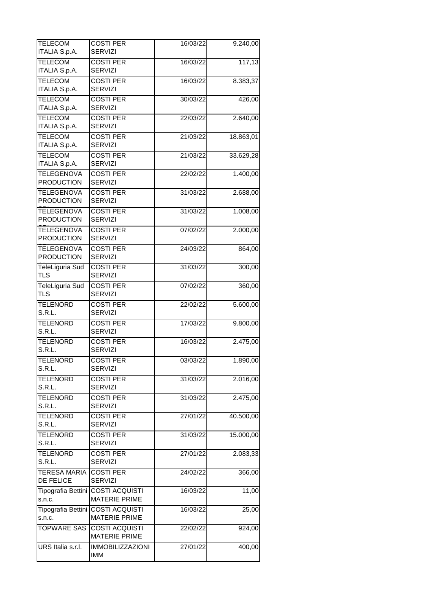| <b>TELECOM</b><br>ITALIA S.p.A.        | <b>COSTI PER</b><br><b>SERVIZI</b>                        | 16/03/22 | 9.240,00  |
|----------------------------------------|-----------------------------------------------------------|----------|-----------|
| <b>TELECOM</b>                         | <b>COSTI PER</b>                                          | 16/03/22 | 117,13    |
| ITALIA S.p.A.                          | <b>SERVIZI</b>                                            |          |           |
| <b>TELECOM</b><br><b>ITALIA S.p.A.</b> | <b>COSTI PER</b><br><b>SERVIZI</b>                        | 16/03/22 | 8.383,37  |
| <b>TELECOM</b>                         | <b>COSTI PER</b>                                          | 30/03/22 | 426,00    |
| <b>ITALIA S.p.A.</b>                   | <b>SERVIZI</b><br><b>COSTI PER</b>                        |          |           |
| <b>TELECOM</b><br>ITALIA S.p.A.        | <b>SERVIZI</b>                                            | 22/03/22 | 2.640,00  |
| <b>TELECOM</b><br>ITALIA S.p.A.        | <b>COSTI PER</b><br><b>SERVIZI</b>                        | 21/03/22 | 18.863,01 |
| <b>TELECOM</b><br>ITALIA S.p.A.        | <b>COSTI PER</b><br><b>SERVIZI</b>                        | 21/03/22 | 33.629,28 |
| <b>TELEGENOVA</b><br><b>PRODUCTION</b> | <b>COSTI PER</b><br><b>SERVIZI</b>                        | 22/02/22 | 1.400,00  |
| <b>TELEGENOVA</b><br><b>PRODUCTION</b> | <b>COSTI PER</b><br><b>SERVIZI</b>                        | 31/03/22 | 2.688,00  |
| <b>TELEGENOVA</b><br><b>PRODUCTION</b> | <b>COSTI PER</b><br><b>SERVIZI</b>                        | 31/03/22 | 1.008,00  |
| <b>TELEGENOVA</b><br><b>PRODUCTION</b> | <b>COSTI PER</b><br>SERVIZI                               | 07/02/22 | 2.000,00  |
| <b>TELEGENOVA</b><br><b>PRODUCTION</b> | <b>COSTI PER</b><br><b>SERVIZI</b>                        | 24/03/22 | 864,00    |
| TeleLiguria Sud<br><b>TLS</b>          | <b>COSTI PER</b><br><b>SERVIZI</b>                        | 31/03/22 | 300,00    |
| TeleLiguria Sud<br><b>TLS</b>          | <b>COSTI PER</b><br><b>SERVIZI</b>                        | 07/02/22 | 360,00    |
| TELENORD<br>S.R.L.                     | <b>COSTI PER</b><br><b>SERVIZI</b>                        | 22/02/22 | 5.600,00  |
| <b>TELENORD</b><br>S.R.L.              | <b>COSTI PER</b><br><b>SERVIZI</b>                        | 17/03/22 | 9.800,00  |
| <b>TELENORD</b><br>S.R.L.              | <b>COSTI PER</b><br><b>SERVIZI</b>                        | 16/03/22 | 2.475,00  |
| <b>TELENORD</b><br>S.R.L.              | <b>COSTI PER</b><br><b>SERVIZI</b>                        | 03/03/22 | 1.890,00  |
| <b>TELENORD</b><br>S.R.L.              | <b>COSTI PER</b><br><b>SERVIZI</b>                        | 31/03/22 | 2.016,00  |
| <b>TELENORD</b><br>S.R.L.              | <b>COSTI PER</b><br><b>SERVIZI</b>                        | 31/03/22 | 2.475,00  |
| <b>TELENORD</b><br>S.R.L.              | <b>COSTI PER</b><br><b>SERVIZI</b>                        | 27/01/22 | 40.500,00 |
| <b>TELENORD</b><br>S.R.L.              | <b>COSTI PER</b><br><b>SERVIZI</b>                        | 31/03/22 | 15.000,00 |
| <b>TELENORD</b><br>S.R.L.              | <b>COSTI PER</b><br><b>SERVIZI</b>                        | 27/01/22 | 2.083,33  |
| TERESA MARIA<br>DE FELICE              | <b>COSTI PER</b><br><b>SERVIZI</b>                        | 24/02/22 | 366,00    |
| Tipografia Bettini  <br>s.n.c.         | <b>COSTI ACQUISTI</b><br><b>MATERIE PRIME</b>             | 16/03/22 | 11,00     |
| s.n.c.                                 | Tipografia Bettini COSTI ACQUISTI<br><b>MATERIE PRIME</b> | 16/03/22 | 25,00     |
| <b>TOPWARE SAS</b>                     | <b>COSTI ACQUISTI</b><br><b>MATERIE PRIME</b>             | 22/02/22 | 924,00    |
| URS Italia s.r.l.                      | <b>IMMOBILIZZAZIONI</b><br><b>IMM</b>                     | 27/01/22 | 400,00    |